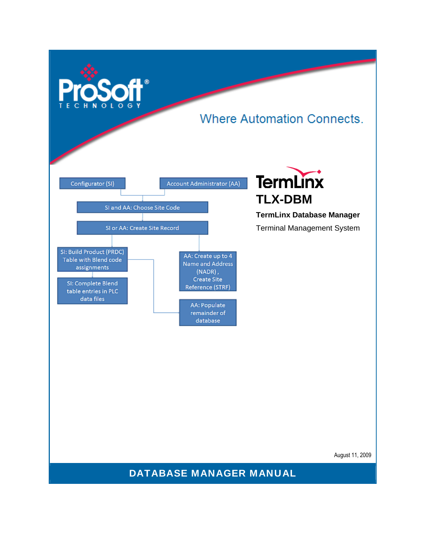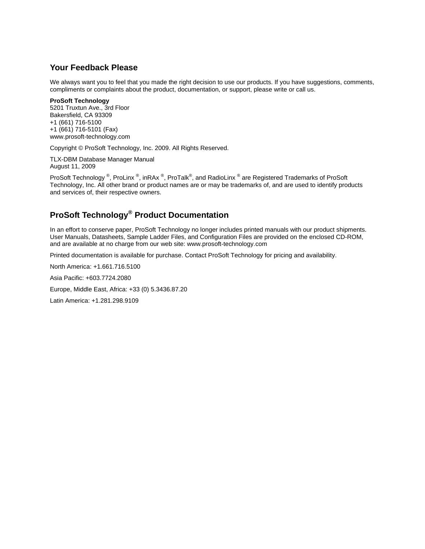## <span id="page-1-0"></span>**Your Feedback Please**

We always want you to feel that you made the right decision to use our products. If you have suggestions, comments, compliments or complaints about the product, documentation, or support, please write or call us.

#### **ProSoft Technology**

5201 Truxtun Ave., 3rd Floor Bakersfield, CA 93309 +1 (661) 716-5100 +1 (661) 716-5101 (Fax) www.prosoft-technology.com

Copyright © ProSoft Technology, Inc. 2009. All Rights Reserved.

TLX-DBM Database Manager Manual August 11, 2009

ProSoft Technology  $^\circ$ , ProLinx  $^\circ$ , inRAx  $^\circ$ , ProTalk $^\circ$ , and RadioLinx  $^\circ$  are Registered Trademarks of ProSoft Technology, Inc. All other brand or product names are or may be trademarks of, and are used to identify products and services of, their respective owners.

## **ProSoft Technology® Product Documentation**

In an effort to conserve paper, ProSoft Technology no longer includes printed manuals with our product shipments. User Manuals, Datasheets, Sample Ladder Files, and Configuration Files are provided on the enclosed CD-ROM, and are available at no charge from our web site: www.prosoft-technology.com

Printed documentation is available for purchase. Contact ProSoft Technology for pricing and availability.

North America: +1.661.716.5100

Asia Pacific: +603.7724.2080

Europe, Middle East, Africa: +33 (0) 5.3436.87.20

Latin America: +1.281.298.9109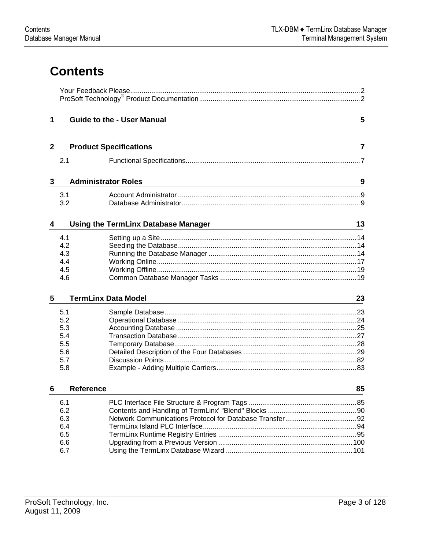# **Contents**

| 1            |                                                      | <b>Guide to the - User Manual</b>                                                            | 5  |  |  |
|--------------|------------------------------------------------------|----------------------------------------------------------------------------------------------|----|--|--|
| $\mathbf{2}$ |                                                      | <b>Product Specifications</b>                                                                | 7  |  |  |
|              | 2.1                                                  |                                                                                              |    |  |  |
| 3            | <b>Administrator Roles</b>                           |                                                                                              | 9  |  |  |
|              | 3.1<br>3.2                                           |                                                                                              |    |  |  |
| 4            |                                                      | <b>Using the TermLinx Database Manager</b><br><u> 1980 - Johann Stein, marwolaethau a bh</u> | 13 |  |  |
|              | 4.1<br>4.2<br>4.3<br>4.4<br>4.5<br>4.6               |                                                                                              |    |  |  |
| 5            |                                                      | <b>TermLinx Data Model</b>                                                                   | 23 |  |  |
|              | 5.1<br>5.2<br>5.3<br>5.4<br>5.5<br>5.6<br>5.7<br>5.8 |                                                                                              |    |  |  |
| 6            | <b>Reference</b>                                     |                                                                                              | 85 |  |  |
|              | 6.1<br>6.2<br>6.3<br>6.4<br>6.5<br>6.6<br>6.7        |                                                                                              |    |  |  |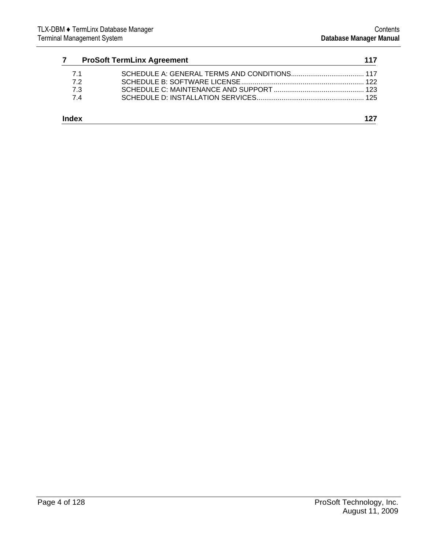| $\overline{7}$ | <b>ProSoft TermLinx Agreement</b> | 117 |
|----------------|-----------------------------------|-----|
| 71             |                                   |     |
| 72             |                                   |     |
| 7.3            |                                   |     |
| 74             |                                   |     |
| Index          |                                   |     |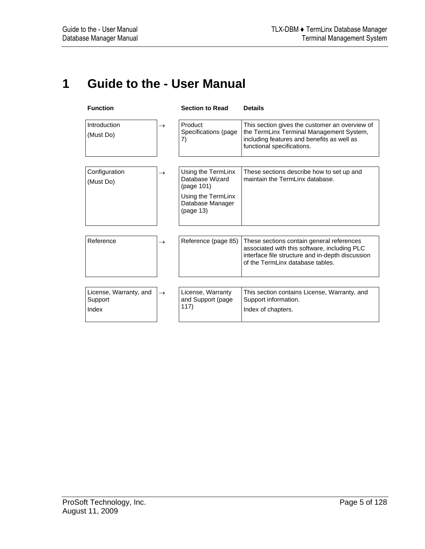## <span id="page-4-0"></span>**1 Guide to the - User Manual**

| <b>Function</b>                   |               | <b>Section to Read</b>                              | <b>Details</b>                                                                                                                                                                    |
|-----------------------------------|---------------|-----------------------------------------------------|-----------------------------------------------------------------------------------------------------------------------------------------------------------------------------------|
| Introduction<br>(Must Do)         | $\rightarrow$ | Product<br>Specifications (page<br>7)               | This section gives the customer an overview of<br>the TermLinx Terminal Management System,<br>including features and benefits as well as<br>functional specifications.            |
| Configuration                     | $\rightarrow$ | Using the TermLinx<br>Database Wizard               | These sections describe how to set up and<br>maintain the TermLinx database.                                                                                                      |
| (Must Do)                         |               | (page 101)                                          |                                                                                                                                                                                   |
|                                   |               | Using the TermLinx<br>Database Manager<br>(page 13) |                                                                                                                                                                                   |
|                                   |               |                                                     |                                                                                                                                                                                   |
| Reference                         | $\rightarrow$ | Reference (page 85)                                 | These sections contain general references<br>associated with this software, including PLC<br>interface file structure and in-depth discussion<br>of the TermLinx database tables. |
|                                   |               |                                                     |                                                                                                                                                                                   |
| License, Warranty, and<br>Support | $\rightarrow$ | License, Warranty<br>and Support (page              | This section contains License, Warranty, and<br>Support information.                                                                                                              |
| Index                             |               | 117)                                                | Index of chapters.                                                                                                                                                                |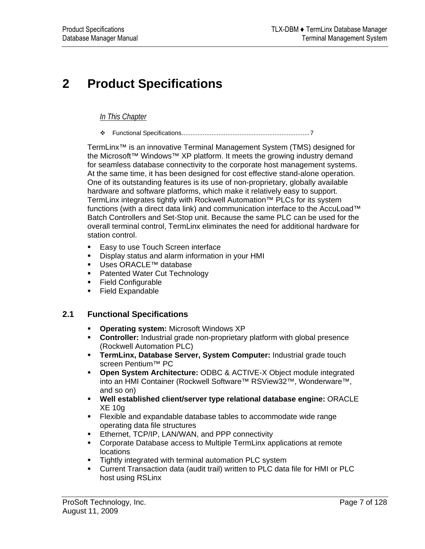# <span id="page-6-0"></span>**2 Product Specifications**

## *In This Chapter*

[Functional Specifications](#page-6-0).........................................................................[7](#page-6-0)

TermLinx™ is an innovative Terminal Management System (TMS) designed for the Microsoft™ Windows™ XP platform. It meets the growing industry demand for seamless database connectivity to the corporate host management systems. At the same time, it has been designed for cost effective stand-alone operation. One of its outstanding features is its use of non-proprietary, globally available hardware and software platforms, which make it relatively easy to support. TermLinx integrates tightly with Rockwell Automation™ PLCs for its system functions (with a direct data link) and communication interface to the AccuLoad™ Batch Controllers and Set-Stop unit. Because the same PLC can be used for the overall terminal control, TermLinx eliminates the need for additional hardware for station control.

- **Easy to use Touch Screen interface**
- Display status and alarm information in your HMI
- Uses ORACLE<sup>™</sup> database
- **Patented Water Cut Technology**
- **Field Configurable**
- **Field Expandable**

## **2.1 Functional Specifications**

- **Operating system:** Microsoft Windows XP
- **Controller:** Industrial grade non-proprietary platform with global presence (Rockwell Automation PLC)
- **TermLinx, Database Server, System Computer:** Industrial grade touch screen Pentium™ PC
- **Open System Architecture:** ODBC & ACTIVE-X Object module integrated into an HMI Container (Rockwell Software™ RSView32™, Wonderware™, and so on)
- **Well established client/server type relational database engine:** ORACLE XE 10g
- Flexible and expandable database tables to accommodate wide range operating data file structures
- **Ethernet, TCP/IP, LAN/WAN, and PPP connectivity**
- Corporate Database access to Multiple TermLinx applications at remote locations
- **Tightly integrated with terminal automation PLC system**
- Current Transaction data (audit trail) written to PLC data file for HMI or PLC host using RSLinx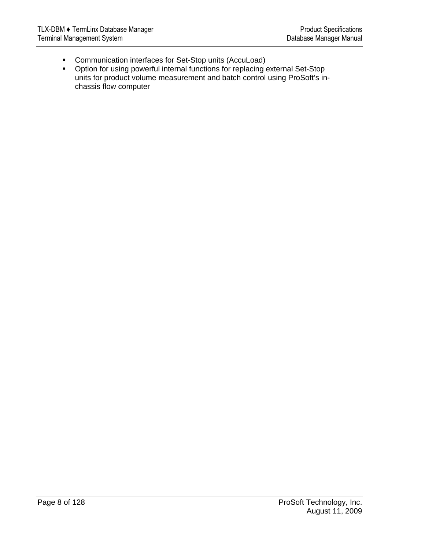- Communication interfaces for Set-Stop units (AccuLoad)
- Option for using powerful internal functions for replacing external Set-Stop units for product volume measurement and batch control using ProSoft's inchassis flow computer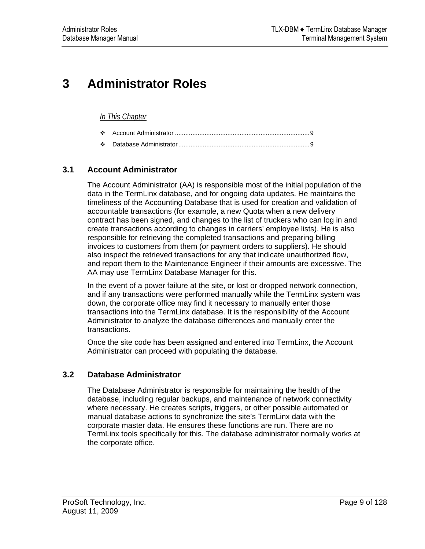# <span id="page-8-0"></span>**3 Administrator Roles**

### *In This Chapter*

|--|--|--|--|

[Database Administrator](#page-8-0)...........................................................................[9](#page-8-0)

## **3.1 Account Administrator**

The Account Administrator (AA) is responsible most of the initial population of the data in the TermLinx database, and for ongoing data updates. He maintains the timeliness of the Accounting Database that is used for creation and validation of accountable transactions (for example, a new Quota when a new delivery contract has been signed, and changes to the list of truckers who can log in and create transactions according to changes in carriers' employee lists). He is also responsible for retrieving the completed transactions and preparing billing invoices to customers from them (or payment orders to suppliers). He should also inspect the retrieved transactions for any that indicate unauthorized flow, and report them to the Maintenance Engineer if their amounts are excessive. The AA may use TermLinx Database Manager for this.

In the event of a power failure at the site, or lost or dropped network connection, and if any transactions were performed manually while the TermLinx system was down, the corporate office may find it necessary to manually enter those transactions into the TermLinx database. It is the responsibility of the Account Administrator to analyze the database differences and manually enter the transactions.

Once the site code has been assigned and entered into TermLinx, the Account Administrator can proceed with populating the database.

## **3.2 Database Administrator**

The Database Administrator is responsible for maintaining the health of the database, including regular backups, and maintenance of network connectivity where necessary. He creates scripts, triggers, or other possible automated or manual database actions to synchronize the site's TermLinx data with the corporate master data. He ensures these functions are run. There are no TermLinx tools specifically for this. The database administrator normally works at the corporate office.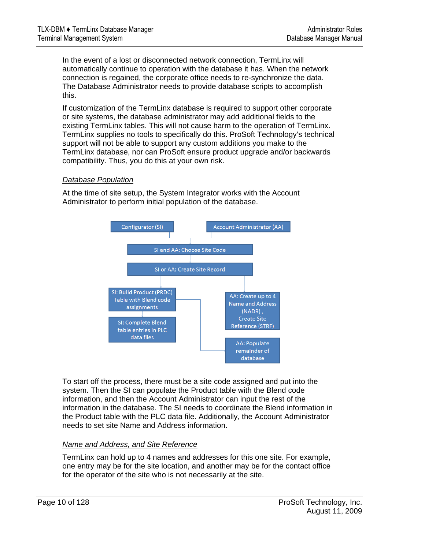In the event of a lost or disconnected network connection, TermLinx will automatically continue to operation with the database it has. When the network connection is regained, the corporate office needs to re-synchronize the data. The Database Administrator needs to provide database scripts to accomplish this.

If customization of the TermLinx database is required to support other corporate or site systems, the database administrator may add additional fields to the existing TermLinx tables. This will not cause harm to the operation of TermLinx. TermLinx supplies no tools to specifically do this. ProSoft Technology's technical support will not be able to support any custom additions you make to the TermLinx database, nor can ProSoft ensure product upgrade and/or backwards compatibility. Thus, you do this at your own risk.

### *Database Population*

At the time of site setup, the System Integrator works with the Account Administrator to perform initial population of the database.



To start off the process, there must be a site code assigned and put into the system. Then the SI can populate the Product table with the Blend code information, and then the Account Administrator can input the rest of the information in the database. The SI needs to coordinate the Blend information in the Product table with the PLC data file. Additionally, the Account Administrator needs to set site Name and Address information.

#### *Name and Address, and Site Reference*

TermLinx can hold up to 4 names and addresses for this one site. For example, one entry may be for the site location, and another may be for the contact office for the operator of the site who is not necessarily at the site.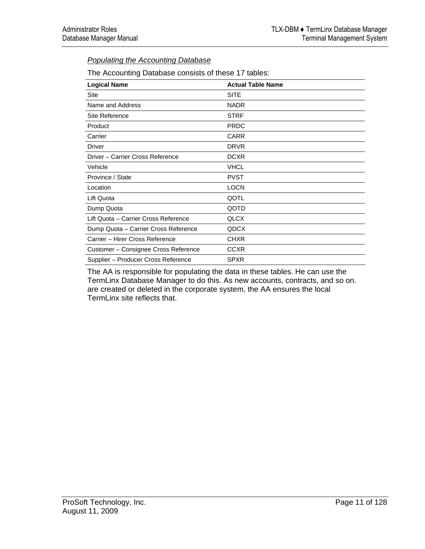## *Populating the Accounting Database*

| The Accounting Database consists of these 17 tables: |  |  |  |
|------------------------------------------------------|--|--|--|
|                                                      |  |  |  |

| <b>Logical Name</b>                  | <b>Actual Table Name</b> |
|--------------------------------------|--------------------------|
| Site                                 | <b>SITE</b>              |
| Name and Address                     | <b>NADR</b>              |
| Site Reference                       | <b>STRF</b>              |
| Product                              | <b>PRDC</b>              |
| Carrier                              | CARR                     |
| Driver                               | <b>DRVR</b>              |
| Driver - Carrier Cross Reference     | <b>DCXR</b>              |
| Vehicle                              | <b>VHCL</b>              |
| Province / State                     | <b>PVST</b>              |
| Location                             | <b>LOCN</b>              |
| Lift Quota                           | QOTL                     |
| Dump Quota                           | QOTD                     |
| Lift Quota - Carrier Cross Reference | QLCX                     |
| Dump Quota - Carrier Cross Reference | QDCX                     |
| Carrier - Hirer Cross Reference      | <b>CHXR</b>              |
| Customer - Consignee Cross Reference | <b>CCXR</b>              |
| Supplier - Producer Cross Reference  | <b>SPXR</b>              |

The AA is responsible for populating the data in these tables. He can use the TermLinx Database Manager to do this. As new accounts, contracts, and so on. are created or deleted in the corporate system, the AA ensures the local TermLinx site reflects that.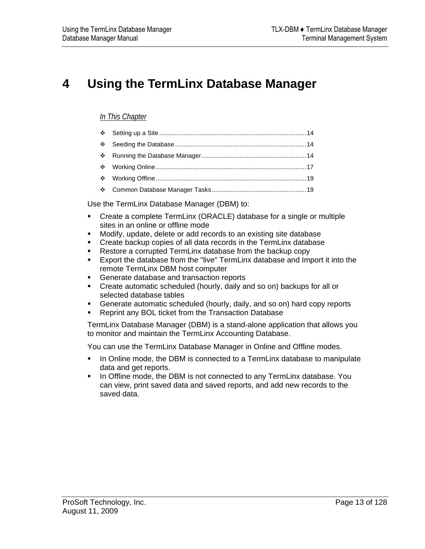## <span id="page-12-0"></span>**4 Using the TermLinx Database Manager**

### *In This Chapter*

Use the TermLinx Database Manager (DBM) to:

- Create a complete TermLinx (ORACLE) database for a single or multiple sites in an online or offline mode
- Modify, update, delete or add records to an existing site database
- **Create backup copies of all data records in the TermLinx database**
- Restore a corrupted TermLinx database from the backup copy<br>Export the database from the "live" TermLinx database and Imr
- Export the database from the "live" TermLinx database and Import it into the remote TermLinx DBM host computer
- **Generate database and transaction reports**
- Create automatic scheduled (hourly, daily and so on) backups for all or selected database tables
- Generate automatic scheduled (hourly, daily, and so on) hard copy reports
- **Reprint any BOL ticket from the Transaction Database**

TermLinx Database Manager (DBM) is a stand-alone application that allows you to monitor and maintain the TermLinx Accounting Database.

You can use the TermLinx Database Manager in Online and Offline modes.

- In Online mode, the DBM is connected to a TermLinx database to manipulate data and get reports.
- In Offline mode, the DBM is not connected to any TermLinx database. You can view, print saved data and saved reports, and add new records to the saved data.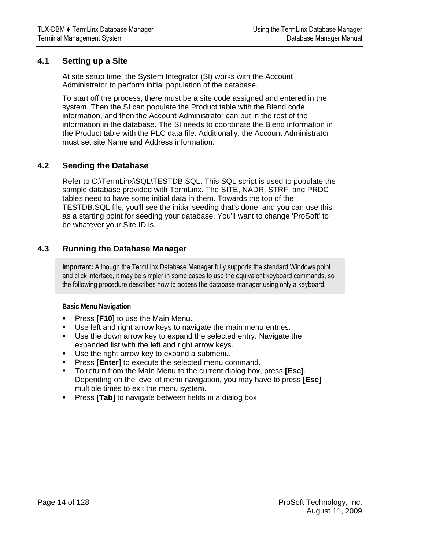## <span id="page-13-0"></span>**4.1 Setting up a Site**

At site setup time, the System Integrator (SI) works with the Account Administrator to perform initial population of the database.

To start off the process, there must be a site code assigned and entered in the system. Then the SI can populate the Product table with the Blend code information, and then the Account Administrator can put in the rest of the information in the database. The SI needs to coordinate the Blend information in the Product table with the PLC data file. Additionally, the Account Administrator must set site Name and Address information.

## **4.2 Seeding the Database**

Refer to C:\TermLinx\SQL\TESTDB.SQL. This SQL script is used to populate the sample database provided with TermLinx. The SITE, NADR, STRF, and PRDC tables need to have some initial data in them. Towards the top of the TESTDB.SQL file, you'll see the initial seeding that's done, and you can use this as a starting point for seeding your database. You'll want to change 'ProSoft' to be whatever your Site ID is.

## **4.3 Running the Database Manager**

**Important:** Although the TermLinx Database Manager fully supports the standard Windows point and click interface, it may be simpler in some cases to use the equivalent keyboard commands, so the following procedure describes how to access the database manager using only a keyboard.

**Basic Menu Navigation** 

- Press **[F10]** to use the Main Menu.
- Use left and right arrow keys to navigate the main menu entries.
- Use the down arrow key to expand the selected entry. Navigate the expanded list with the left and right arrow keys.
- Use the right arrow key to expand a submenu.
- **Press [Enter]** to execute the selected menu command.
- To return from the Main Menu to the current dialog box, press **[Esc]**. Depending on the level of menu navigation, you may have to press **[Esc]**  multiple times to exit the menu system.
- **Press [Tab]** to navigate between fields in a dialog box.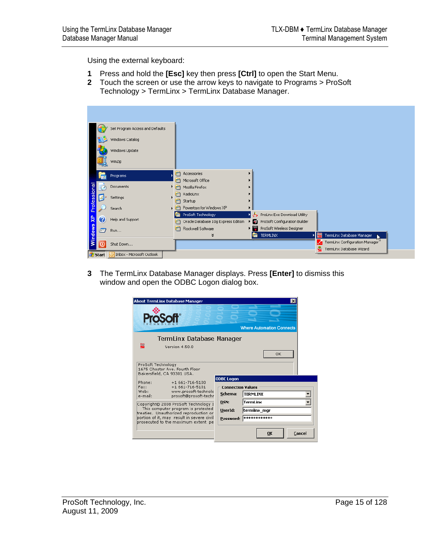Using the external keyboard:

- **1** Press and hold the **[Esc]** key then press **[Ctrl]** to open the Start Menu.
- **2** Touch the screen or use the arrow keys to navigate to Programs > ProSoft Technology > TermLinx > TermLinx Database Manager.

|             |                | Set Program Access and Defaults |        |                                                           |      |                                                               |   |                                                                  |
|-------------|----------------|---------------------------------|--------|-----------------------------------------------------------|------|---------------------------------------------------------------|---|------------------------------------------------------------------|
|             |                | Windows Catalog                 |        |                                                           |      |                                                               |   |                                                                  |
|             |                | Windows Update                  |        |                                                           |      |                                                               |   |                                                                  |
|             |                | WinZip                          |        |                                                           |      |                                                               |   |                                                                  |
|             | <b>FH</b>      | Programs                        | m<br>m | Accessories<br>Microsoft Office                           |      |                                                               |   |                                                                  |
|             | z              | Documents                       | 匾      | Mozilla Firefox                                           |      |                                                               |   |                                                                  |
| Professiona |                | Settings                        | m      | RadioLinx<br>Startup                                      |      |                                                               |   |                                                                  |
|             |                | Search                          | ▶  田   | Powertoys for Windows XP                                  |      |                                                               |   |                                                                  |
| 맞           | Ø              | Help and Support                | 匾      | ProSoft Technology<br>Oracle Database 10g Express Edition | • 61 | ProLinx Exe Download Utility<br>ProSoft Configuration Builder |   |                                                                  |
|             | $\sqrt{-1}$    | Run                             |        | Rockwell Software                                         | ∤ ⊗। | ProSoft Wireless Designer                                     |   |                                                                  |
| Windows     |                | Shut Down                       |        |                                                           | 匾    | <b>TERMLINX</b>                                               |   | TermLinx Database Manager<br>头<br>TermLinx Configuration Manager |
|             | <b>B</b> Start | Inbox - Microsoft Outlook       |        |                                                           |      |                                                               | 족 | TermLinx Database Wizard                                         |

**3** The TermLinx Database Manager displays. Press **[Enter]** to dismiss this window and open the ODBC Logon dialog box.

| <b>About TermLinx Database Manager</b>                                                                                                                                                                              | ×<br><b>Where Automation Connects</b>                                                                                    |
|---------------------------------------------------------------------------------------------------------------------------------------------------------------------------------------------------------------------|--------------------------------------------------------------------------------------------------------------------------|
| TermLinx Database Manager<br>≘≘<br>Version 4.50.0                                                                                                                                                                   | OK                                                                                                                       |
| ProSoft Technology<br>1675 Chester Ave, Fourth Floor<br>Bakersfield, CA 93301 USA.<br>Phone:<br>$+1661 - 716 - 5100$<br>+1 661-716-5101<br>Fax:<br>Web:<br>www.prosoft-technolo<br>prosoft@prosoft-techr<br>e-mail: | <b>ODBC Logon</b><br><b>Connection Values</b><br>Schema:<br><b>TERMLINX</b>                                              |
| Copyright© 2008 ProSoft Technology I<br>This computer program is protected<br>treaties. Unauthorized reproduction or<br>portion of it, may result in severe civil<br>prosecuted to the maximum extent pe            | <b>TermLinx</b><br>DSN:<br>termlinx_mgr<br>UserId:<br><b>stototototototokskokokokokokok</b><br>Password:<br>Cancel<br>OK |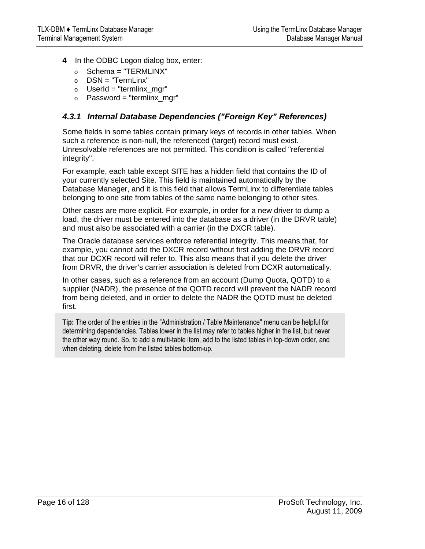- **4** In the ODBC Logon dialog box, enter:
	- $\circ$  Schema = "TERMLINX"
	- o DSN = "TermLinx"
	- $\circ$  UserId = "termlinx mgr"
	- $\circ$  Password = "termlinx mgr"

## *4.3.1 Internal Database Dependencies ("Foreign Key" References)*

Some fields in some tables contain primary keys of records in other tables. When such a reference is non-null, the referenced (target) record must exist. Unresolvable references are not permitted. This condition is called "referential integrity".

For example, each table except SITE has a hidden field that contains the ID of your currently selected Site. This field is maintained automatically by the Database Manager, and it is this field that allows TermLinx to differentiate tables belonging to one site from tables of the same name belonging to other sites.

Other cases are more explicit. For example, in order for a new driver to dump a load, the driver must be entered into the database as a driver (in the DRVR table) and must also be associated with a carrier (in the DXCR table).

The Oracle database services enforce referential integrity. This means that, for example, you cannot add the DXCR record without first adding the DRVR record that our DCXR record will refer to. This also means that if you delete the driver from DRVR, the driver's carrier association is deleted from DCXR automatically.

In other cases, such as a reference from an account (Dump Quota, QOTD) to a supplier (NADR), the presence of the QOTD record will prevent the NADR record from being deleted, and in order to delete the NADR the QOTD must be deleted first.

**Tip:** The order of the entries in the "Administration / Table Maintenance" menu can be helpful for determining dependencies. Tables lower in the list may refer to tables higher in the list, but never the other way round. So, to add a multi-table item, add to the listed tables in top-down order, and when deleting, delete from the listed tables bottom-up.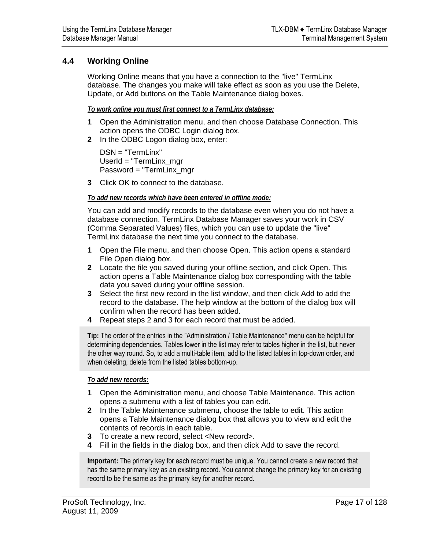## <span id="page-16-0"></span>**4.4 Working Online**

Working Online means that you have a connection to the "live" TermLinx database. The changes you make will take effect as soon as you use the Delete, Update, or Add buttons on the Table Maintenance dialog boxes.

#### *To work online you must first connect to a TermLinx database:*

- **1** Open the Administration menu, and then choose Database Connection. This action opens the ODBC Login dialog box.
- **2** In the ODBC Logon dialog box, enter:

DSN = "TermLinx" UserId = "TermLinx\_mgr Password = "TermLinx\_mgr

**3** Click OK to connect to the database.

#### *To add new records which have been entered in offline mode:*

You can add and modify records to the database even when you do not have a database connection. TermLinx Database Manager saves your work in CSV (Comma Separated Values) files, which you can use to update the "live" TermLinx database the next time you connect to the database.

- **1** Open the File menu, and then choose Open. This action opens a standard File Open dialog box.
- **2** Locate the file you saved during your offline section, and click Open. This action opens a Table Maintenance dialog box corresponding with the table data you saved during your offline session.
- **3** Select the first new record in the list window, and then click Add to add the record to the database. The help window at the bottom of the dialog box will confirm when the record has been added.
- **4** Repeat steps 2 and 3 for each record that must be added.

**Tip:** The order of the entries in the "Administration / Table Maintenance" menu can be helpful for determining dependencies. Tables lower in the list may refer to tables higher in the list, but never the other way round. So, to add a multi-table item, add to the listed tables in top-down order, and when deleting, delete from the listed tables bottom-up.

*To add new records:*

- **1** Open the Administration menu, and choose Table Maintenance. This action opens a submenu with a list of tables you can edit.
- **2** In the Table Maintenance submenu, choose the table to edit. This action opens a Table Maintenance dialog box that allows you to view and edit the contents of records in each table.
- **3** To create a new record, select <New record>.
- **4** Fill in the fields in the dialog box, and then click Add to save the record.

**Important:** The primary key for each record must be unique. You cannot create a new record that has the same primary key as an existing record. You cannot change the primary key for an existing record to be the same as the primary key for another record.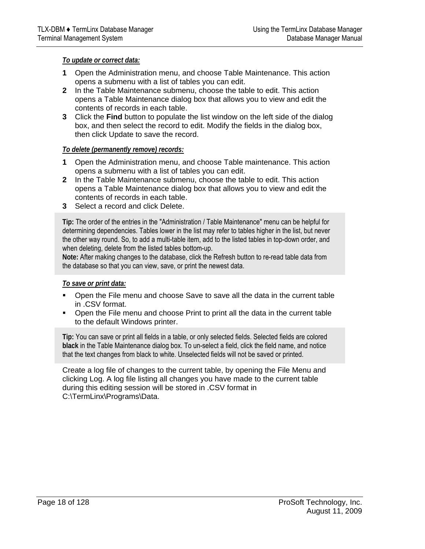#### *To update or correct data:*

- **1** Open the Administration menu, and choose Table Maintenance. This action opens a submenu with a list of tables you can edit.
- **2** In the Table Maintenance submenu, choose the table to edit. This action opens a Table Maintenance dialog box that allows you to view and edit the contents of records in each table.
- **3** Click the **Find** button to populate the list window on the left side of the dialog box, and then select the record to edit. Modify the fields in the dialog box, then click Update to save the record.

#### *To delete (permanently remove) records:*

- **1** Open the Administration menu, and choose Table maintenance. This action opens a submenu with a list of tables you can edit.
- **2** In the Table Maintenance submenu, choose the table to edit. This action opens a Table Maintenance dialog box that allows you to view and edit the contents of records in each table.
- **3** Select a record and click Delete.

**Tip:** The order of the entries in the "Administration / Table Maintenance" menu can be helpful for determining dependencies. Tables lower in the list may refer to tables higher in the list, but never the other way round. So, to add a multi-table item, add to the listed tables in top-down order, and when deleting, delete from the listed tables bottom-up.

**Note:** After making changes to the database, click the Refresh button to re-read table data from the database so that you can view, save, or print the newest data.

#### *To save or print data:*

- Open the File menu and choose Save to save all the data in the current table in .CSV format.
- Open the File menu and choose Print to print all the data in the current table to the default Windows printer.

**Tip:** You can save or print all fields in a table, or only selected fields. Selected fields are colored **black** in the Table Maintenance dialog box. To un-select a field, click the field name, and notice that the text changes from black to white. Unselected fields will not be saved or printed.

Create a log file of changes to the current table, by opening the File Menu and clicking Log. A log file listing all changes you have made to the current table during this editing session will be stored in .CSV format in C:\TermLinx\Programs\Data.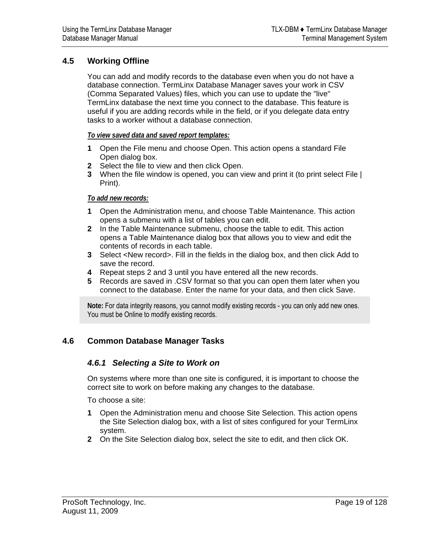## <span id="page-18-0"></span>**4.5 Working Offline**

You can add and modify records to the database even when you do not have a database connection. TermLinx Database Manager saves your work in CSV (Comma Separated Values) files, which you can use to update the "live" TermLinx database the next time you connect to the database. This feature is useful if you are adding records while in the field, or if you delegate data entry tasks to a worker without a database connection.

#### *To view saved data and saved report templates:*

- **1** Open the File menu and choose Open. This action opens a standard File Open dialog box.
- **2** Select the file to view and then click Open.
- **3** When the file window is opened, you can view and print it (to print select File | Print).

#### *To add new records:*

- **1** Open the Administration menu, and choose Table Maintenance. This action opens a submenu with a list of tables you can edit.
- **2** In the Table Maintenance submenu, choose the table to edit. This action opens a Table Maintenance dialog box that allows you to view and edit the contents of records in each table.
- **3** Select <New record>. Fill in the fields in the dialog box, and then click Add to save the record.
- **4** Repeat steps 2 and 3 until you have entered all the new records.
- **5** Records are saved in .CSV format so that you can open them later when you connect to the database. Enter the name for your data, and then click Save.

**Note:** For data integrity reasons, you cannot modify existing records - you can only add new ones. You must be Online to modify existing records.

## **4.6 Common Database Manager Tasks**

## *4.6.1 Selecting a Site to Work on*

On systems where more than one site is configured, it is important to choose the correct site to work on before making any changes to the database.

To choose a site:

- **1** Open the Administration menu and choose Site Selection. This action opens the Site Selection dialog box, with a list of sites configured for your TermLinx system.
- **2** On the Site Selection dialog box, select the site to edit, and then click OK.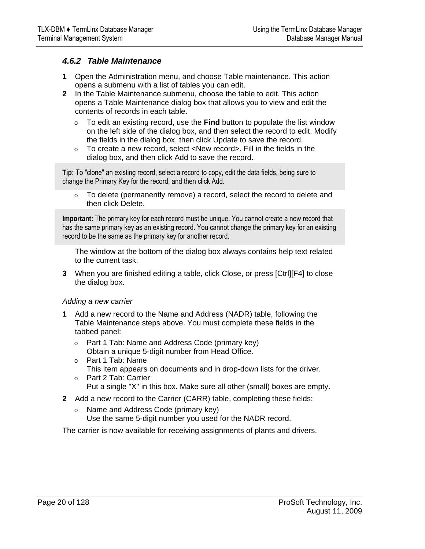## *4.6.2 Table Maintenance*

- **1** Open the Administration menu, and choose Table maintenance. This action opens a submenu with a list of tables you can edit.
- **2** In the Table Maintenance submenu, choose the table to edit. This action opens a Table Maintenance dialog box that allows you to view and edit the contents of records in each table.
	- o To edit an existing record, use the **Find** button to populate the list window on the left side of the dialog box, and then select the record to edit. Modify the fields in the dialog box, then click Update to save the record.
	- o To create a new record, select <New record>. Fill in the fields in the dialog box, and then click Add to save the record.

**Tip:** To "clone" an existing record, select a record to copy, edit the data fields, being sure to change the Primary Key for the record, and then click Add.

o To delete (permanently remove) a record, select the record to delete and then click Delete.

**Important:** The primary key for each record must be unique. You cannot create a new record that has the same primary key as an existing record. You cannot change the primary key for an existing record to be the same as the primary key for another record.

The window at the bottom of the dialog box always contains help text related to the current task.

**3** When you are finished editing a table, click Close, or press [Ctrl][F4] to close the dialog box.

#### *Adding a new carrier*

- **1** Add a new record to the Name and Address (NADR) table, following the Table Maintenance steps above. You must complete these fields in the tabbed panel:
	- o Part 1 Tab: Name and Address Code (primary key) Obtain a unique 5-digit number from Head Office.
	- o Part 1 Tab: Name
	- This item appears on documents and in drop-down lists for the driver.
	- o Part 2 Tab: Carrier Put a single "X" in this box. Make sure all other (small) boxes are empty.
- **2** Add a new record to the Carrier (CARR) table, completing these fields:
	- o Name and Address Code (primary key) Use the same 5-digit number you used for the NADR record.

The carrier is now available for receiving assignments of plants and drivers.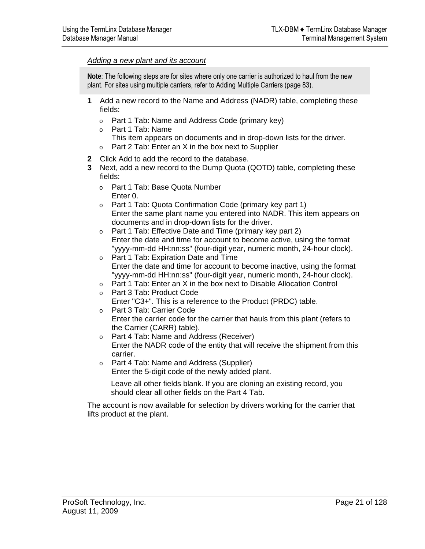#### *Adding a new plant and its account*

**Note**: The following steps are for sites where only one carrier is authorized to haul from the new plant. For sites using multiple carriers, refer to Adding Multiple Carriers (page [83\)](#page-82-0).

- **1** Add a new record to the Name and Address (NADR) table, completing these fields:
	- o Part 1 Tab: Name and Address Code (primary key)
	- o Part 1 Tab: Name
		- This item appears on documents and in drop-down lists for the driver.
	- o Part 2 Tab: Enter an X in the box next to Supplier
- **2** Click Add to add the record to the database.
- **3** Next, add a new record to the Dump Quota (QOTD) table, completing these fields:
	- o Part 1 Tab: Base Quota Number Enter 0.
	- o Part 1 Tab: Quota Confirmation Code (primary key part 1) Enter the same plant name you entered into NADR. This item appears on documents and in drop-down lists for the driver.
	- o Part 1 Tab: Effective Date and Time (primary key part 2) Enter the date and time for account to become active, using the format "yyyy-mm-dd HH:nn:ss" (four-digit year, numeric month, 24-hour clock).
	- o Part 1 Tab: Expiration Date and Time Enter the date and time for account to become inactive, using the format "yyyy-mm-dd HH:nn:ss" (four-digit year, numeric month, 24-hour clock).
	- o Part 1 Tab: Enter an X in the box next to Disable Allocation Control
	- o Part 3 Tab: Product Code
		- Enter "C3+". This is a reference to the Product (PRDC) table.
	- o Part 3 Tab: Carrier Code Enter the carrier code for the carrier that hauls from this plant (refers to the Carrier (CARR) table).
	- o Part 4 Tab: Name and Address (Receiver) Enter the NADR code of the entity that will receive the shipment from this carrier.
	- o Part 4 Tab: Name and Address (Supplier)

Enter the 5-digit code of the newly added plant.

Leave all other fields blank. If you are cloning an existing record, you should clear all other fields on the Part 4 Tab.

The account is now available for selection by drivers working for the carrier that lifts product at the plant.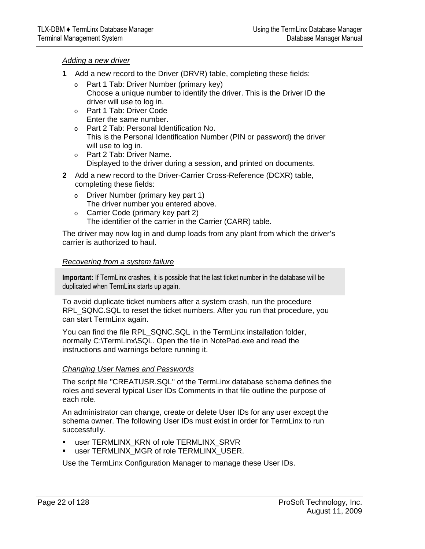#### *Adding a new driver*

- **1** Add a new record to the Driver (DRVR) table, completing these fields:
	- o Part 1 Tab: Driver Number (primary key) Choose a unique number to identify the driver. This is the Driver ID the driver will use to log in.
	- o Part 1 Tab: Driver Code Enter the same number.
	- o Part 2 Tab: Personal Identification No. This is the Personal Identification Number (PIN or password) the driver will use to log in.
	- o Part 2 Tab: Driver Name. Displayed to the driver during a session, and printed on documents.
- **2** Add a new record to the Driver-Carrier Cross-Reference (DCXR) table, completing these fields:
	- o Driver Number (primary key part 1) The driver number you entered above.
	- o Carrier Code (primary key part 2) The identifier of the carrier in the Carrier (CARR) table.

The driver may now log in and dump loads from any plant from which the driver's carrier is authorized to haul.

#### *Recovering from a system failure*

**Important:** If TermLinx crashes, it is possible that the last ticket number in the database will be duplicated when TermLinx starts up again.

To avoid duplicate ticket numbers after a system crash, run the procedure RPL\_SQNC.SQL to reset the ticket numbers. After you run that procedure, you can start TermLinx again.

You can find the file RPL\_SQNC.SQL in the TermLinx installation folder, normally C:\TermLinx\SQL. Open the file in NotePad.exe and read the instructions and warnings before running it.

#### *Changing User Names and Passwords*

The script file "CREATUSR.SQL" of the TermLinx database schema defines the roles and several typical User IDs Comments in that file outline the purpose of each role.

An administrator can change, create or delete User IDs for any user except the schema owner. The following User IDs must exist in order for TermLinx to run successfully.

- user TERMLINX\_KRN of role TERMLINX\_SRVR
- **EXECTERMLINX MGR of role TERMLINX USER.**

Use the TermLinx Configuration Manager to manage these User IDs.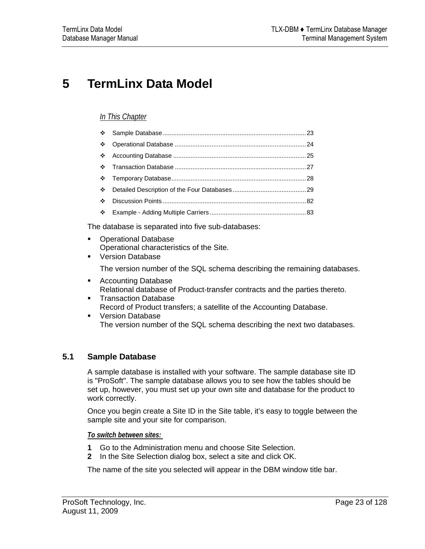## <span id="page-22-0"></span>**5 TermLinx Data Model**

## *In This Chapter*

| $\mathcal{L}_{\mathcal{C}}$ |  |
|-----------------------------|--|
|                             |  |

The database is separated into five sub-databases:

- Operational Database Operational characteristics of the Site.
- **Version Database**

The version number of the SQL schema describing the remaining databases.

- Accounting Database Relational database of Product-transfer contracts and the parties thereto.
- **Transaction Database** Record of Product transfers; a satellite of the Accounting Database.
- **Version Database** The version number of the SQL schema describing the next two databases.

## **5.1 Sample Database**

A sample database is installed with your software. The sample database site ID is "ProSoft". The sample database allows you to see how the tables should be set up, however, you must set up your own site and database for the product to work correctly.

Once you begin create a Site ID in the Site table, it's easy to toggle between the sample site and your site for comparison.

*To switch between sites:* 

- **1** Go to the Administration menu and choose Site Selection.
- **2** In the Site Selection dialog box, select a site and click OK.

The name of the site you selected will appear in the DBM window title bar.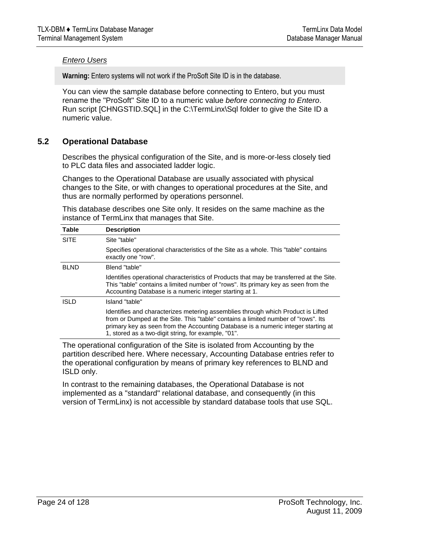#### <span id="page-23-0"></span>*Entero Users*

**Warning:** Entero systems will not work if the ProSoft Site ID is in the database.

You can view the sample database before connecting to Entero, but you must rename the "ProSoft" Site ID to a numeric value *before connecting to Entero*. Run script [CHNGSTID.SQL] in the C:\TermLinx\Sql folder to give the Site ID a numeric value.

## **5.2 Operational Database**

Describes the physical configuration of the Site, and is more-or-less closely tied to PLC data files and associated ladder logic.

Changes to the Operational Database are usually associated with physical changes to the Site, or with changes to operational procedures at the Site, and thus are normally performed by operations personnel.

This database describes one Site only. It resides on the same machine as the instance of TermLinx that manages that Site.

| <b>Table</b> | <b>Description</b>                                                                                                                                                                                                                                                                                                |
|--------------|-------------------------------------------------------------------------------------------------------------------------------------------------------------------------------------------------------------------------------------------------------------------------------------------------------------------|
| <b>SITE</b>  | Site "table"                                                                                                                                                                                                                                                                                                      |
|              | Specifies operational characteristics of the Site as a whole. This "table" contains<br>exactly one "row".                                                                                                                                                                                                         |
| <b>BLND</b>  | Blend "table"                                                                                                                                                                                                                                                                                                     |
|              | Identifies operational characteristics of Products that may be transferred at the Site.<br>This "table" contains a limited number of "rows". Its primary key as seen from the<br>Accounting Database is a numeric integer starting at 1.                                                                          |
| <b>ISLD</b>  | Island "table"                                                                                                                                                                                                                                                                                                    |
|              | Identifies and characterizes metering assemblies through which Product is Lifted<br>from or Dumped at the Site. This "table" contains a limited number of "rows". Its<br>primary key as seen from the Accounting Database is a numeric integer starting at<br>1, stored as a two-digit string, for example, "01". |

The operational configuration of the Site is isolated from Accounting by the partition described here. Where necessary, Accounting Database entries refer to the operational configuration by means of primary key references to BLND and ISLD only.

In contrast to the remaining databases, the Operational Database is not implemented as a "standard" relational database, and consequently (in this version of TermLinx) is not accessible by standard database tools that use SQL.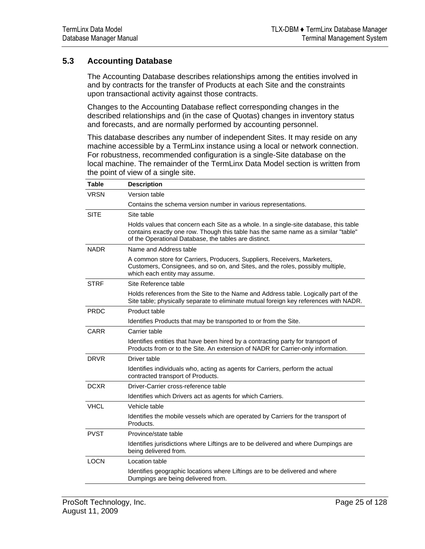## <span id="page-24-0"></span>**5.3 Accounting Database**

The Accounting Database describes relationships among the entities involved in and by contracts for the transfer of Products at each Site and the constraints upon transactional activity against those contracts.

Changes to the Accounting Database reflect corresponding changes in the described relationships and (in the case of Quotas) changes in inventory status and forecasts, and are normally performed by accounting personnel.

This database describes any number of independent Sites. It may reside on any machine accessible by a TermLinx instance using a local or network connection. For robustness, recommended configuration is a single-Site database on the local machine. The remainder of the TermLinx Data Model section is written from the point of view of a single site.

| <b>Table</b> | <b>Description</b>                                                                                                                                                                                                                   |
|--------------|--------------------------------------------------------------------------------------------------------------------------------------------------------------------------------------------------------------------------------------|
| <b>VRSN</b>  | Version table                                                                                                                                                                                                                        |
|              | Contains the schema version number in various representations.                                                                                                                                                                       |
| <b>SITE</b>  | Site table                                                                                                                                                                                                                           |
|              | Holds values that concern each Site as a whole. In a single-site database, this table<br>contains exactly one row. Though this table has the same name as a similar "table"<br>of the Operational Database, the tables are distinct. |
| <b>NADR</b>  | Name and Address table                                                                                                                                                                                                               |
|              | A common store for Carriers, Producers, Suppliers, Receivers, Marketers,<br>Customers, Consignees, and so on, and Sites, and the roles, possibly multiple,<br>which each entity may assume.                                          |
| <b>STRF</b>  | Site Reference table                                                                                                                                                                                                                 |
|              | Holds references from the Site to the Name and Address table. Logically part of the<br>Site table; physically separate to eliminate mutual foreign key references with NADR.                                                         |
| <b>PRDC</b>  | Product table                                                                                                                                                                                                                        |
|              | Identifies Products that may be transported to or from the Site.                                                                                                                                                                     |
| CARR         | Carrier table                                                                                                                                                                                                                        |
|              | Identifies entities that have been hired by a contracting party for transport of<br>Products from or to the Site. An extension of NADR for Carrier-only information.                                                                 |
| <b>DRVR</b>  | Driver table                                                                                                                                                                                                                         |
|              | Identifies individuals who, acting as agents for Carriers, perform the actual<br>contracted transport of Products.                                                                                                                   |
| <b>DCXR</b>  | Driver-Carrier cross-reference table                                                                                                                                                                                                 |
|              | Identifies which Drivers act as agents for which Carriers.                                                                                                                                                                           |
| <b>VHCL</b>  | Vehicle table                                                                                                                                                                                                                        |
|              | Identifies the mobile vessels which are operated by Carriers for the transport of<br>Products.                                                                                                                                       |
| <b>PVST</b>  | Province/state table                                                                                                                                                                                                                 |
|              | Identifies jurisdictions where Liftings are to be delivered and where Dumpings are<br>being delivered from.                                                                                                                          |
| <b>LOCN</b>  | Location table                                                                                                                                                                                                                       |
|              | Identifies geographic locations where Liftings are to be delivered and where<br>Dumpings are being delivered from.                                                                                                                   |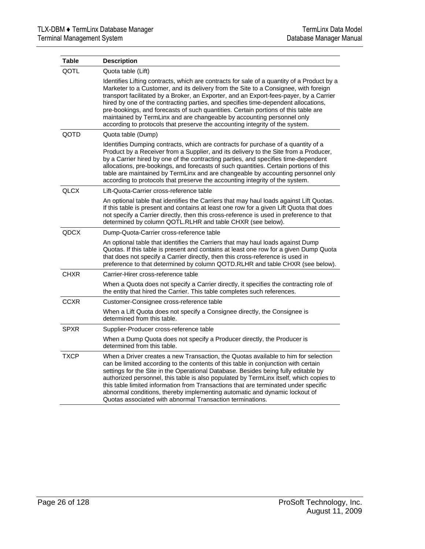| <b>Table</b> | <b>Description</b>                                                                                                                                                                                                                                                                                                                                                                                                                                                                                                                                                                                                |
|--------------|-------------------------------------------------------------------------------------------------------------------------------------------------------------------------------------------------------------------------------------------------------------------------------------------------------------------------------------------------------------------------------------------------------------------------------------------------------------------------------------------------------------------------------------------------------------------------------------------------------------------|
| QOTL         | Quota table (Lift)                                                                                                                                                                                                                                                                                                                                                                                                                                                                                                                                                                                                |
|              | Identifies Lifting contracts, which are contracts for sale of a quantity of a Product by a<br>Marketer to a Customer, and its delivery from the Site to a Consignee, with foreign<br>transport facilitated by a Broker, an Exporter, and an Export-fees-payer, by a Carrier<br>hired by one of the contracting parties, and specifies time-dependent allocations,<br>pre-bookings, and forecasts of such quantities. Certain portions of this table are<br>maintained by TermLinx and are changeable by accounting personnel only<br>according to protocols that preserve the accounting integrity of the system. |
| QOTD         | Quota table (Dump)                                                                                                                                                                                                                                                                                                                                                                                                                                                                                                                                                                                                |
|              | Identifies Dumping contracts, which are contracts for purchase of a quantity of a<br>Product by a Receiver from a Supplier, and its delivery to the Site from a Producer,<br>by a Carrier hired by one of the contracting parties, and specifies time-dependent<br>allocations, pre-bookings, and forecasts of such quantities. Certain portions of this<br>table are maintained by TermLinx and are changeable by accounting personnel only<br>according to protocols that preserve the accounting integrity of the system.                                                                                      |
| <b>QLCX</b>  | Lift-Quota-Carrier cross-reference table                                                                                                                                                                                                                                                                                                                                                                                                                                                                                                                                                                          |
|              | An optional table that identifies the Carriers that may haul loads against Lift Quotas.<br>If this table is present and contains at least one row for a given Lift Quota that does<br>not specify a Carrier directly, then this cross-reference is used in preference to that<br>determined by column QOTL.RLHR and table CHXR (see below).                                                                                                                                                                                                                                                                       |
| <b>QDCX</b>  | Dump-Quota-Carrier cross-reference table                                                                                                                                                                                                                                                                                                                                                                                                                                                                                                                                                                          |
|              | An optional table that identifies the Carriers that may haul loads against Dump<br>Quotas. If this table is present and contains at least one row for a given Dump Quota<br>that does not specify a Carrier directly, then this cross-reference is used in<br>preference to that determined by column QOTD.RLHR and table CHXR (see below).                                                                                                                                                                                                                                                                       |
| <b>CHXR</b>  | Carrier-Hirer cross-reference table                                                                                                                                                                                                                                                                                                                                                                                                                                                                                                                                                                               |
|              | When a Quota does not specify a Carrier directly, it specifies the contracting role of<br>the entity that hired the Carrier. This table completes such references.                                                                                                                                                                                                                                                                                                                                                                                                                                                |
| <b>CCXR</b>  | Customer-Consignee cross-reference table                                                                                                                                                                                                                                                                                                                                                                                                                                                                                                                                                                          |
|              | When a Lift Quota does not specify a Consignee directly, the Consignee is<br>determined from this table.                                                                                                                                                                                                                                                                                                                                                                                                                                                                                                          |
| <b>SPXR</b>  | Supplier-Producer cross-reference table                                                                                                                                                                                                                                                                                                                                                                                                                                                                                                                                                                           |
|              | When a Dump Quota does not specify a Producer directly, the Producer is<br>determined from this table.                                                                                                                                                                                                                                                                                                                                                                                                                                                                                                            |
| <b>TXCP</b>  | When a Driver creates a new Transaction, the Quotas available to him for selection<br>can be limited according to the contents of this table in conjunction with certain<br>settings for the Site in the Operational Database. Besides being fully editable by<br>authorized personnel, this table is also populated by TermLinx itself, which copies to<br>this table limited information from Transactions that are terminated under specific<br>abnormal conditions, thereby implementing automatic and dynamic lockout of<br>Quotas associated with abnormal Transaction terminations.                        |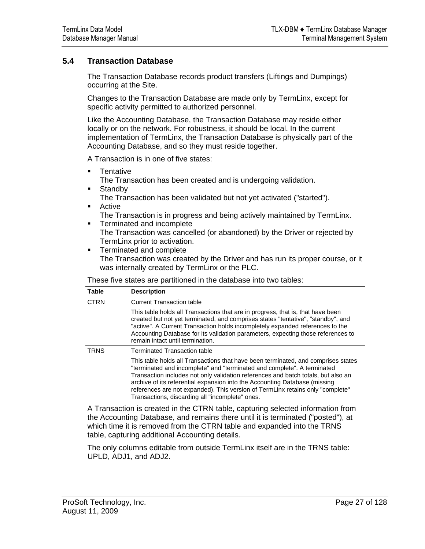## <span id="page-26-0"></span>**5.4 Transaction Database**

The Transaction Database records product transfers (Liftings and Dumpings) occurring at the Site.

Changes to the Transaction Database are made only by TermLinx, except for specific activity permitted to authorized personnel.

Like the Accounting Database, the Transaction Database may reside either locally or on the network. For robustness, it should be local. In the current implementation of TermLinx, the Transaction Database is physically part of the Accounting Database, and so they must reside together.

A Transaction is in one of five states:

- **Tentative** 
	- The Transaction has been created and is undergoing validation.
- **Standby** The Transaction has been validated but not yet activated ("started").
- **Active** The Transaction is in progress and being actively maintained by TermLinx.
- **Terminated and incomplete** The Transaction was cancelled (or abandoned) by the Driver or rejected by TermLinx prior to activation.
- **Terminated and complete** The Transaction was created by the Driver and has run its proper course, or it was internally created by TermLinx or the PLC.

These five states are partitioned in the database into two tables:

| <b>Table</b> | <b>Description</b>                                                                                                                                                                                                                                                                                                                                                                                                                                                   |
|--------------|----------------------------------------------------------------------------------------------------------------------------------------------------------------------------------------------------------------------------------------------------------------------------------------------------------------------------------------------------------------------------------------------------------------------------------------------------------------------|
| <b>CTRN</b>  | <b>Current Transaction table</b>                                                                                                                                                                                                                                                                                                                                                                                                                                     |
|              | This table holds all Transactions that are in progress, that is, that have been<br>created but not yet terminated, and comprises states "tentative", "standby", and<br>"active". A Current Transaction holds incompletely expanded references to the<br>Accounting Database for its validation parameters, expecting those references to<br>remain intact until termination.                                                                                         |
| <b>TRNS</b>  | <b>Terminated Transaction table</b>                                                                                                                                                                                                                                                                                                                                                                                                                                  |
|              | This table holds all Transactions that have been terminated, and comprises states<br>"terminated and incomplete" and "terminated and complete". A terminated<br>Transaction includes not only validation references and batch totals, but also an<br>archive of its referential expansion into the Accounting Database (missing<br>references are not expanded). This version of TermLinx retains only "complete"<br>Transactions, discarding all "incomplete" ones. |

A Transaction is created in the CTRN table, capturing selected information from the Accounting Database, and remains there until it is terminated ("posted"), at which time it is removed from the CTRN table and expanded into the TRNS table, capturing additional Accounting details.

The only columns editable from outside TermLinx itself are in the TRNS table: UPLD, ADJ1, and ADJ2.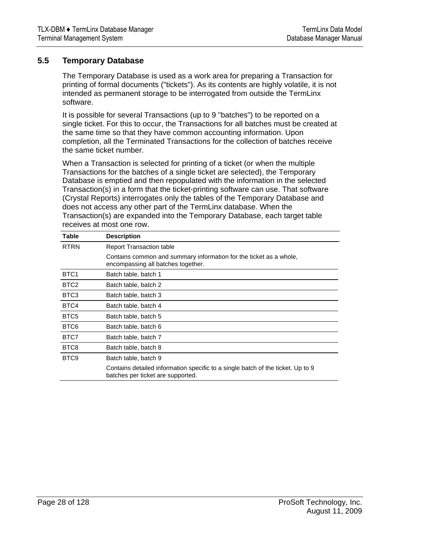## <span id="page-27-0"></span>**5.5 Temporary Database**

The Temporary Database is used as a work area for preparing a Transaction for printing of formal documents ("tickets"). As its contents are highly volatile, it is not intended as permanent storage to be interrogated from outside the TermLinx software.

It is possible for several Transactions (up to 9 "batches") to be reported on a single ticket. For this to occur, the Transactions for all batches must be created at the same time so that they have common accounting information. Upon completion, all the Terminated Transactions for the collection of batches receive the same ticket number.

When a Transaction is selected for printing of a ticket (or when the multiple Transactions for the batches of a single ticket are selected), the Temporary Database is emptied and then repopulated with the information in the selected Transaction(s) in a form that the ticket-printing software can use. That software (Crystal Reports) interrogates only the tables of the Temporary Database and does not access any other part of the TermLinx database. When the Transaction(s) are expanded into the Temporary Database, each target table receives at most one row.

| Table            | <b>Description</b>                                                                                                   |
|------------------|----------------------------------------------------------------------------------------------------------------------|
| <b>RTRN</b>      | <b>Report Transaction table</b>                                                                                      |
|                  | Contains common and summary information for the ticket as a whole,<br>encompassing all batches together.             |
| BTC <sub>1</sub> | Batch table, batch 1                                                                                                 |
| BTC <sub>2</sub> | Batch table, batch 2                                                                                                 |
| BTC <sub>3</sub> | Batch table, batch 3                                                                                                 |
| BTC4             | Batch table, batch 4                                                                                                 |
| BTC <sub>5</sub> | Batch table, batch 5                                                                                                 |
| BTC <sub>6</sub> | Batch table, batch 6                                                                                                 |
| BTC7             | Batch table, batch 7                                                                                                 |
| BTC8             | Batch table, batch 8                                                                                                 |
| BTC <sub>9</sub> | Batch table, batch 9                                                                                                 |
|                  | Contains detailed information specific to a single batch of the ticket. Up to 9<br>batches per ticket are supported. |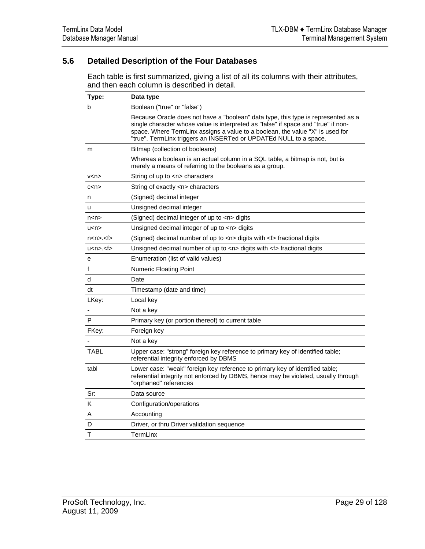## <span id="page-28-0"></span>**5.6 Detailed Description of the Four Databases**

Each table is first summarized, giving a list of all its columns with their attributes, and then each column is described in detail.

| Type:                          | Data type                                                                                                                                                                                                                                                                                                                     |
|--------------------------------|-------------------------------------------------------------------------------------------------------------------------------------------------------------------------------------------------------------------------------------------------------------------------------------------------------------------------------|
| b                              | Boolean ("true" or "false")                                                                                                                                                                                                                                                                                                   |
|                                | Because Oracle does not have a "boolean" data type, this type is represented as a<br>single character whose value is interpreted as "false" if space and "true" if non-<br>space. Where TermLinx assigns a value to a boolean, the value "X" is used for<br>"true". TermLinx triggers an INSERTed or UPDATEd NULL to a space. |
| m                              | Bitmap (collection of booleans)                                                                                                                                                                                                                                                                                               |
|                                | Whereas a boolean is an actual column in a SQL table, a bitmap is not, but is<br>merely a means of referring to the booleans as a group.                                                                                                                                                                                      |
| v < n >                        | String of up to <n> characters</n>                                                                                                                                                                                                                                                                                            |
| c< n>                          | String of exactly <n> characters</n>                                                                                                                                                                                                                                                                                          |
| n                              | (Signed) decimal integer                                                                                                                                                                                                                                                                                                      |
| u                              | Unsigned decimal integer                                                                                                                                                                                                                                                                                                      |
| n < n >                        | (Signed) decimal integer of up to <n> digits</n>                                                                                                                                                                                                                                                                              |
| u < n >                        | Unsigned decimal integer of up to $\langle n \rangle$ digits                                                                                                                                                                                                                                                                  |
| n <sub>nn</sub> < <sub>5</sub> | (Signed) decimal number of up to <n> digits with <f> fractional digits</f></n>                                                                                                                                                                                                                                                |
| u < n > 0 < f > 0              | Unsigned decimal number of up to <n> digits with <f> fractional digits</f></n>                                                                                                                                                                                                                                                |
| е                              | Enumeration (list of valid values)                                                                                                                                                                                                                                                                                            |
| f                              | <b>Numeric Floating Point</b>                                                                                                                                                                                                                                                                                                 |
| d                              | Date                                                                                                                                                                                                                                                                                                                          |
| dt                             | Timestamp (date and time)                                                                                                                                                                                                                                                                                                     |
| LKey:                          | Local key                                                                                                                                                                                                                                                                                                                     |
|                                | Not a key                                                                                                                                                                                                                                                                                                                     |
| P                              | Primary key (or portion thereof) to current table                                                                                                                                                                                                                                                                             |
| FKey:                          | Foreign key                                                                                                                                                                                                                                                                                                                   |
|                                | Not a key                                                                                                                                                                                                                                                                                                                     |
| <b>TABL</b>                    | Upper case: "strong" foreign key reference to primary key of identified table;<br>referential integrity enforced by DBMS                                                                                                                                                                                                      |
| tabl                           | Lower case: "weak" foreign key reference to primary key of identified table;<br>referential integrity not enforced by DBMS, hence may be violated, usually through<br>"orphaned" references                                                                                                                                   |
| Sr:                            | Data source                                                                                                                                                                                                                                                                                                                   |
| Κ                              | Configuration/operations                                                                                                                                                                                                                                                                                                      |
| Α                              | Accounting                                                                                                                                                                                                                                                                                                                    |
| D                              | Driver, or thru Driver validation sequence                                                                                                                                                                                                                                                                                    |
| т                              | TermLinx                                                                                                                                                                                                                                                                                                                      |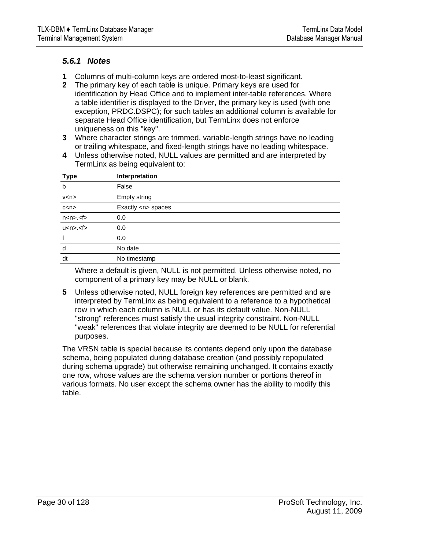## *5.6.1 Notes*

- **1** Columns of multi-column keys are ordered most-to-least significant.
- **2** The primary key of each table is unique. Primary keys are used for identification by Head Office and to implement inter-table references. Where a table identifier is displayed to the Driver, the primary key is used (with one exception, PRDC.DSPC); for such tables an additional column is available for separate Head Office identification, but TermLinx does not enforce uniqueness on this "key".
- **3** Where character strings are trimmed, variable-length strings have no leading or trailing whitespace, and fixed-length strings have no leading whitespace.
- **4** Unless otherwise noted, NULL values are permitted and are interpreted by TermLinx as being equivalent to:

| <b>Type</b>     | Interpretation         |
|-----------------|------------------------|
| b               | False                  |
| v < n >         | Empty string           |
| c< n            | Exactly <n> spaces</n> |
| $nnn$ $ltfn$    | 0.0                    |
| u < n > . < f > | 0.0                    |
|                 | 0.0                    |
| d               | No date                |
| dt              | No timestamp           |

Where a default is given, NULL is not permitted. Unless otherwise noted, no component of a primary key may be NULL or blank.

**5** Unless otherwise noted, NULL foreign key references are permitted and are interpreted by TermLinx as being equivalent to a reference to a hypothetical row in which each column is NULL or has its default value. Non-NULL "strong" references must satisfy the usual integrity constraint. Non-NULL "weak" references that violate integrity are deemed to be NULL for referential purposes.

The VRSN table is special because its contents depend only upon the database schema, being populated during database creation (and possibly repopulated during schema upgrade) but otherwise remaining unchanged. It contains exactly one row, whose values are the schema version number or portions thereof in various formats. No user except the schema owner has the ability to modify this table.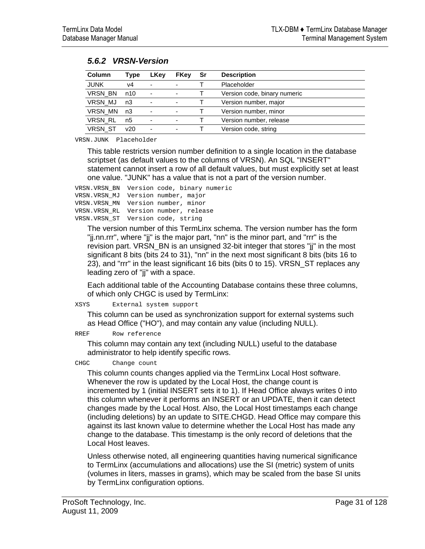| Column         | Type | LKey                     | <b>FKey</b>              | Sr | <b>Description</b>           |
|----------------|------|--------------------------|--------------------------|----|------------------------------|
| <b>JUNK</b>    | v4   | ۰                        | $\blacksquare$           |    | Placeholder                  |
| VRSN BN        | n10  | $\overline{\phantom{0}}$ | $\blacksquare$           |    | Version code, binary numeric |
| VRSN MJ        | n3   |                          | $\overline{\phantom{a}}$ |    | Version number, major        |
| VRSN MN        | n3   |                          | $\overline{\phantom{a}}$ |    | Version number, minor        |
| <b>VRSN RL</b> | n5   | ٠                        | $\overline{\phantom{0}}$ |    | Version number, release      |
| <b>VRSN ST</b> | v20  | $\overline{\phantom{0}}$ | $\overline{\phantom{0}}$ |    | Version code, string         |

VRSN.JUNK Placeholder

This table restricts version number definition to a single location in the database scriptset (as default values to the columns of VRSN). An SQL "INSERT" statement cannot insert a row of all default values, but must explicitly set at least one value. "JUNK" has a value that is not a part of the version number.

VRSN.VRSN\_BN Version code, binary numeric VRSN.VRSN\_MJ Version number, major VRSN.VRSN\_MN Version number, minor VRSN.VRSN\_RL Version number, release VRSN.VRSN\_ST Version code, string

The version number of this TermLinx schema. The version number has the form "jj.nn.rrr", where "jj" is the major part, "nn" is the minor part, and "rrr" is the revision part. VRSN\_BN is an unsigned 32-bit integer that stores "jj" in the most significant 8 bits (bits 24 to 31), "nn" in the next most significant 8 bits (bits 16 to 23), and "rrr" in the least significant 16 bits (bits 0 to 15). VRSN\_ST replaces any leading zero of "jj" with a space.

Each additional table of the Accounting Database contains these three columns, of which only CHGC is used by TermLinx:

XSYS External system support

This column can be used as synchronization support for external systems such as Head Office ("HO"), and may contain any value (including NULL).

#### RREF Row reference

This column may contain any text (including NULL) useful to the database administrator to help identify specific rows.

CHGC Change count

This column counts changes applied via the TermLinx Local Host software. Whenever the row is updated by the Local Host, the change count is incremented by 1 (initial INSERT sets it to 1). If Head Office always writes 0 into this column whenever it performs an INSERT or an UPDATE, then it can detect changes made by the Local Host. Also, the Local Host timestamps each change (including deletions) by an update to SITE.CHGD. Head Office may compare this against its last known value to determine whether the Local Host has made any change to the database. This timestamp is the only record of deletions that the Local Host leaves.

Unless otherwise noted, all engineering quantities having numerical significance to TermLinx (accumulations and allocations) use the SI (metric) system of units (volumes in liters, masses in grams), which may be scaled from the base SI units by TermLinx configuration options.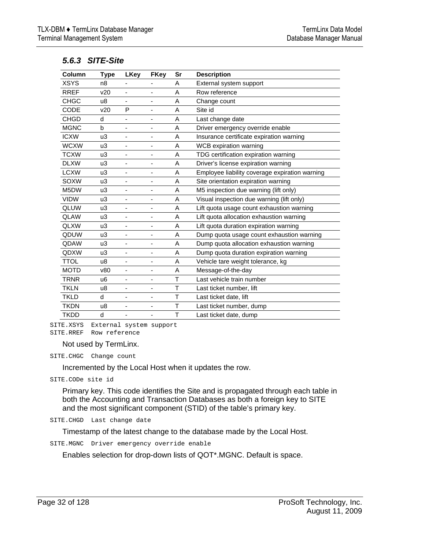| Column      | Type           | <b>LKey</b>                  | <b>FKey</b> | Sr | <b>Description</b>                             |
|-------------|----------------|------------------------------|-------------|----|------------------------------------------------|
| <b>XSYS</b> | n <sub>8</sub> |                              | -           | A  | External system support                        |
| <b>RREF</b> | v20            |                              | ä,          | A  | Row reference                                  |
| <b>CHGC</b> | u8             | $\overline{\phantom{m}}$     | -           | A  | Change count                                   |
| CODE        | v20            | P                            | ٠           | A  | Site id                                        |
| <b>CHGD</b> | d              | ٠                            | -           | A  | Last change date                               |
| <b>MGNC</b> | b              | ÷,                           | ٠           | A  | Driver emergency override enable               |
| <b>ICXW</b> | u3             | $\blacksquare$               | ä,          | A  | Insurance certificate expiration warning       |
| <b>WCXW</b> | u3             | -                            | -           | A  | WCB expiration warning                         |
| <b>TCXW</b> | u3             | ٠                            | -           | A  | TDG certification expiration warning           |
| <b>DLXW</b> | u3             |                              | ä,          | A  | Driver's license expiration warning            |
| <b>LCXW</b> | u3             | $\overline{\phantom{0}}$     | -           | A  | Employee liability coverage expiration warning |
| <b>SOXW</b> | u3             | ٠                            | -           | A  | Site orientation expiration warning            |
| M5DW        | u3             | ٠                            | -           | A  | M5 inspection due warning (lift only)          |
| <b>VIDW</b> | u3             | $\qquad \qquad \blacksquare$ | -           | A  | Visual inspection due warning (lift only)      |
| <b>QLUW</b> | u3             | ä,                           | ä,          | A  | Lift quota usage count exhaustion warning      |
| <b>QLAW</b> | u3             | $\qquad \qquad \blacksquare$ | -           | A  | Lift quota allocation exhaustion warning       |
| <b>QLXW</b> | u3             | -                            | -           | A  | Lift quota duration expiration warning         |
| QDUW        | u3             | ä,                           | -           | A  | Dump quota usage count exhaustion warning      |
| QDAW        | u3             | ÷,                           | -           | A  | Dump quota allocation exhaustion warning       |
| QDXW        | u3             | ÷                            | -           | A  | Dump quota duration expiration warning         |
| <b>TTOL</b> | u8             | ٠                            | -           | A  | Vehicle tare weight tolerance, kg              |
| <b>MOTD</b> | v80            | ٠                            | -           | A  | Message-of-the-day                             |
| <b>TRNR</b> | u6             |                              | ä,          | T  | Last vehicle train number                      |
| <b>TKLN</b> | u8             | $\overline{\phantom{0}}$     | -           | T  | Last ticket number, lift                       |
| <b>TKLD</b> | d              | ٠                            | ٠           | T  | Last ticket date, lift                         |
| <b>TKDN</b> | u8             | ٠                            | -           | T  | Last ticket number, dump                       |
| <b>TKDD</b> | d              |                              | -           | T  | Last ticket date, dump                         |

#### *5.6.3 SITE-Site*

SITE.XSYS External system support SITE.RREF Row reference

Not used by TermLinx.

SITE.CHGC Change count

Incremented by the Local Host when it updates the row.

SITE.CODe site id

Primary key. This code identifies the Site and is propagated through each table in both the Accounting and Transaction Databases as both a foreign key to SITE and the most significant component (STID) of the table's primary key.

SITE.CHGD Last change date

Timestamp of the latest change to the database made by the Local Host.

SITE.MGNC Driver emergency override enable

Enables selection for drop-down lists of QOT\*.MGNC. Default is space.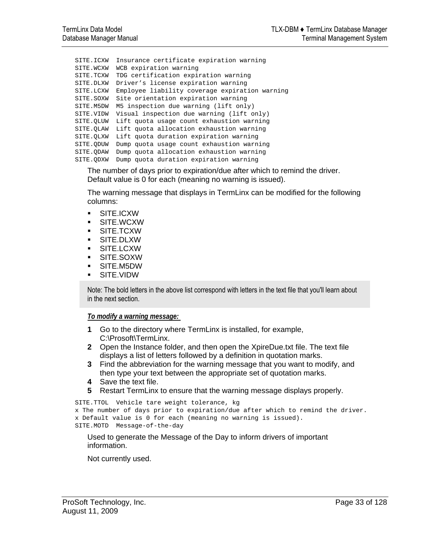```
SITE.ICXW Insurance certificate expiration warning 
SITE.WCXW WCB expiration warning 
SITE.TCXW TDG certification expiration warning 
SITE.DLXW Driver's license expiration warning 
SITE.LCXW Employee liability coverage expiration warning 
SITE.SOXW Site orientation expiration warning 
SITE.M5DW M5 inspection due warning (lift only) 
SITE.VIDW Visual inspection due warning (lift only) 
SITE.QLUW Lift quota usage count exhaustion warning 
SITE.QLAW Lift quota allocation exhaustion warning 
SITE.QLXW Lift quota duration expiration warning 
SITE.QDUW Dump quota usage count exhaustion warning 
SITE.QDAW Dump quota allocation exhaustion warning 
SITE.QDXW Dump quota duration expiration warning
```
The number of days prior to expiration/due after which to remind the driver. Default value is 0 for each (meaning no warning is issued).

The warning message that displays in TermLinx can be modified for the following columns:

- SITE.ICXW
- SITE.WCXW
- SITE.TCXW
- SITE.DLXW
- SITE.LCXW
- SITE.SOXW
- SITE.M5DW
- SITE.VIDW

Note: The bold letters in the above list correspond with letters in the text file that you'll learn about in the next section.

#### *To modify a warning message:*

- **1** Go to the directory where TermLinx is installed, for example, C:\Prosoft\TermLinx.
- **2** Open the Instance folder, and then open the XpireDue.txt file. The text file displays a list of letters followed by a definition in quotation marks.
- **3** Find the abbreviation for the warning message that you want to modify, and then type your text between the appropriate set of quotation marks.
- **4** Save the text file.
- **5** Restart TermLinx to ensure that the warning message displays properly.

```
SITE.TTOL Vehicle tare weight tolerance, kg 
x The number of days prior to expiration/due after which to remind the driver. 
x Default value is 0 for each (meaning no warning is issued). 
SITE.MOTD Message-of-the-day
```
Used to generate the Message of the Day to inform drivers of important information.

Not currently used.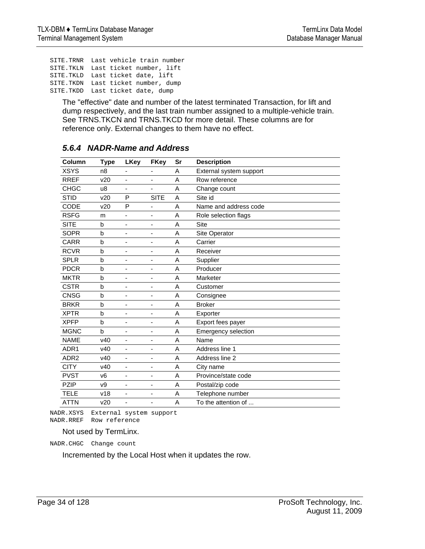SITE.TRNR Last vehicle train number SITE.TKLN Last ticket number, lift SITE.TKLD Last ticket date, lift SITE.TKDN Last ticket number, dump SITE.TKDD Last ticket date, dump

The "effective" date and number of the latest terminated Transaction, for lift and dump respectively, and the last train number assigned to a multiple-vehicle train. See TRNS.TKCN and TRNS.TKCD for more detail. These columns are for reference only. External changes to them have no effect.

| Column           | <b>Type</b>     | <b>LKey</b>              | <b>FKey</b>              | Sr | <b>Description</b>         |
|------------------|-----------------|--------------------------|--------------------------|----|----------------------------|
| <b>XSYS</b>      | n <sub>8</sub>  |                          |                          | A  | External system support    |
| <b>RREF</b>      | v20             | ٠                        | $\overline{\phantom{a}}$ | A  | Row reference              |
| <b>CHGC</b>      | u8              |                          | $\overline{\phantom{a}}$ | A  | Change count               |
| <b>STID</b>      | v20             | P                        | <b>SITE</b>              | A  | Site id                    |
| CODE             | v20             | P                        | -                        | A  | Name and address code      |
| <b>RSFG</b>      | m               |                          | -                        | A  | Role selection flags       |
| <b>SITE</b>      | b               | ۰                        | $\overline{\phantom{a}}$ | A  | <b>Site</b>                |
| <b>SOPR</b>      | b               | ٠                        | $\overline{a}$           | A  | Site Operator              |
| <b>CARR</b>      | $\mathbf b$     | ٠                        | $\overline{\phantom{a}}$ | A  | Carrier                    |
| <b>RCVR</b>      | b               | ٠                        | $\overline{\phantom{a}}$ | A  | Receiver                   |
| <b>SPLR</b>      | b               | ٠                        | $\overline{\phantom{a}}$ | A  | Supplier                   |
| <b>PDCR</b>      | b               | ٠                        | $\overline{\phantom{a}}$ | A  | Producer                   |
| <b>MKTR</b>      | b               | ۰                        | $\overline{\phantom{a}}$ | A  | Marketer                   |
| <b>CSTR</b>      | b               | ٠                        | $\overline{\phantom{a}}$ | A  | Customer                   |
| <b>CNSG</b>      | b               |                          | $\overline{a}$           | A  | Consignee                  |
| <b>BRKR</b>      | b               | ٠                        | $\overline{\phantom{a}}$ | Α  | <b>Broker</b>              |
| <b>XPTR</b>      | b               | ٠                        | $\overline{\phantom{a}}$ | A  | Exporter                   |
| <b>XPFP</b>      | $\mathbf b$     |                          | $\overline{\phantom{a}}$ | A  | Export fees payer          |
| <b>MGNC</b>      | $\mathbf b$     | ä,                       | -                        | Α  | <b>Emergency selection</b> |
| <b>NAME</b>      | V <sub>40</sub> | $\overline{\phantom{m}}$ | $\overline{\phantom{a}}$ | A  | Name                       |
| ADR1             | v40             |                          | $\overline{\phantom{a}}$ | A  | Address line 1             |
| ADR <sub>2</sub> | V <sub>40</sub> | ٠                        | $\overline{a}$           | A  | Address line 2             |
| <b>CITY</b>      | v40             | $\overline{\phantom{0}}$ | $\overline{\phantom{a}}$ | A  | City name                  |
| <b>PVST</b>      | v <sub>6</sub>  |                          | $\overline{\phantom{a}}$ | A  | Province/state code        |
| <b>PZIP</b>      | v9              | ٠                        | -                        | A  | Postal/zip code            |
| <b>TELE</b>      | v18             | -                        | $\overline{\phantom{a}}$ | A  | Telephone number           |
| <b>ATTN</b>      | v20             |                          | $\overline{\phantom{a}}$ | A  | To the attention of        |
|                  |                 |                          |                          |    |                            |

## *5.6.4 NADR-Name and Address*

NADR.XSYS External system support NADR.RREF Row reference

Not used by TermLinx.

NADR.CHGC Change count

Incremented by the Local Host when it updates the row.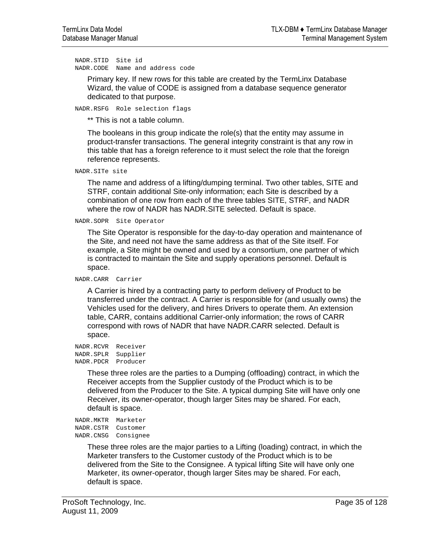NADR.STID Site id NADR.CODE Name and address code

> Primary key. If new rows for this table are created by the TermLinx Database Wizard, the value of CODE is assigned from a database sequence generator dedicated to that purpose.

NADR.RSFG Role selection flags

\*\* This is not a table column.

The booleans in this group indicate the role(s) that the entity may assume in product-transfer transactions. The general integrity constraint is that any row in this table that has a foreign reference to it must select the role that the foreign reference represents.

NADR.SITe site

The name and address of a lifting/dumping terminal. Two other tables, SITE and STRF, contain additional Site-only information; each Site is described by a combination of one row from each of the three tables SITE, STRF, and NADR where the row of NADR has NADR.SITE selected. Default is space.

NADR.SOPR Site Operator

The Site Operator is responsible for the day-to-day operation and maintenance of the Site, and need not have the same address as that of the Site itself. For example, a Site might be owned and used by a consortium, one partner of which is contracted to maintain the Site and supply operations personnel. Default is space.

NADR.CARR Carrier

A Carrier is hired by a contracting party to perform delivery of Product to be transferred under the contract. A Carrier is responsible for (and usually owns) the Vehicles used for the delivery, and hires Drivers to operate them. An extension table, CARR, contains additional Carrier-only information; the rows of CARR correspond with rows of NADR that have NADR.CARR selected. Default is space.

NADR.RCVR Receiver NADR.SPLR Supplier NADR.PDCR Producer

> These three roles are the parties to a Dumping (offloading) contract, in which the Receiver accepts from the Supplier custody of the Product which is to be delivered from the Producer to the Site. A typical dumping Site will have only one Receiver, its owner-operator, though larger Sites may be shared. For each, default is space.

NADR.MKTR Marketer NADR.CSTR Customer NADR.CNSG Consignee

> These three roles are the major parties to a Lifting (loading) contract, in which the Marketer transfers to the Customer custody of the Product which is to be delivered from the Site to the Consignee. A typical lifting Site will have only one Marketer, its owner-operator, though larger Sites may be shared. For each, default is space.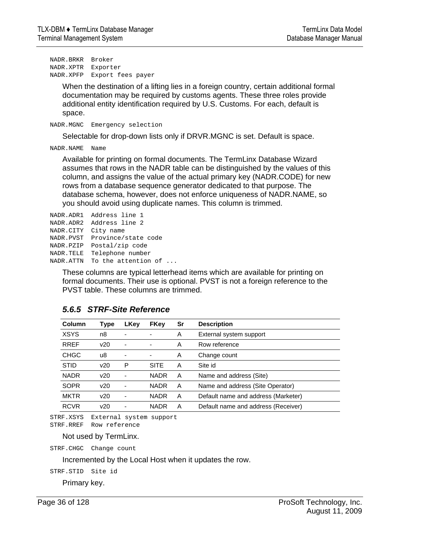NADR.BRKR Broker NADR.XPTR Exporter NADR.XPFP Export fees payer

> When the destination of a lifting lies in a foreign country, certain additional formal documentation may be required by customs agents. These three roles provide additional entity identification required by U.S. Customs. For each, default is space.

NADR.MGNC Emergency selection

Selectable for drop-down lists only if DRVR.MGNC is set. Default is space.

NADR.NAME Name

Available for printing on formal documents. The TermLinx Database Wizard assumes that rows in the NADR table can be distinguished by the values of this column, and assigns the value of the actual primary key (NADR.CODE) for new rows from a database sequence generator dedicated to that purpose. The database schema, however, does not enforce uniqueness of NADR.NAME, so you should avoid using duplicate names. This column is trimmed.

```
NADR.ADR1 Address line 1 
NADR.ADR2 Address line 2 
NADR.CITY City name 
NADR.PVST Province/state code 
NADR.PZIP Postal/zip code 
NADR.TELE Telephone number 
NADR.ATTN To the attention of ...
```
These columns are typical letterhead items which are available for printing on formal documents. Their use is optional. PVST is not a foreign reference to the PVST table. These columns are trimmed.

| Column      | Type | <b>LKey</b>              | <b>FKey</b> | Sr | <b>Description</b>                  |
|-------------|------|--------------------------|-------------|----|-------------------------------------|
| <b>XSYS</b> | n8   |                          |             | A  | External system support             |
| <b>RREF</b> | v20  | $\overline{\phantom{a}}$ | ۰           | A  | Row reference                       |
| <b>CHGC</b> | u8   |                          | ۰           | A  | Change count                        |
| <b>STID</b> | v20  | P                        | <b>SITE</b> | A  | Site id                             |
| <b>NADR</b> | v20  |                          | <b>NADR</b> | A  | Name and address (Site)             |
| <b>SOPR</b> | v20  |                          | <b>NADR</b> | A  | Name and address (Site Operator)    |
| <b>MKTR</b> | v20  |                          | <b>NADR</b> | A  | Default name and address (Marketer) |
| <b>RCVR</b> | v20  |                          | <b>NADR</b> | A  | Default name and address (Receiver) |

## *5.6.5 STRF-Site Reference*

STRF.XSYS External system support STRF.RREF Row reference

Not used by TermLinx.

STRF.CHGC Change count

Incremented by the Local Host when it updates the row.

STRF.STID Site id

Primary key.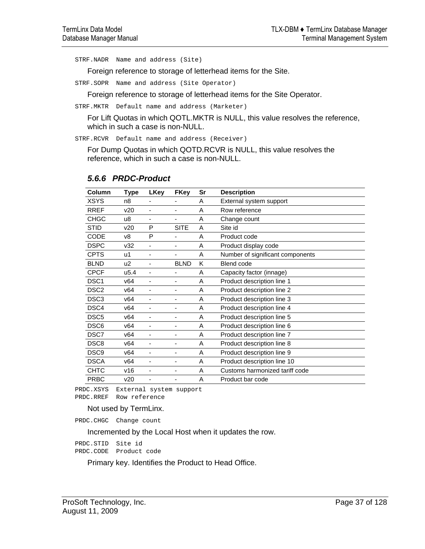STRF.NADR Name and address (Site)

Foreign reference to storage of letterhead items for the Site.

STRF.SOPR Name and address (Site Operator)

Foreign reference to storage of letterhead items for the Site Operator.

STRF.MKTR Default name and address (Marketer)

For Lift Quotas in which QOTL.MKTR is NULL, this value resolves the reference, which in such a case is non-NULL.

STRF.RCVR Default name and address (Receiver)

For Dump Quotas in which QOTD.RCVR is NULL, this value resolves the reference, which in such a case is non-NULL.

| Column           | Type             | LKey                     | <b>FKey</b>              | Sr | <b>Description</b>               |
|------------------|------------------|--------------------------|--------------------------|----|----------------------------------|
| XSYS             | n8               |                          |                          | A  | External system support          |
| <b>RREF</b>      | v20              | -                        |                          | A  | Row reference                    |
| <b>CHGC</b>      | u8               |                          |                          | A  | Change count                     |
| <b>STID</b>      | v20              | P                        | <b>SITE</b>              | A  | Site id                          |
| CODE             | v8               | P                        |                          | A  | Product code                     |
| <b>DSPC</b>      | v32              | -                        | -                        | A  | Product display code             |
| <b>CPTS</b>      | u1               | -                        |                          | A  | Number of significant components |
| <b>BLND</b>      | u <sub>2</sub>   | $\overline{\phantom{0}}$ | <b>BLND</b>              | K  | <b>Blend code</b>                |
| <b>CPCF</b>      | u <sub>5.4</sub> | ۰                        | ۰                        | A  | Capacity factor (innage)         |
| DSC <sub>1</sub> | v64              |                          |                          | A  | Product description line 1       |
| DSC <sub>2</sub> | v64              |                          |                          | A  | Product description line 2       |
| DSC <sub>3</sub> | v64              | $\overline{\phantom{m}}$ | -                        | A  | Product description line 3       |
| DSC4             | v64              | ۰                        | ۰                        | A  | Product description line 4       |
| DSC <sub>5</sub> | v64              | -                        | ۰                        | A  | Product description line 5       |
| DSC <sub>6</sub> | v64              | -                        | ۰                        | A  | Product description line 6       |
| DSC7             | v64              | ä,                       | $\overline{\phantom{a}}$ | A  | Product description line 7       |
| DSC <sub>8</sub> | v64              | -                        | -                        | A  | Product description line 8       |
| DSC <sub>9</sub> | v64              |                          | ۰                        | A  | Product description line 9       |
| <b>DSCA</b>      | v64              |                          |                          | A  | Product description line 10      |
| <b>CHTC</b>      | v16              | -                        | -                        | A  | Customs harmonized tariff code   |
| <b>PRBC</b>      | v20              |                          |                          | A  | Product bar code                 |

### *5.6.6 PRDC-Product*

PRDC.XSYS External system support PRDC.RREF Row reference

Not used by TermLinx.

PRDC.CHGC Change count

Incremented by the Local Host when it updates the row.

PRDC.STID Site id PRDC.CODE Product code

Primary key. Identifies the Product to Head Office.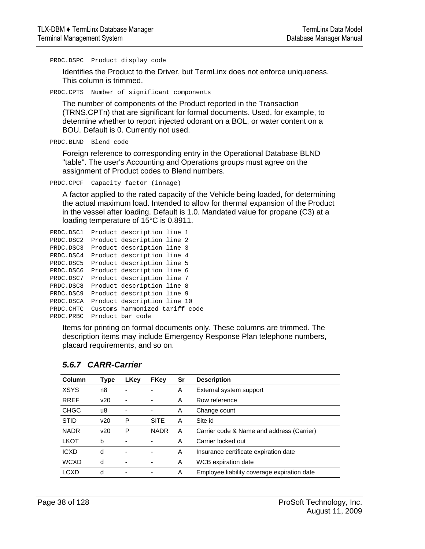PRDC.DSPC Product display code

Identifies the Product to the Driver, but TermLinx does not enforce uniqueness. This column is trimmed.

PRDC.CPTS Number of significant components

The number of components of the Product reported in the Transaction (TRNS.CPTn) that are significant for formal documents. Used, for example, to determine whether to report injected odorant on a BOL, or water content on a BOU. Default is 0. Currently not used.

PRDC.BLND Blend code

Foreign reference to corresponding entry in the Operational Database BLND "table". The user's Accounting and Operations groups must agree on the assignment of Product codes to Blend numbers.

PRDC.CPCF Capacity factor (innage)

A factor applied to the rated capacity of the Vehicle being loaded, for determining the actual maximum load. Intended to allow for thermal expansion of the Product in the vessel after loading. Default is 1.0. Mandated value for propane (C3) at a loading temperature of 15°C is 0.8911.

```
PRDC.DSC1 Product description line 1 
PRDC.DSC2 Product description line 2 
PRDC.DSC3 Product description line 3 
PRDC.DSC4 Product description line 4 
PRDC.DSC5 Product description line 5 
PRDC.DSC6 Product description line 6 
PRDC.DSC7 Product description line 7 
PRDC.DSC8 Product description line 8 
PRDC.DSC9 Product description line 9 
PRDC.DSCA Product description line 10 
PRDC.CHTC Customs harmonized tariff code 
PRDC.PRBC Product bar code
```
Items for printing on formal documents only. These columns are trimmed. The description items may include Emergency Response Plan telephone numbers, placard requirements, and so on.

| Column      | Type | <b>LKey</b> | <b>FKey</b>                  | Sr | <b>Description</b>                          |
|-------------|------|-------------|------------------------------|----|---------------------------------------------|
| <b>XSYS</b> | n8   |             |                              | A  | External system support                     |
| <b>RREF</b> | v20  | ٠           | $\overline{\phantom{0}}$     | A  | Row reference                               |
| <b>CHGC</b> | u8   | -           | -                            | A  | Change count                                |
| <b>STID</b> | v20  | P           | <b>SITE</b>                  | A  | Site id                                     |
| <b>NADR</b> | v20  | Р           | <b>NADR</b>                  | A  | Carrier code & Name and address (Carrier)   |
| <b>LKOT</b> | b    | ۰           |                              | A  | Carrier locked out                          |
| <b>ICXD</b> | d    |             |                              | A  | Insurance certificate expiration date       |
| <b>WCXD</b> | d    | ٠           | $\qquad \qquad \blacksquare$ | A  | WCB expiration date                         |
| LCXD        | d    |             |                              | A  | Employee liability coverage expiration date |

### *5.6.7 CARR-Carrier*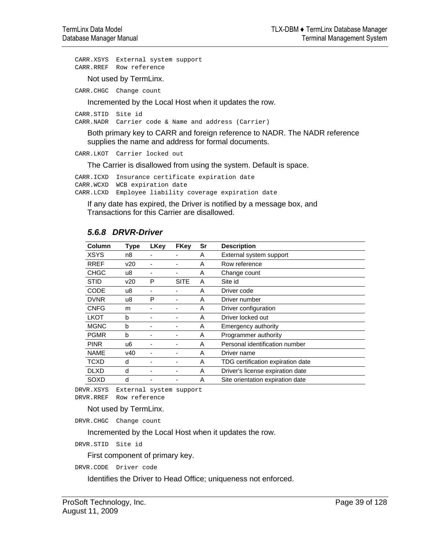CARR.XSYS External system support CARR.RREF Row reference

Not used by TermLinx.

CARR.CHGC Change count

Incremented by the Local Host when it updates the row.

CARR.STID Site id

CARR.NADR Carrier code & Name and address (Carrier)

Both primary key to CARR and foreign reference to NADR. The NADR reference supplies the name and address for formal documents.

CARR.LKOT Carrier locked out

The Carrier is disallowed from using the system. Default is space.

CARR.ICXD Insurance certificate expiration date CARR.WCXD WCB expiration date CARR.LCXD Employee liability coverage expiration date

If any date has expired, the Driver is notified by a message box, and Transactions for this Carrier are disallowed.

### *5.6.8 DRVR-Driver*

| Column      | Type | <b>LKey</b> | <b>FKey</b> | Sr | <b>Description</b>                |
|-------------|------|-------------|-------------|----|-----------------------------------|
| <b>XSYS</b> | n8   |             |             | Α  | External system support           |
| <b>RREF</b> | v20  |             |             | Α  | Row reference                     |
| <b>CHGC</b> | u8   |             |             | Α  | Change count                      |
| <b>STID</b> | v20  | P           | <b>SITE</b> | Α  | Site id                           |
| <b>CODE</b> | u8   |             |             | Α  | Driver code                       |
| <b>DVNR</b> | u8   | P           |             | A  | Driver number                     |
| <b>CNFG</b> | m    |             | ۰           | Α  | Driver configuration              |
| <b>LKOT</b> | b    |             |             | Α  | Driver locked out                 |
| <b>MGNC</b> | b    |             |             | A  | Emergency authority               |
| <b>PGMR</b> | b    |             | ۰           | A  | Programmer authority              |
| <b>PINR</b> | u6   |             |             | Α  | Personal identification number    |
| <b>NAME</b> | v40  |             |             | A  | Driver name                       |
| <b>TCXD</b> | d    |             | -           | Α  | TDG certification expiration date |
| <b>DLXD</b> | d    |             |             | A  | Driver's license expiration date  |
| SOXD        | d    |             |             | Α  | Site orientation expiration date  |

DRVR.XSYS External system support DRVR.RREF Row reference

#### Not used by TermLinx.

DRVR.CHGC Change count

Incremented by the Local Host when it updates the row.

DRVR.STID Site id

First component of primary key.

DRVR.CODE Driver code

Identifies the Driver to Head Office; uniqueness not enforced.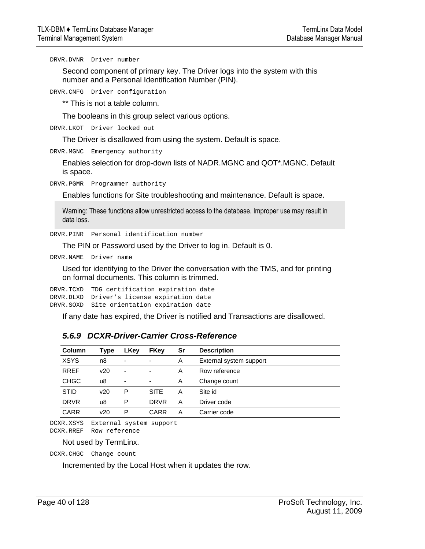DRVR.DVNR Driver number

Second component of primary key. The Driver logs into the system with this number and a Personal Identification Number (PIN).

DRVR.CNFG Driver configuration

\*\* This is not a table column.

The booleans in this group select various options.

DRVR.LKOT Driver locked out

The Driver is disallowed from using the system. Default is space.

DRVR.MGNC Emergency authority

Enables selection for drop-down lists of NADR.MGNC and QOT\*.MGNC. Default is space.

DRVR.PGMR Programmer authority

Enables functions for Site troubleshooting and maintenance. Default is space.

Warning: These functions allow unrestricted access to the database. Improper use may result in data loss.

DRVR.PINR Personal identification number

The PIN or Password used by the Driver to log in. Default is 0.

DRVR.NAME Driver name

Used for identifying to the Driver the conversation with the TMS, and for printing on formal documents. This column is trimmed.

DRVR.TCXD TDG certification expiration date DRVR.DLXD Driver's license expiration date DRVR.SOXD Site orientation expiration date

If any date has expired, the Driver is notified and Transactions are disallowed.

| Column      | Type | LKev                     | <b>FKey</b>              | Sr | <b>Description</b>      |
|-------------|------|--------------------------|--------------------------|----|-------------------------|
| <b>XSYS</b> | n8   | ۰                        | ۰                        | Α  | External system support |
| <b>RREF</b> | v20  | $\overline{\phantom{a}}$ | $\overline{\phantom{a}}$ | A  | Row reference           |
| <b>CHGC</b> | u8   | -                        | ٠                        | A  | Change count            |
| <b>STID</b> | v20  | P                        | <b>SITE</b>              | А  | Site id                 |
| <b>DRVR</b> | u8   | P                        | <b>DRVR</b>              | Α  | Driver code             |
| <b>CARR</b> | v20  | P                        | CARR                     | А  | Carrier code            |

# *5.6.9 DCXR-Driver-Carrier Cross-Reference*

DCXR.XSYS External system support DCXR.RREF Row reference

Not used by TermLinx.

DCXR.CHGC Change count

Incremented by the Local Host when it updates the row.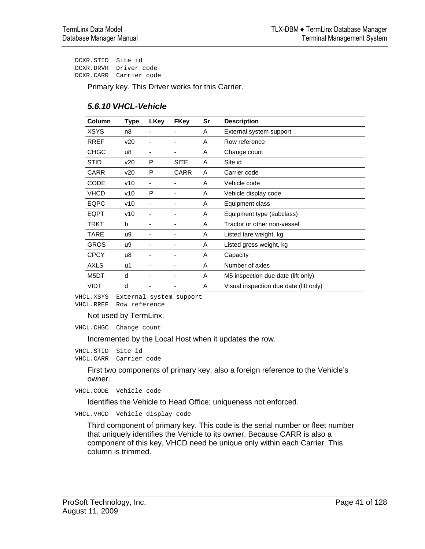DCXR.STID Site id DCXR.DRVR Driver code DCXR.CARR Carrier code

Primary key. This Driver works for this Carrier.

| <b>Column</b> | <b>Type</b> | <b>LKey</b> | <b>FKey</b> | Sr | <b>Description</b>                     |
|---------------|-------------|-------------|-------------|----|----------------------------------------|
| <b>XSYS</b>   | n8          |             |             | A  | External system support                |
| <b>RREF</b>   | v20         |             |             | A  | Row reference                          |
| <b>CHGC</b>   | u8          |             |             | A  | Change count                           |
| <b>STID</b>   | v20         | P           | <b>SITE</b> | A  | Site id                                |
| <b>CARR</b>   | v20         | P           | <b>CARR</b> | A  | Carrier code                           |
| CODE          | v10         |             |             | A  | Vehicle code                           |
| <b>VHCD</b>   | v10         | P           |             | A  | Vehicle display code                   |
| <b>EQPC</b>   | v10         |             |             | A  | Equipment class                        |
| <b>EQPT</b>   | v10         |             |             | A  | Equipment type (subclass)              |
| TRKT          | b           |             |             | A  | Tractor or other non-vessel            |
| TARE          | u9          |             |             | A  | Listed tare weight, kg                 |
| <b>GROS</b>   | u9          |             |             | A  | Listed gross weight, kg                |
| <b>CPCY</b>   | u8          |             |             | A  | Capacity                               |
| AXLS          | u1          |             |             | A  | Number of axles                        |
| M5DT          | d           |             |             | A  | M5 inspection due date (lift only)     |
| <b>VIDT</b>   | d           |             |             | A  | Visual inspection due date (lift only) |

VHCL.XSYS External system support VHCL.RREF Row reference

Not used by TermLinx.

VHCL.CHGC Change count

Incremented by the Local Host when it updates the row.

VHCL.STID Site id VHCL.CARR Carrier code

> First two components of primary key; also a foreign reference to the Vehicle's owner.

VHCL.CODE Vehicle code

Identifies the Vehicle to Head Office; uniqueness not enforced.

VHCL.VHCD Vehicle display code

Third component of primary key. This code is the serial number or fleet number that uniquely identifies the Vehicle to its owner. Because CARR is also a component of this key, VHCD need be unique only within each Carrier. This column is trimmed.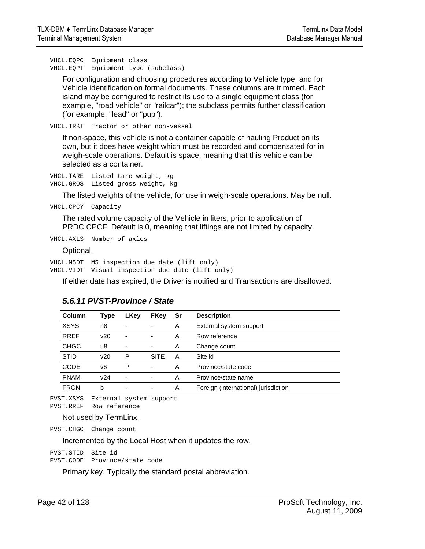VHCL.EQPC Equipment class VHCL.EQPT Equipment type (subclass)

For configuration and choosing procedures according to Vehicle type, and for Vehicle identification on formal documents. These columns are trimmed. Each island may be configured to restrict its use to a single equipment class (for example, "road vehicle" or "railcar"); the subclass permits further classification (for example, "lead" or "pup").

VHCL.TRKT Tractor or other non-vessel

If non-space, this vehicle is not a container capable of hauling Product on its own, but it does have weight which must be recorded and compensated for in weigh-scale operations. Default is space, meaning that this vehicle can be selected as a container.

VHCL.TARE Listed tare weight, kg VHCL.GROS Listed gross weight, kg

The listed weights of the vehicle, for use in weigh-scale operations. May be null.

VHCL.CPCY Capacity

The rated volume capacity of the Vehicle in liters, prior to application of PRDC.CPCF. Default is 0, meaning that liftings are not limited by capacity.

VHCL.AXLS Number of axles

Optional.

VHCL.M5DT M5 inspection due date (lift only) VHCL.VIDT Visual inspection due date (lift only)

If either date has expired, the Driver is notified and Transactions are disallowed.

| <b>Column</b> | Type | LKey                     | FKey                     | Sr | <b>Description</b>                   |
|---------------|------|--------------------------|--------------------------|----|--------------------------------------|
| <b>XSYS</b>   | n8   | ۰                        | $\blacksquare$           | Α  | External system support              |
| <b>RREF</b>   | v20  | ٠                        | $\blacksquare$           | Α  | Row reference                        |
| <b>CHGC</b>   | u8   | ٠                        | ٠                        | A  | Change count                         |
| <b>STID</b>   | v20  | P                        | <b>SITE</b>              | А  | Site id                              |
| CODE          | v6   | P                        | $\blacksquare$           | Α  | Province/state code                  |
| <b>PNAM</b>   | v24  | $\overline{\phantom{0}}$ | $\blacksquare$           | Α  | Province/state name                  |
| <b>FRGN</b>   | b    | ۰                        | $\overline{\phantom{a}}$ | A  | Foreign (international) jurisdiction |

### *5.6.11 PVST-Province / State*

PVST.XSYS External system support PVST.RREF Row reference

Not used by TermLinx.

PVST.CHGC Change count

Incremented by the Local Host when it updates the row.

PVST.STID Site id PVST.CODE Province/state code

Primary key. Typically the standard postal abbreviation.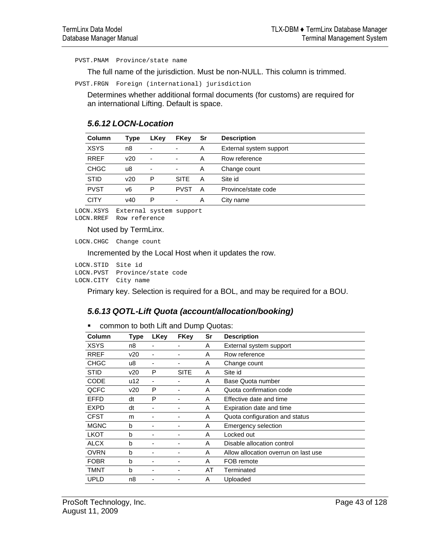PVST.PNAM Province/state name

The full name of the jurisdiction. Must be non-NULL. This column is trimmed.

PVST.FRGN Foreign (international) jurisdiction

Determines whether additional formal documents (for customs) are required for an international Lifting. Default is space.

### *5.6.12 LOCN-Location*

| Column      | Type | LKey | FKey                     | Sr | <b>Description</b>      |
|-------------|------|------|--------------------------|----|-------------------------|
| <b>XSYS</b> | n8   | ٠    | $\overline{\phantom{a}}$ | Α  | External system support |
| <b>RREF</b> | v20  | ۰    | $\overline{\phantom{a}}$ | A  | Row reference           |
| <b>CHGC</b> | u8   | ۰    | -                        | A  | Change count            |
| <b>STID</b> | v20  | P    | <b>SITE</b>              | А  | Site id                 |
| <b>PVST</b> | v6   | P    | <b>PVST</b>              | A  | Province/state code     |
| CITY        | v40  | P    | $\overline{\phantom{a}}$ | A  | City name               |

LOCN.XSYS External system support LOCN.RREF Row reference

Not used by TermLinx.

LOCN.CHGC Change count

Incremented by the Local Host when it updates the row.

LOCN.STID Site id LOCN.PVST Province/state code LOCN.CITY City name

Primary key. Selection is required for a BOL, and may be required for a BOU.

# *5.6.13 QOTL-Lift Quota (account/allocation/booking)*

**• common to both Lift and Dump Quotas:** 

| Column      | Type | LKey | <b>FKey</b> | Sr | <b>Description</b>                   |
|-------------|------|------|-------------|----|--------------------------------------|
| XSYS        | n8   |      |             | A  | External system support              |
| <b>RREF</b> | v20  |      |             | A  | Row reference                        |
| <b>CHGC</b> | u8   |      |             | A  | Change count                         |
| <b>STID</b> | v20  | P    | <b>SITE</b> | A  | Site id                              |
| <b>CODE</b> | u12  | -    |             | A  | Base Quota number                    |
| QCFC        | v20  | P    |             | A  | Quota confirmation code              |
| <b>EFFD</b> | dt   | P    |             | A  | Effective date and time              |
| <b>EXPD</b> | dt   |      |             | A  | Expiration date and time             |
| <b>CFST</b> | m    |      |             | A  | Quota configuration and status       |
| <b>MGNC</b> | b    |      |             | A  | Emergency selection                  |
| <b>LKOT</b> | b    |      |             | A  | Locked out                           |
| <b>ALCX</b> | b    |      |             | A  | Disable allocation control           |
| <b>OVRN</b> | b    |      |             | Α  | Allow allocation overrun on last use |
| <b>FOBR</b> | b    |      |             | Α  | FOB remote                           |
| TMNT        | b    |      |             | AT | Terminated                           |
| <b>UPLD</b> | n8   |      |             | Α  | Uploaded                             |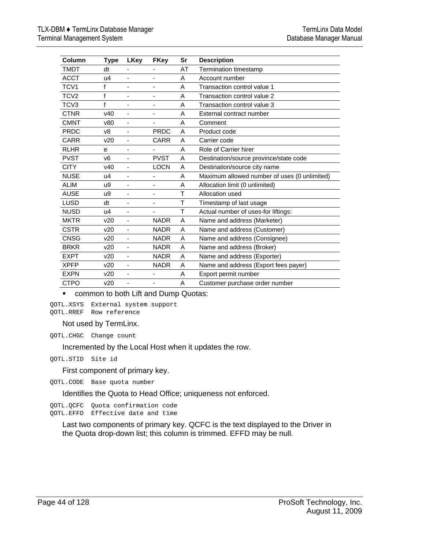| Column           | <b>Type</b>    | LKey                     | <b>FKey</b>              | Sr | <b>Description</b>                           |
|------------------|----------------|--------------------------|--------------------------|----|----------------------------------------------|
| <b>TMDT</b>      | dt             | -                        | -                        | AT | Termination timestamp                        |
| <b>ACCT</b>      | u4             | ٠                        | ٠                        | A  | Account number                               |
| TCV1             | f              | ä,                       | ۰                        | A  | Transaction control value 1                  |
| TCV <sub>2</sub> | f              |                          |                          | A  | Transaction control value 2                  |
| TCV <sub>3</sub> | f              |                          |                          | A  | Transaction control value 3                  |
| <b>CTNR</b>      | v40            | ٠                        | $\blacksquare$           | A  | External contract number                     |
| <b>CMNT</b>      | v80            | $\overline{\phantom{0}}$ | $\overline{\phantom{0}}$ | A  | Comment                                      |
| <b>PRDC</b>      | v8             | $\overline{\phantom{0}}$ | <b>PRDC</b>              | A  | Product code                                 |
| <b>CARR</b>      | v20            | $\overline{\phantom{0}}$ | <b>CARR</b>              | A  | Carrier code                                 |
| <b>RLHR</b>      | e              | ÷                        | $\overline{\phantom{a}}$ | A  | Role of Carrier hirer                        |
| <b>PVST</b>      | v <sub>6</sub> | ٠                        | <b>PVST</b>              | A  | Destination/source province/state code       |
| <b>CITY</b>      | v40            | ÷                        | <b>LOCN</b>              | A  | Destination/source city name                 |
| <b>NUSE</b>      | u4             | $\blacksquare$           | $\blacksquare$           | A  | Maximum allowed number of uses (0 unlimited) |
| <b>ALIM</b>      | u9             | ٠                        | $\overline{\phantom{m}}$ | A  | Allocation limit (0 unlimited)               |
| <b>AUSE</b>      | u9             | ÷,                       | $\overline{\phantom{a}}$ | T  | Allocation used                              |
| <b>LUSD</b>      | dt             | ÷,                       | $\overline{\phantom{0}}$ | Τ  | Timestamp of last usage                      |
| <b>NUSD</b>      | u4             | ٠                        | -                        | Τ  | Actual number of uses-for liftings:          |
| <b>MKTR</b>      | v20            | ÷,                       | <b>NADR</b>              | A  | Name and address (Marketer)                  |
| <b>CSTR</b>      | v20            | ÷                        | <b>NADR</b>              | A  | Name and address (Customer)                  |
| <b>CNSG</b>      | v20            | ٠                        | <b>NADR</b>              | A  | Name and address (Consignee)                 |
| <b>BRKR</b>      | v20            | ä,                       | <b>NADR</b>              | A  | Name and address (Broker)                    |
| <b>EXPT</b>      | v20            | $\overline{\phantom{0}}$ | <b>NADR</b>              | A  | Name and address (Exporter)                  |
| <b>XPFP</b>      | v20            | ÷,                       | <b>NADR</b>              | A  | Name and address (Export fees payer)         |
| <b>EXPN</b>      | v20            | ٠                        | $\blacksquare$           | A  | Export permit number                         |
| <b>CTPO</b>      | v20            | ٠                        |                          | A  | Customer purchase order number               |

**• common to both Lift and Dump Quotas:** 

QOTL.XSYS External system support QOTL.RREF Row reference

Not used by TermLinx.

QOTL.CHGC Change count

Incremented by the Local Host when it updates the row.

QOTL.STID Site id

First component of primary key.

QOTL.CODE Base quota number

Identifies the Quota to Head Office; uniqueness not enforced.

QOTL.QCFC Quota confirmation code QOTL.EFFD Effective date and time

Last two components of primary key. QCFC is the text displayed to the Driver in the Quota drop-down list; this column is trimmed. EFFD may be null.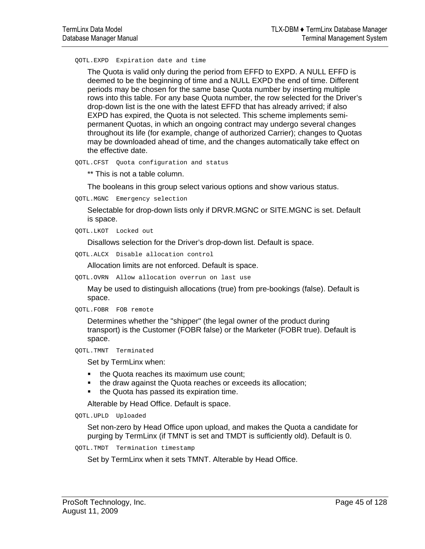QOTL.EXPD Expiration date and time

The Quota is valid only during the period from EFFD to EXPD. A NULL EFFD is deemed to be the beginning of time and a NULL EXPD the end of time. Different periods may be chosen for the same base Quota number by inserting multiple rows into this table. For any base Quota number, the row selected for the Driver's drop-down list is the one with the latest EFFD that has already arrived; if also EXPD has expired, the Quota is not selected. This scheme implements semipermanent Quotas, in which an ongoing contract may undergo several changes throughout its life (for example, change of authorized Carrier); changes to Quotas may be downloaded ahead of time, and the changes automatically take effect on the effective date.

QOTL.CFST Quota configuration and status

\*\* This is not a table column.

The booleans in this group select various options and show various status.

QOTL.MGNC Emergency selection

Selectable for drop-down lists only if DRVR.MGNC or SITE.MGNC is set. Default is space.

QOTL.LKOT Locked out

Disallows selection for the Driver's drop-down list. Default is space.

QOTL.ALCX Disable allocation control

Allocation limits are not enforced. Default is space.

QOTL.OVRN Allow allocation overrun on last use

May be used to distinguish allocations (true) from pre-bookings (false). Default is space.

```
QOTL.FOBR FOB remote
```
Determines whether the "shipper" (the legal owner of the product during transport) is the Customer (FOBR false) or the Marketer (FOBR true). Default is space.

```
QOTL.TMNT Terminated
```
Set by TermLinx when:

- the Quota reaches its maximum use count;
- the draw against the Quota reaches or exceeds its allocation;
- the Quota has passed its expiration time.

Alterable by Head Office. Default is space.

QOTL.UPLD Uploaded

Set non-zero by Head Office upon upload, and makes the Quota a candidate for purging by TermLinx (if TMNT is set and TMDT is sufficiently old). Default is 0.

```
QOTL.TMDT Termination timestamp
```
Set by TermLinx when it sets TMNT. Alterable by Head Office.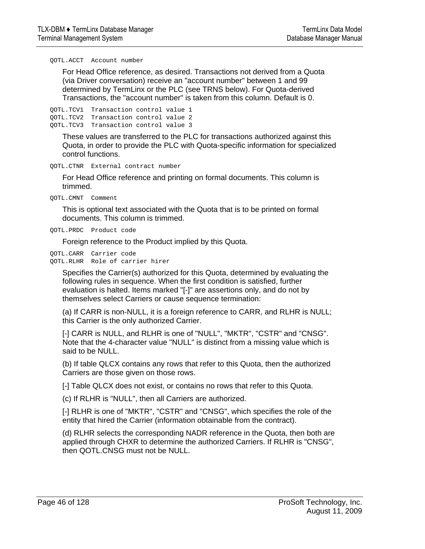QOTL.ACCT Account number

For Head Office reference, as desired. Transactions not derived from a Quota (via Driver conversation) receive an "account number" between 1 and 99 determined by TermLinx or the PLC (see TRNS below). For Quota-derived Transactions, the "account number" is taken from this column. Default is 0.

QOTL.TCV1 Transaction control value 1 QOTL.TCV2 Transaction control value 2 QOTL.TCV3 Transaction control value 3

These values are transferred to the PLC for transactions authorized against this Quota, in order to provide the PLC with Quota-specific information for specialized control functions.

QOTL.CTNR External contract number

For Head Office reference and printing on formal documents. This column is trimmed.

QOTL.CMNT Comment

This is optional text associated with the Quota that is to be printed on formal documents. This column is trimmed.

QOTL.PRDC Product code

Foreign reference to the Product implied by this Quota.

QOTL.CARR Carrier code QOTL.RLHR Role of carrier hirer

> Specifies the Carrier(s) authorized for this Quota, determined by evaluating the following rules in sequence. When the first condition is satisfied, further evaluation is halted. Items marked "[-]" are assertions only, and do not by themselves select Carriers or cause sequence termination:

(a) If CARR is non-NULL, it is a foreign reference to CARR, and RLHR is NULL; this Carrier is the only authorized Carrier.

[-] CARR is NULL, and RLHR is one of "NULL", "MKTR", "CSTR" and "CNSG". Note that the 4-character value "NULL" is distinct from a missing value which is said to be NULL.

(b) If table QLCX contains any rows that refer to this Quota, then the authorized Carriers are those given on those rows.

[-] Table QLCX does not exist, or contains no rows that refer to this Quota.

(c) If RLHR is "NULL", then all Carriers are authorized.

[-] RLHR is one of "MKTR", "CSTR" and "CNSG", which specifies the role of the entity that hired the Carrier (information obtainable from the contract).

(d) RLHR selects the corresponding NADR reference in the Quota, then both are applied through CHXR to determine the authorized Carriers. If RLHR is "CNSG", then QOTL.CNSG must not be NULL.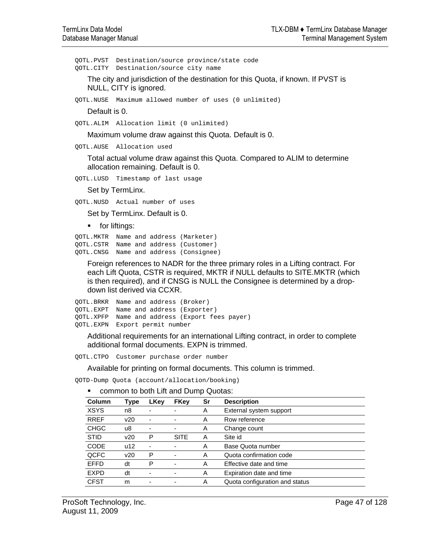QOTL.PVST Destination/source province/state code QOTL.CITY Destination/source city name

The city and jurisdiction of the destination for this Quota, if known. If PVST is NULL, CITY is ignored.

QOTL.NUSE Maximum allowed number of uses (0 unlimited)

Default is 0.

QOTL.ALIM Allocation limit (0 unlimited)

Maximum volume draw against this Quota. Default is 0.

QOTL.AUSE Allocation used

Total actual volume draw against this Quota. Compared to ALIM to determine allocation remaining. Default is 0.

QOTL.LUSD Timestamp of last usage

Set by TermLinx.

QOTL.NUSD Actual number of uses

Set by TermLinx. Default is 0.

**for liftings:** 

```
QOTL.MKTR Name and address (Marketer) 
QOTL.CSTR Name and address (Customer) 
QOTL.CNSG Name and address (Consignee)
```
Foreign references to NADR for the three primary roles in a Lifting contract. For each Lift Quota, CSTR is required, MKTR if NULL defaults to SITE.MKTR (which is then required), and if CNSG is NULL the Consignee is determined by a dropdown list derived via CCXR.

```
QOTL.BRKR Name and address (Broker) 
QOTL.EXPT Name and address (Exporter) 
QOTL.XPFP Name and address (Export fees payer) 
QOTL.EXPN Export permit number
```
Additional requirements for an international Lifting contract, in order to complete additional formal documents. EXPN is trimmed.

QOTL.CTPO Customer purchase order number

Available for printing on formal documents. This column is trimmed.

QOTD-Dump Quota (account/allocation/booking)

| Column      | Type | LKey                     | <b>FKey</b> | Sr | <b>Description</b>             |
|-------------|------|--------------------------|-------------|----|--------------------------------|
| <b>XSYS</b> | n8   | ۰                        |             | Α  | External system support        |
| <b>RREF</b> | v20  | $\overline{\phantom{a}}$ | ٠           | A  | Row reference                  |
| <b>CHGC</b> | u8   | -                        | ٠           | A  | Change count                   |
| <b>STID</b> | v20  | P                        | <b>SITE</b> | Α  | Site id                        |
| <b>CODE</b> | u12  | ۰                        |             | Α  | Base Quota number              |
| QCFC        | v20  | P                        |             | Α  | Quota confirmation code        |
| <b>EFFD</b> | dt   | P                        |             | A  | Effective date and time        |
| <b>EXPD</b> | dt   | ۰                        |             | A  | Expiration date and time       |
| <b>CFST</b> | m    | ۰                        |             | A  | Quota configuration and status |
|             |      |                          |             |    |                                |

**EXECOMMON to both Lift and Dump Quotas:**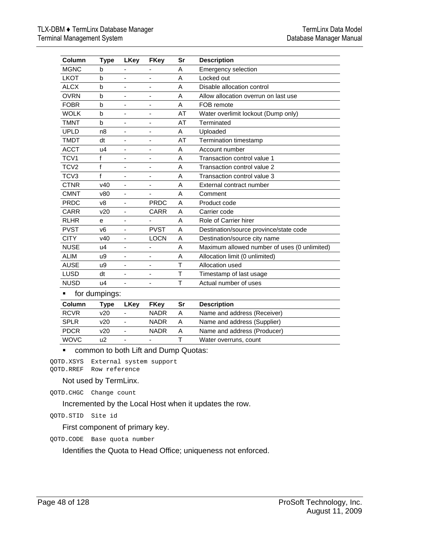| Column           | Type            | <b>LKey</b>                  | <b>FKey</b>                  | Sr | <b>Description</b>                           |
|------------------|-----------------|------------------------------|------------------------------|----|----------------------------------------------|
| <b>MGNC</b>      | b               |                              |                              | A  | Emergency selection                          |
| <b>LKOT</b>      | b               | ä,                           | $\qquad \qquad \blacksquare$ | A  | Locked out                                   |
| <b>ALCX</b>      | b               | ÷,                           | $\overline{\phantom{a}}$     | A  | Disable allocation control                   |
| <b>OVRN</b>      | b               | ÷,                           | $\overline{\phantom{a}}$     | A  | Allow allocation overrun on last use         |
| <b>FOBR</b>      | $\mathsf{b}$    | ä,                           | ٠                            | A  | FOB remote                                   |
| <b>WOLK</b>      | b               | ÷,                           | $\overline{\phantom{a}}$     | AT | Water overlimit lockout (Dump only)          |
| <b>TMNT</b>      | $\mathbf b$     | $\qquad \qquad \blacksquare$ | ٠                            | AT | Terminated                                   |
| <b>UPLD</b>      | n <sub>8</sub>  | $\overline{\phantom{a}}$     | ٠                            | A  | Uploaded                                     |
| <b>TMDT</b>      | dt              | ÷,                           | $\qquad \qquad \blacksquare$ | AT | Termination timestamp                        |
| <b>ACCT</b>      | u4              | ä,                           | $\overline{\phantom{a}}$     | A  | Account number                               |
| TCV1             | f               | ÷,                           | ٠                            | A  | Transaction control value 1                  |
| TCV <sub>2</sub> | f               | $\blacksquare$               | $\overline{\phantom{a}}$     | A  | Transaction control value 2                  |
| TCV <sub>3</sub> | f               | ÷,                           | $\qquad \qquad \blacksquare$ | A  | Transaction control value 3                  |
| <b>CTNR</b>      | V <sub>40</sub> |                              | $\overline{\phantom{a}}$     | A  | External contract number                     |
| <b>CMNT</b>      | v80             | $\overline{\phantom{a}}$     | $\overline{\phantom{a}}$     | A  | Comment                                      |
| <b>PRDC</b>      | v8              | ٠                            | <b>PRDC</b>                  | A  | Product code                                 |
| <b>CARR</b>      | v20             | ä,                           | <b>CARR</b>                  | A  | Carrier code                                 |
| <b>RLHR</b>      | е               | ÷,                           |                              | A  | Role of Carrier hirer                        |
| <b>PVST</b>      | v <sub>6</sub>  | ä,                           | <b>PVST</b>                  | A  | Destination/source province/state code       |
| <b>CITY</b>      | v40             | $\blacksquare$               | <b>LOCN</b>                  | A  | Destination/source city name                 |
| <b>NUSE</b>      | u4              |                              | $\overline{\phantom{a}}$     | A  | Maximum allowed number of uses (0 unlimited) |
| <b>ALIM</b>      | u9              | $\qquad \qquad \blacksquare$ | $\overline{\phantom{a}}$     | A  | Allocation limit (0 unlimited)               |
| <b>AUSE</b>      | u9              | $\qquad \qquad \blacksquare$ | $\overline{a}$               | Τ  | Allocation used                              |
| <b>LUSD</b>      | dt              | ÷,                           | ٠                            | T  | Timestamp of last usage                      |
| <b>NUSD</b>      | u4              | ÷,                           | $\overline{\phantom{a}}$     | T  | Actual number of uses                        |
| ■                | for dumpings:   |                              |                              |    |                                              |
| Column           | Type            | <b>LKey</b>                  | <b>FKey</b>                  | Sr | <b>Description</b>                           |
| <b>RCVR</b>      | v20             |                              | <b>NADR</b>                  | A  | Name and address (Receiver)                  |

# WOVC u2 - - T Water overruns, count **• common to both Lift and Dump Quotas:**

QOTD.XSYS External system support QOTD.RREF Row reference

### Not used by TermLinx.

QOTD.CHGC Change count

Incremented by the Local Host when it updates the row.

QOTD.STID Site id

First component of primary key.

QOTD.CODE Base quota number

Identifies the Quota to Head Office; uniqueness not enforced.

SPLR v20 - NADR A Name and address (Supplier) PDCR v20 - NADR A Name and address (Producer)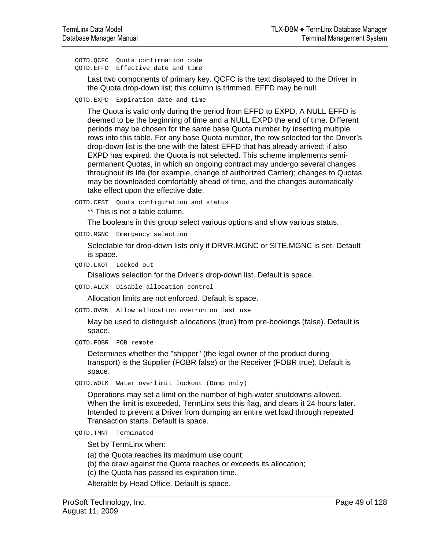QOTD.QCFC Quota confirmation code QOTD.EFFD Effective date and time

Last two components of primary key. QCFC is the text displayed to the Driver in the Quota drop-down list; this column is trimmed. EFFD may be null.

QOTD.EXPD Expiration date and time

The Quota is valid only during the period from EFFD to EXPD. A NULL EFFD is deemed to be the beginning of time and a NULL EXPD the end of time. Different periods may be chosen for the same base Quota number by inserting multiple rows into this table. For any base Quota number, the row selected for the Driver's drop-down list is the one with the latest EFFD that has already arrived; if also EXPD has expired, the Quota is not selected. This scheme implements semipermanent Quotas, in which an ongoing contract may undergo several changes throughout its life (for example, change of authorized Carrier); changes to Quotas may be downloaded comfortably ahead of time, and the changes automatically take effect upon the effective date.

QOTD.CFST Quota configuration and status

\*\* This is not a table column.

The booleans in this group select various options and show various status.

QOTD.MGNC Emergency selection

Selectable for drop-down lists only if DRVR.MGNC or SITE.MGNC is set. Default is space.

QOTD.LKOT Locked out

Disallows selection for the Driver's drop-down list. Default is space.

QOTD.ALCX Disable allocation control

Allocation limits are not enforced. Default is space.

QOTD.OVRN Allow allocation overrun on last use

May be used to distinguish allocations (true) from pre-bookings (false). Default is space.

QOTD.FOBR FOB remote

Determines whether the "shipper" (the legal owner of the product during transport) is the Supplier (FOBR false) or the Receiver (FOBR true). Default is space.

QOTD.WOLK Water overlimit lockout (Dump only)

Operations may set a limit on the number of high-water shutdowns allowed. When the limit is exceeded, TermLinx sets this flag, and clears it 24 hours later. Intended to prevent a Driver from dumping an entire wet load through repeated Transaction starts. Default is space.

QOTD.TMNT Terminated

Set by TermLinx when:

(a) the Quota reaches its maximum use count;

(b) the draw against the Quota reaches or exceeds its allocation;

(c) the Quota has passed its expiration time.

Alterable by Head Office. Default is space.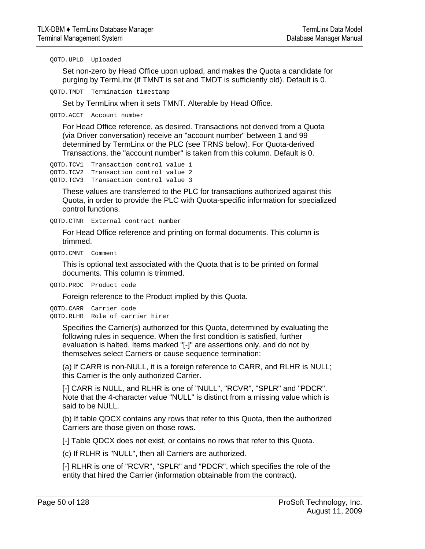QOTD.UPLD Uploaded

Set non-zero by Head Office upon upload, and makes the Quota a candidate for purging by TermLinx (if TMNT is set and TMDT is sufficiently old). Default is 0.

QOTD.TMDT Termination timestamp

Set by TermLinx when it sets TMNT. Alterable by Head Office.

QOTD.ACCT Account number

For Head Office reference, as desired. Transactions not derived from a Quota (via Driver conversation) receive an "account number" between 1 and 99 determined by TermLinx or the PLC (see TRNS below). For Quota-derived Transactions, the "account number" is taken from this column. Default is 0.

QOTD.TCV1 Transaction control value 1 QOTD.TCV2 Transaction control value 2 QOTD.TCV3 Transaction control value 3

These values are transferred to the PLC for transactions authorized against this Quota, in order to provide the PLC with Quota-specific information for specialized control functions.

QOTD.CTNR External contract number

For Head Office reference and printing on formal documents. This column is trimmed.

QOTD.CMNT Comment

This is optional text associated with the Quota that is to be printed on formal documents. This column is trimmed.

QOTD.PRDC Product code

Foreign reference to the Product implied by this Quota.

QOTD.CARR Carrier code QOTD.RLHR Role of carrier hirer

> Specifies the Carrier(s) authorized for this Quota, determined by evaluating the following rules in sequence. When the first condition is satisfied, further evaluation is halted. Items marked "[-]" are assertions only, and do not by themselves select Carriers or cause sequence termination:

> (a) If CARR is non-NULL, it is a foreign reference to CARR, and RLHR is NULL; this Carrier is the only authorized Carrier.

> [-] CARR is NULL, and RLHR is one of "NULL", "RCVR", "SPLR" and "PDCR". Note that the 4-character value "NULL" is distinct from a missing value which is said to be NULL.

> (b) If table QDCX contains any rows that refer to this Quota, then the authorized Carriers are those given on those rows.

[-] Table QDCX does not exist, or contains no rows that refer to this Quota.

(c) If RLHR is "NULL", then all Carriers are authorized.

[-] RLHR is one of "RCVR", "SPLR" and "PDCR", which specifies the role of the entity that hired the Carrier (information obtainable from the contract).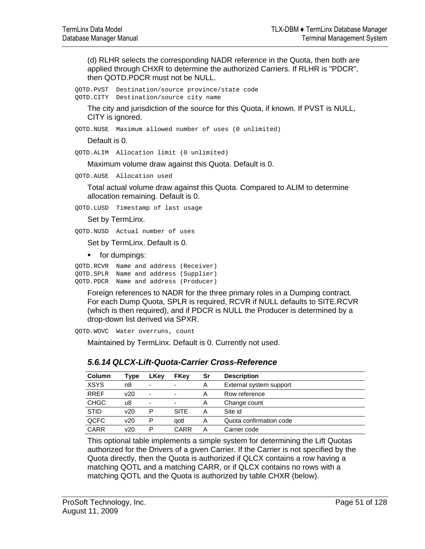(d) RLHR selects the corresponding NADR reference in the Quota, then both are applied through CHXR to determine the authorized Carriers. If RLHR is "PDCR", then QOTD.PDCR must not be NULL.

QOTD.PVST Destination/source province/state code QOTD.CITY Destination/source city name

The city and jurisdiction of the source for this Quota, if known. If PVST is NULL, CITY is ignored.

QOTD.NUSE Maximum allowed number of uses (0 unlimited)

Default is 0.

QOTD.ALIM Allocation limit (0 unlimited)

Maximum volume draw against this Quota. Default is 0.

QOTD.AUSE Allocation used

Total actual volume draw against this Quota. Compared to ALIM to determine allocation remaining. Default is 0.

QOTD.LUSD Timestamp of last usage

Set by TermLinx.

QOTD.NUSD Actual number of uses

Set by TermLinx. Default is 0.

**for dumpings:** 

QOTD.RCVR Name and address (Receiver) QOTD.SPLR Name and address (Supplier) QOTD.PDCR Name and address (Producer)

Foreign references to NADR for the three primary roles in a Dumping contract. For each Dump Quota, SPLR is required, RCVR if NULL defaults to SITE.RCVR (which is then required), and if PDCR is NULL the Producer is determined by a drop-down list derived via SPXR.

QOTD.WOVC Water overruns, count

Maintained by TermLinx. Default is 0. Currently not used.

| <b>Column</b> | Type | LKey           | <b>FKey</b>              | Sr | <b>Description</b>      |
|---------------|------|----------------|--------------------------|----|-------------------------|
| <b>XSYS</b>   | n8   | $\blacksquare$ |                          | Α  | External system support |
| <b>RREF</b>   | v20  | $\blacksquare$ | $\overline{\phantom{a}}$ | Α  | Row reference           |
| <b>CHGC</b>   | u8   | $\blacksquare$ |                          | Α  | Change count            |
| <b>STID</b>   | v20  | P              | <b>SITE</b>              | А  | Site id                 |
| <b>QCFC</b>   | v20  | P              | aotl                     | Α  | Quota confirmation code |
| CARR          | v20  | P              | CARR                     | А  | Carrier code            |

# *5.6.14 QLCX-Lift-Quota-Carrier Cross-Reference*

This optional table implements a simple system for determining the Lift Quotas authorized for the Drivers of a given Carrier. If the Carrier is not specified by the Quota directly, then the Quota is authorized if QLCX contains a row having a matching QOTL and a matching CARR, or if QLCX contains no rows with a matching QOTL and the Quota is authorized by table CHXR (below).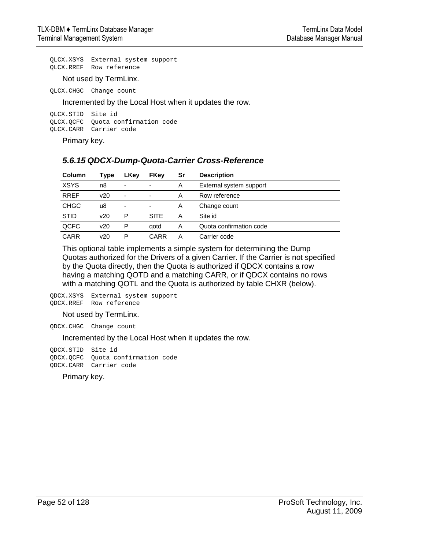QLCX.XSYS External system support QLCX.RREF Row reference

Not used by TermLinx.

QLCX.CHGC Change count

Incremented by the Local Host when it updates the row.

QLCX.STID Site id QLCX.QCFC Quota confirmation code QLCX.CARR Carrier code

Primary key.

# *5.6.15 QDCX-Dump-Quota-Carrier Cross-Reference*

| Column      | Type | LKey                     | <b>FKey</b> | Sr | <b>Description</b>      |
|-------------|------|--------------------------|-------------|----|-------------------------|
| <b>XSYS</b> | n8   | $\overline{\phantom{0}}$ |             | A  | External system support |
| <b>RREF</b> | v20  | $\overline{\phantom{0}}$ |             | A  | Row reference           |
| <b>CHGC</b> | u8   | $\overline{\phantom{0}}$ | ۰           | A  | Change count            |
| <b>STID</b> | v20  | P                        | <b>SITE</b> | A  | Site id                 |
| QCFC        | v20  | P                        | qotd        | A  | Quota confirmation code |
| CARR        | v20  | P                        | CARR        | A  | Carrier code            |

This optional table implements a simple system for determining the Dump Quotas authorized for the Drivers of a given Carrier. If the Carrier is not specified by the Quota directly, then the Quota is authorized if QDCX contains a row having a matching QOTD and a matching CARR, or if QDCX contains no rows with a matching QOTL and the Quota is authorized by table CHXR (below).

QDCX.XSYS External system support QDCX.RREF Row reference

### Not used by TermLinx.

QDCX.CHGC Change count

Incremented by the Local Host when it updates the row.

QDCX.STID Site id QDCX.QCFC Quota confirmation code QDCX.CARR Carrier code

Primary key.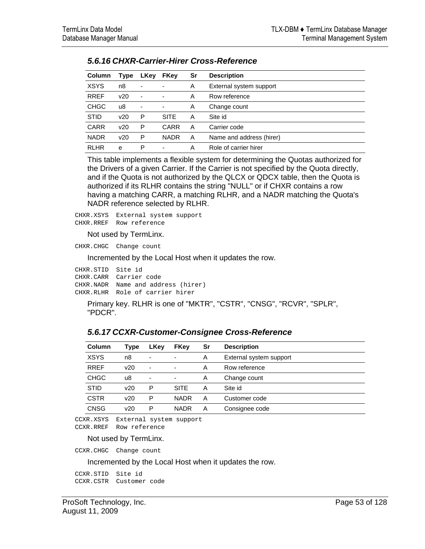| Column      | Type | LKey                     | <b>FKey</b>              | Sr | <b>Description</b>       |
|-------------|------|--------------------------|--------------------------|----|--------------------------|
| <b>XSYS</b> | n8   | $\overline{\phantom{a}}$ |                          | Α  | External system support  |
| <b>RREF</b> | v20  | $\overline{\phantom{a}}$ | ٠                        | Α  | Row reference            |
| <b>CHGC</b> | u8   | $\overline{\phantom{a}}$ | $\overline{\phantom{a}}$ | Α  | Change count             |
| <b>STID</b> | v20  | P                        | <b>SITE</b>              | А  | Site id                  |
| <b>CARR</b> | v20  | P                        | CARR                     | А  | Carrier code             |
| <b>NADR</b> | v20  | P                        | <b>NADR</b>              | А  | Name and address (hirer) |
| <b>RLHR</b> | e    | Р                        |                          | Α  | Role of carrier hirer    |

### *5.6.16 CHXR-Carrier-Hirer Cross-Reference*

This table implements a flexible system for determining the Quotas authorized for the Drivers of a given Carrier. If the Carrier is not specified by the Quota directly, and if the Quota is not authorized by the QLCX or QDCX table, then the Quota is authorized if its RLHR contains the string "NULL" or if CHXR contains a row having a matching CARR, a matching RLHR, and a NADR matching the Quota's NADR reference selected by RLHR.

CHXR.XSYS External system support CHXR.RREF Row reference

Not used by TermLinx.

CHXR.CHGC Change count

Incremented by the Local Host when it updates the row.

| CHXR.STID Site id |                                    |
|-------------------|------------------------------------|
|                   | CHXR.CARR Carrier code             |
|                   | CHXR.NADR Name and address (hirer) |
|                   | CHXR.RLHR Role of carrier hirer    |

Primary key. RLHR is one of "MKTR", "CSTR", "CNSG", "RCVR", "SPLR", "PDCR".

### *5.6.17 CCXR-Customer-Consignee Cross-Reference*

| Type | LKey                     | <b>FKey</b>              | Sr | <b>Description</b>      |
|------|--------------------------|--------------------------|----|-------------------------|
| n8   | $\overline{\phantom{0}}$ | -                        | Α  | External system support |
| v20  | $\overline{\phantom{a}}$ | $\overline{\phantom{a}}$ | Α  | Row reference           |
| u8   | $\overline{\phantom{0}}$ | ٠                        | Α  | Change count            |
| v20  | P                        | <b>SITE</b>              | А  | Site id                 |
| v20  | P                        | <b>NADR</b>              | А  | Customer code           |
| v20  | P                        | <b>NADR</b>              | Α  | Consignee code          |
|      |                          |                          |    |                         |

CCXR.XSYS External system support CCXR.RREF Row reference

#### Not used by TermLinx.

CCXR.CHGC Change count

Incremented by the Local Host when it updates the row.

CCXR.STID Site id CCXR.CSTR Customer code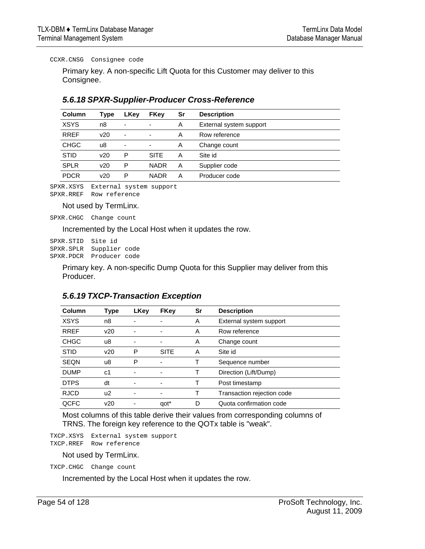CCXR.CNSG Consignee code

Primary key. A non-specific Lift Quota for this Customer may deliver to this Consignee.

| Column      | Type | <b>LKey</b>              | <b>FKey</b> | Sr | <b>Description</b>      |
|-------------|------|--------------------------|-------------|----|-------------------------|
| <b>XSYS</b> | n8   | $\overline{\phantom{a}}$ |             | A  | External system support |
| <b>RREF</b> | v20  | ٠                        |             | A  | Row reference           |
| <b>CHGC</b> | u8   | $\overline{\phantom{a}}$ |             | A  | Change count            |
| <b>STID</b> | v20  | P                        | <b>SITE</b> | A  | Site id                 |
| <b>SPLR</b> | v20  | Р                        | <b>NADR</b> | A  | Supplier code           |
| <b>PDCR</b> | v20  | Р                        | <b>NADR</b> | A  | Producer code           |
|             |      |                          |             |    |                         |

### *5.6.18 SPXR-Supplier-Producer Cross-Reference*

SPXR.XSYS External system support SPXR.RREF Row reference

Not used by TermLinx.

SPXR.CHGC Change count

Incremented by the Local Host when it updates the row.

SPXR.STID Site id SPXR.SPLR Supplier code SPXR.PDCR Producer code

> Primary key. A non-specific Dump Quota for this Supplier may deliver from this Producer.

| Column      | <b>Type</b> | <b>LKey</b> | <b>FKey</b>      | Sr | <b>Description</b>         |
|-------------|-------------|-------------|------------------|----|----------------------------|
| <b>XSYS</b> | n8          |             |                  | A  | External system support    |
| <b>RREF</b> | v20         |             |                  | A  | Row reference              |
| <b>CHGC</b> | u8          |             |                  | A  | Change count               |
| <b>STID</b> | v20         | P           | <b>SITE</b>      | A  | Site id                    |
| <b>SEQN</b> | u8          | P           |                  |    | Sequence number            |
| <b>DUMP</b> | c1          |             |                  |    | Direction (Lift/Dump)      |
| <b>DTPS</b> | dt          |             |                  |    | Post timestamp             |
| <b>RJCD</b> | u2          |             |                  |    | Transaction rejection code |
| QCFC        | v20         |             | qot <sup>*</sup> | D  | Quota confirmation code    |

### *5.6.19 TXCP-Transaction Exception*

Most columns of this table derive their values from corresponding columns of TRNS. The foreign key reference to the QOTx table is "weak".

TXCP.XSYS External system support TXCP.RREF Row reference

Not used by TermLinx.

TXCP.CHGC Change count

Incremented by the Local Host when it updates the row.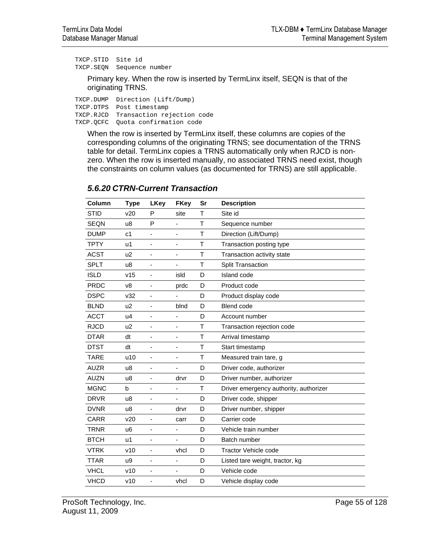TXCP.STID Site id TXCP.SEQN Sequence number

> Primary key. When the row is inserted by TermLinx itself, SEQN is that of the originating TRNS.

TXCP.DUMP Direction (Lift/Dump) TXCP.DTPS Post timestamp TXCP.RJCD Transaction rejection code TXCP.QCFC Quota confirmation code

When the row is inserted by TermLinx itself, these columns are copies of the corresponding columns of the originating TRNS; see documentation of the TRNS table for detail. TermLinx copies a TRNS automatically only when RJCD is nonzero. When the row is inserted manually, no associated TRNS need exist, though the constraints on column values (as documented for TRNS) are still applicable.

| Column      | <b>Type</b>    | <b>LKey</b>                  | <b>FKey</b> | Sr | <b>Description</b>                     |
|-------------|----------------|------------------------------|-------------|----|----------------------------------------|
| <b>STID</b> | v20            | P                            | site        | т  | Site id                                |
| <b>SEQN</b> | u8             | P                            | Ĭ.          | T  | Sequence number                        |
| <b>DUMP</b> | c <sub>1</sub> |                              | ٠           | Τ  | Direction (Lift/Dump)                  |
| <b>TPTY</b> | u1             | ä,                           | ٠           | Τ  | Transaction posting type               |
| <b>ACST</b> | u <sub>2</sub> | ä,                           | ٠           | T  | Transaction activity state             |
| <b>SPLT</b> | u8             |                              | ٠           | T  | <b>Split Transaction</b>               |
| <b>ISLD</b> | v15            | ÷,                           | isld        | D  | Island code                            |
| <b>PRDC</b> | v8             | $\qquad \qquad \blacksquare$ | prdc        | D  | Product code                           |
| <b>DSPC</b> | v32            |                              |             | D  | Product display code                   |
| <b>BLND</b> | u <sub>2</sub> | $\overline{\phantom{0}}$     | blnd        | D  | Blend code                             |
| <b>ACCT</b> | u4             | $\blacksquare$               | ٠           | D  | Account number                         |
| <b>RJCD</b> | u <sub>2</sub> |                              | ٠           | Τ  | Transaction rejection code             |
| <b>DTAR</b> | dt             | ä,                           | ÷           | Τ  | Arrival timestamp                      |
| <b>DTST</b> | dt             | ä,                           | ÷           | Τ  | Start timestamp                        |
| <b>TARE</b> | u10            |                              | ٠           | Τ  | Measured train tare, g                 |
| <b>AUZR</b> | u8             |                              |             | D  | Driver code, authorizer                |
| <b>AUZN</b> | u8             | $\overline{\phantom{a}}$     | drvr        | D  | Driver number, authorizer              |
| <b>MGNC</b> | b              |                              | ٠           | T  | Driver emergency authority, authorizer |
| <b>DRVR</b> | u8             | ٠                            |             | D  | Driver code, shipper                   |
| <b>DVNR</b> | u8             | ٠                            | drvr        | D  | Driver number, shipper                 |
| CARR        | v20            |                              | carr        | D  | Carrier code                           |
| <b>TRNR</b> | u6             | ä,                           | ٠           | D  | Vehicle train number                   |
| <b>BTCH</b> | u1             | ÷,                           | ä,          | D  | Batch number                           |
| <b>VTRK</b> | v10            | $\blacksquare$               | vhcl        | D  | <b>Tractor Vehicle code</b>            |
| <b>TTAR</b> | u9             | ä,                           | ÷           | D  | Listed tare weight, tractor, kg        |
| <b>VHCL</b> | v10            | ÷,                           | ٠           | D  | Vehicle code                           |
| <b>VHCD</b> | v10            |                              | vhcl        | D  | Vehicle display code                   |

# *5.6.20 CTRN-Current Transaction*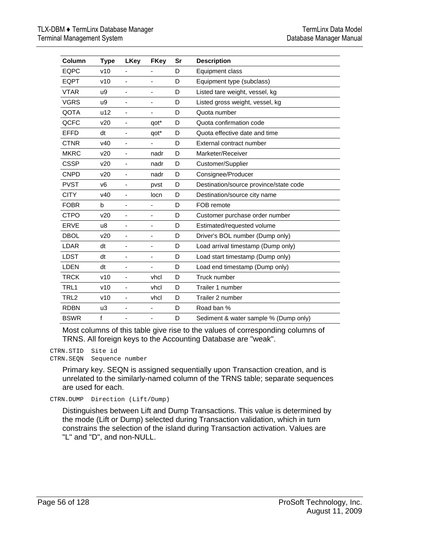| Column           | <b>Type</b>     | <b>LKey</b> | <b>FKey</b>                  | Sr | <b>Description</b>                     |
|------------------|-----------------|-------------|------------------------------|----|----------------------------------------|
| EQPC             | v10             |             |                              | D  | Equipment class                        |
| <b>EQPT</b>      | v10             |             |                              | D  | Equipment type (subclass)              |
| <b>VTAR</b>      | u9              |             |                              | D  | Listed tare weight, vessel, kg         |
| <b>VGRS</b>      | u9              | ä,          |                              | D  | Listed gross weight, vessel, kg        |
| QOTA             | u12             | ٠           | $\qquad \qquad \blacksquare$ | D  | Quota number                           |
| QCFC             | v20             | ٠           | qot*                         | D  | Quota confirmation code                |
| <b>EFFD</b>      | dt              |             | qot*                         | D  | Quota effective date and time          |
| <b>CTNR</b>      | V <sub>40</sub> | -           |                              | D  | External contract number               |
| <b>MKRC</b>      | v20             | ٠           | nadr                         | D  | Marketer/Receiver                      |
| <b>CSSP</b>      | v20             |             | nadr                         | D  | Customer/Supplier                      |
| <b>CNPD</b>      | v20             | ٠           | nadr                         | D  | Consignee/Producer                     |
| <b>PVST</b>      | V <sub>6</sub>  |             | pvst                         | D  | Destination/source province/state code |
| <b>CITY</b>      | V <sub>40</sub> | ÷,          | locn                         | D  | Destination/source city name           |
| <b>FOBR</b>      | b               | ÷,          | ٠                            | D  | FOB remote                             |
| <b>CTPO</b>      | v20             | ٠           | $\qquad \qquad \blacksquare$ | D  | Customer purchase order number         |
| <b>ERVE</b>      | u8              | ٠           | $\qquad \qquad \blacksquare$ | D  | Estimated/requested volume             |
| <b>DBOL</b>      | v20             | -           | ٠                            | D  | Driver's BOL number (Dump only)        |
| LDAR             | dt              | ٠           | -                            | D  | Load arrival timestamp (Dump only)     |
| <b>LDST</b>      | dt              |             | ٠                            | D  | Load start timestamp (Dump only)       |
| LDEN             | dt              |             |                              | D  | Load end timestamp (Dump only)         |
| <b>TRCK</b>      | v10             |             | vhcl                         | D  | Truck number                           |
| TRL1             | v10             | ÷,          | vhcl                         | D  | Trailer 1 number                       |
| TRL <sub>2</sub> | v10             | ÷,          | vhcl                         | D  | Trailer 2 number                       |
| <b>RDBN</b>      | u3              | ÷           |                              | D  | Road ban %                             |
| <b>BSWR</b>      | f               | ÷,          | $\overline{\phantom{m}}$     | D  | Sediment & water sample % (Dump only)  |

Most columns of this table give rise to the values of corresponding columns of TRNS. All foreign keys to the Accounting Database are "weak".

CTRN.STID Site id CTRN.SEQN Sequence number

> Primary key. SEQN is assigned sequentially upon Transaction creation, and is unrelated to the similarly-named column of the TRNS table; separate sequences are used for each.

CTRN.DUMP Direction (Lift/Dump)

Distinguishes between Lift and Dump Transactions. This value is determined by the mode (Lift or Dump) selected during Transaction validation, which in turn constrains the selection of the island during Transaction activation. Values are "L" and "D", and non-NULL.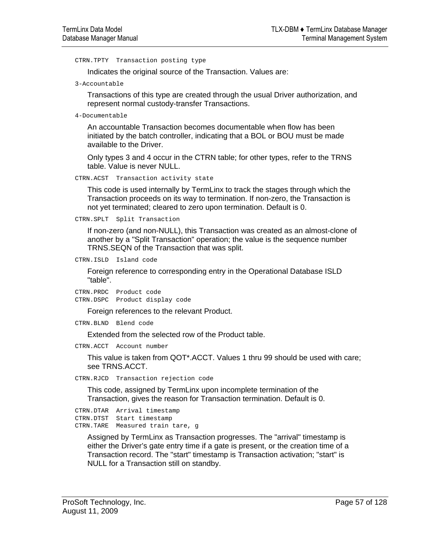CTRN.TPTY Transaction posting type

Indicates the original source of the Transaction. Values are:

3-Accountable

Transactions of this type are created through the usual Driver authorization, and represent normal custody-transfer Transactions.

```
4-Documentable
```
An accountable Transaction becomes documentable when flow has been initiated by the batch controller, indicating that a BOL or BOU must be made available to the Driver.

Only types 3 and 4 occur in the CTRN table; for other types, refer to the TRNS table. Value is never NULL.

CTRN.ACST Transaction activity state

This code is used internally by TermLinx to track the stages through which the Transaction proceeds on its way to termination. If non-zero, the Transaction is not yet terminated; cleared to zero upon termination. Default is 0.

```
CTRN.SPLT Split Transaction
```
If non-zero (and non-NULL), this Transaction was created as an almost-clone of another by a "Split Transaction" operation; the value is the sequence number TRNS.SEQN of the Transaction that was split.

CTRN.ISLD Island code

Foreign reference to corresponding entry in the Operational Database ISLD "table".

CTRN.PRDC Product code CTRN.DSPC Product display code

Foreign references to the relevant Product.

CTRN.BLND Blend code

Extended from the selected row of the Product table.

CTRN.ACCT Account number

This value is taken from QOT\*.ACCT. Values 1 thru 99 should be used with care; see TRNS.ACCT.

CTRN.RJCD Transaction rejection code

This code, assigned by TermLinx upon incomplete termination of the Transaction, gives the reason for Transaction termination. Default is 0.

CTRN.DTAR Arrival timestamp CTRN.DTST Start timestamp CTRN.TARE Measured train tare, g

Assigned by TermLinx as Transaction progresses. The "arrival" timestamp is either the Driver's gate entry time if a gate is present, or the creation time of a Transaction record. The "start" timestamp is Transaction activation; "start" is NULL for a Transaction still on standby.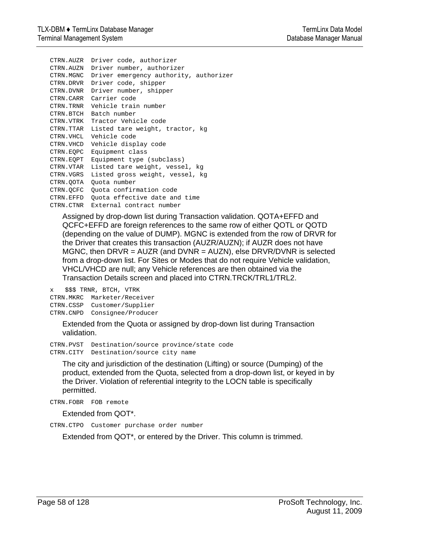CTRN.AUZR Driver code, authorizer CTRN.AUZN Driver number, authorizer CTRN.MGNC Driver emergency authority, authorizer CTRN.DRVR Driver code, shipper CTRN.DVNR Driver number, shipper CTRN.CARR Carrier code CTRN.TRNR Vehicle train number CTRN.BTCH Batch number CTRN.VTRK Tractor Vehicle code CTRN.TTAR Listed tare weight, tractor, kg CTRN.VHCL Vehicle code CTRN.VHCD Vehicle display code CTRN.EQPC Equipment class CTRN.EQPT Equipment type (subclass) CTRN.VTAR Listed tare weight, vessel, kg CTRN.VGRS Listed gross weight, vessel, kg CTRN.QOTA Quota number CTRN.QCFC Quota confirmation code CTRN.EFFD Quota effective date and time CTRN.CTNR External contract number

Assigned by drop-down list during Transaction validation. QOTA+EFFD and QCFC+EFFD are foreign references to the same row of either QOTL or QOTD (depending on the value of DUMP). MGNC is extended from the row of DRVR for the Driver that creates this transaction (AUZR/AUZN); if AUZR does not have MGNC, then DRVR = AUZR (and DVNR = AUZN), else DRVR/DVNR is selected from a drop-down list. For Sites or Modes that do not require Vehicle validation, VHCL/VHCD are null; any Vehicle references are then obtained via the Transaction Details screen and placed into CTRN.TRCK/TRL1/TRL2.

x \$\$\$ TRNR, BTCH, VTRK CTRN.MKRC Marketer/Receiver CTRN.CSSP Customer/Supplier CTRN.CNPD Consignee/Producer

> Extended from the Quota or assigned by drop-down list during Transaction validation.

CTRN.PVST Destination/source province/state code CTRN.CITY Destination/source city name

The city and jurisdiction of the destination (Lifting) or source (Dumping) of the product, extended from the Quota, selected from a drop-down list, or keyed in by the Driver. Violation of referential integrity to the LOCN table is specifically permitted.

CTRN.FOBR FOB remote

Extended from QOT\*.

CTRN.CTPO Customer purchase order number

Extended from QOT\*, or entered by the Driver. This column is trimmed.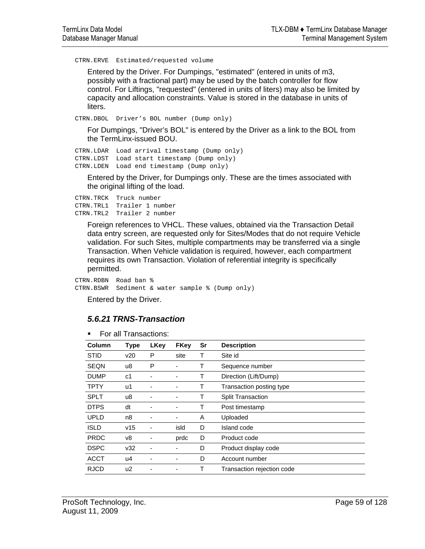CTRN.ERVE Estimated/requested volume

Entered by the Driver. For Dumpings, "estimated" (entered in units of m3, possibly with a fractional part) may be used by the batch controller for flow control. For Liftings, "requested" (entered in units of liters) may also be limited by capacity and allocation constraints. Value is stored in the database in units of liters.

CTRN.DBOL Driver's BOL number (Dump only)

For Dumpings, "Driver's BOL" is entered by the Driver as a link to the BOL from the TermLinx-issued BOU.

```
CTRN.LDAR Load arrival timestamp (Dump only) 
CTRN.LDST Load start timestamp (Dump only) 
CTRN.LDEN Load end timestamp (Dump only)
```
Entered by the Driver, for Dumpings only. These are the times associated with the original lifting of the load.

CTRN.TRCK Truck number CTRN.TRL1 Trailer 1 number CTRN.TRL2 Trailer 2 number

> Foreign references to VHCL. These values, obtained via the Transaction Detail data entry screen, are requested only for Sites/Modes that do not require Vehicle validation. For such Sites, multiple compartments may be transferred via a single Transaction. When Vehicle validation is required, however, each compartment requires its own Transaction. Violation of referential integrity is specifically permitted.

CTRN.RDBN Road ban % CTRN.BSWR Sediment & water sample % (Dump only)

Entered by the Driver.

### *5.6.21 TRNS-Transaction*

**For all Transactions:** 

| Column      | <b>Type</b> | <b>LKey</b> | <b>FKey</b> | Sr | <b>Description</b>         |
|-------------|-------------|-------------|-------------|----|----------------------------|
| <b>STID</b> | v20         | Р           | site        | т  | Site id                    |
| <b>SEQN</b> | u8          | P           |             |    | Sequence number            |
| <b>DUMP</b> | c1          | -           |             | т  | Direction (Lift/Dump)      |
| <b>TPTY</b> | u1          |             |             | т  | Transaction posting type   |
| <b>SPLT</b> | u8          |             |             | т  | <b>Split Transaction</b>   |
| <b>DTPS</b> | dt          |             |             | т  | Post timestamp             |
| <b>UPLD</b> | n8          |             | -           | A  | Uploaded                   |
| <b>ISLD</b> | v15         |             | isld        | D  | Island code                |
| <b>PRDC</b> | v8          |             | prdc        | D  | Product code               |
| <b>DSPC</b> | v32         |             |             | D  | Product display code       |
| <b>ACCT</b> | u4          |             |             | D  | Account number             |
| <b>RJCD</b> | u2          |             |             |    | Transaction rejection code |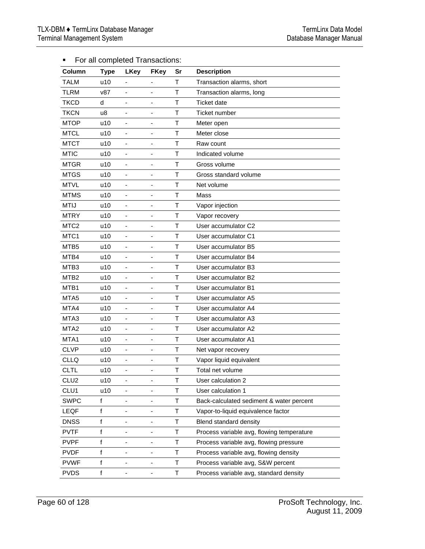| Column           | <b>Type</b> | i or all completed mansactions.<br><b>LKey</b> | <b>FKey</b>                  | Sr | <b>Description</b>                        |
|------------------|-------------|------------------------------------------------|------------------------------|----|-------------------------------------------|
| <b>TALM</b>      | u10         |                                                | $\overline{\phantom{a}}$     | T  | Transaction alarms, short                 |
| <b>TLRM</b>      | v87         | $\overline{\phantom{a}}$                       | -                            | T  | Transaction alarms, long                  |
| <b>TKCD</b>      | d           |                                                | $\overline{a}$               | T  | <b>Ticket date</b>                        |
| <b>TKCN</b>      | u8          | $\frac{1}{2}$                                  | $\qquad \qquad \blacksquare$ | T  | Ticket number                             |
| <b>MTOP</b>      | u10         | $\qquad \qquad \blacksquare$                   |                              | T  | Meter open                                |
| <b>MTCL</b>      | u10         | $\qquad \qquad \blacksquare$                   | $\qquad \qquad \blacksquare$ | Τ  | Meter close                               |
| <b>MTCT</b>      | u10         | $\blacksquare$                                 | $\overline{\phantom{a}}$     | T  | Raw count                                 |
| <b>MTIC</b>      | u10         | $\blacksquare$                                 |                              | T  | Indicated volume                          |
| <b>MTGR</b>      | u10         | ä,                                             | $\qquad \qquad \blacksquare$ | T  | Gross volume                              |
|                  |             |                                                | $\overline{\phantom{a}}$     | T  |                                           |
| <b>MTGS</b>      | u10         |                                                |                              |    | Gross standard volume                     |
| <b>MTVL</b>      | u10         | $\qquad \qquad \blacksquare$                   | $\overline{\phantom{a}}$     | T  | Net volume                                |
| <b>MTMS</b>      | u10         |                                                | $\qquad \qquad \blacksquare$ | T  | Mass                                      |
| <b>MTIJ</b>      | u10         | $\qquad \qquad \blacksquare$                   | $\overline{\phantom{a}}$     | T  | Vapor injection                           |
| <b>MTRY</b>      | u10         | -                                              | $\qquad \qquad \blacksquare$ | T  | Vapor recovery                            |
| MTC <sub>2</sub> | u10         | -                                              | $\qquad \qquad \blacksquare$ | T  | User accumulator C2                       |
| MTC1             | u10         |                                                | $\qquad \qquad \blacksquare$ | Τ  | User accumulator C1                       |
| MTB <sub>5</sub> | u10         | -                                              | $\overline{\phantom{a}}$     | T  | User accumulator B5                       |
| MTB4             | u10         | $\qquad \qquad \blacksquare$                   | $\overline{\phantom{a}}$     | T  | User accumulator B4                       |
| MTB <sub>3</sub> | u10         | $\qquad \qquad \blacksquare$                   | $\overline{\phantom{a}}$     | Τ  | User accumulator B3                       |
| MTB <sub>2</sub> | u10         |                                                | $\blacksquare$               | T  | User accumulator B2                       |
| MTB1             | u10         | $\frac{1}{2}$                                  | $\overline{\phantom{a}}$     | T  | User accumulator B1                       |
| MTA <sub>5</sub> | u10         |                                                |                              | T  | User accumulator A5                       |
| MTA4             | u10         | $\frac{1}{2}$                                  | $\qquad \qquad \blacksquare$ | T  | User accumulator A4                       |
| MTA3             | u10         |                                                | $\overline{a}$               | T  | User accumulator A3                       |
| MTA <sub>2</sub> | u10         | $\qquad \qquad \blacksquare$                   | $\overline{\phantom{a}}$     | T  | User accumulator A2                       |
| MTA1             | u10         | $\blacksquare$                                 | $\qquad \qquad \blacksquare$ | T  | User accumulator A1                       |
| <b>CLVP</b>      | u10         | $\qquad \qquad \blacksquare$                   | $\qquad \qquad \blacksquare$ | T  | Net vapor recovery                        |
| <b>CLLQ</b>      | u10         | $\blacksquare$                                 |                              | T  | Vapor liquid equivalent                   |
| <b>CLTL</b>      | u10         | $\overline{\phantom{a}}$                       |                              | T  | Total net volume                          |
| CLU <sub>2</sub> | u10         | $\frac{1}{2}$                                  |                              | T  | User calculation 2                        |
| CLU1             | u10         |                                                | -                            | Т  | User calculation 1                        |
| <b>SWPC</b>      | f           | $\overline{\phantom{0}}$                       |                              | Т  | Back-calculated sediment & water percent  |
| LEQF             | f           | $\overline{\phantom{0}}$                       | -                            | Τ  | Vapor-to-liquid equivalence factor        |
| <b>DNSS</b>      | $\mathsf f$ |                                                |                              | T  | Blend standard density                    |
| <b>PVTF</b>      | $\mathsf f$ | -                                              | -                            | T  | Process variable avg, flowing temperature |
| <b>PVPF</b>      | $\mathsf f$ | -                                              | -                            | Т  | Process variable avg, flowing pressure    |
| <b>PVDF</b>      | $\mathsf f$ |                                                |                              | Т  | Process variable avg, flowing density     |
| <b>PVWF</b>      | f           |                                                |                              | т  | Process variable avg, S&W percent         |
| <b>PVDS</b>      | f           |                                                |                              | T  | Process variable avg, standard density    |

■ For all completed Transactions: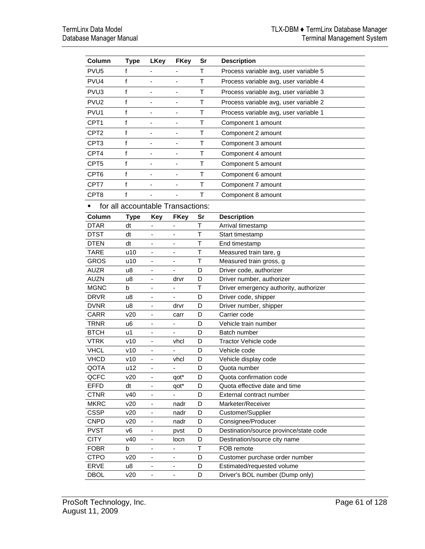| Column           | <b>Type</b>                       | <b>LKey</b>                  | <b>FKey</b>              | Sr | <b>Description</b>                     |
|------------------|-----------------------------------|------------------------------|--------------------------|----|----------------------------------------|
| PVU <sub>5</sub> | f                                 |                              |                          | T  | Process variable avg, user variable 5  |
| PVU <sub>4</sub> | f                                 | $\overline{\phantom{a}}$     | -                        | T  | Process variable avg, user variable 4  |
| PVU <sub>3</sub> | f                                 |                              |                          | T  | Process variable avg, user variable 3  |
| PVU <sub>2</sub> | f                                 | $\overline{\phantom{a}}$     | -                        | Τ  | Process variable avg, user variable 2  |
| PVU <sub>1</sub> | f                                 |                              |                          | T  | Process variable avg, user variable 1  |
| CPT <sub>1</sub> | f                                 | $\qquad \qquad \blacksquare$ | $\overline{a}$           | T  | Component 1 amount                     |
| CPT <sub>2</sub> | f                                 | $\overline{\phantom{a}}$     |                          | т  | Component 2 amount                     |
| CPT3             | f                                 |                              | ٠                        | т  | Component 3 amount                     |
| CPT4             | f                                 |                              |                          | т  | Component 4 amount                     |
| CPT <sub>5</sub> | f                                 |                              |                          | T  | Component 5 amount                     |
|                  |                                   |                              |                          |    |                                        |
| CPT <sub>6</sub> | f                                 |                              |                          | T  | Component 6 amount                     |
| CPT7             | f                                 |                              |                          | т  | Component 7 amount                     |
| CPT8             | f                                 |                              |                          | т  | Component 8 amount                     |
|                  | for all accountable Transactions: |                              |                          |    |                                        |
| Column           | <b>Type</b>                       | <b>Key</b>                   | <b>FKey</b>              | Sr | <b>Description</b>                     |
| <b>DTAR</b>      | dt                                |                              |                          | T  | Arrival timestamp                      |
| <b>DTST</b>      | dt                                |                              |                          | Τ  | Start timestamp                        |
| DTEN             | dt                                | ÷                            |                          | Τ  | End timestamp                          |
| <b>TARE</b>      | u10                               | $\qquad \qquad \blacksquare$ | $\overline{\phantom{a}}$ | т  | Measured train tare, g                 |
| <b>GROS</b>      | u10                               | ٠                            |                          | Т  | Measured train gross, g                |
| <b>AUZR</b>      | u8                                |                              |                          | D  | Driver code, authorizer                |
| <b>AUZN</b>      | u8                                |                              | drvr                     | D  | Driver number, authorizer              |
| <b>MGNC</b>      | b                                 |                              |                          | Τ  | Driver emergency authority, authorizer |
| <b>DRVR</b>      | u8                                |                              |                          | D  | Driver code, shipper                   |
| <b>DVNR</b>      | u8                                | ÷                            | drvr                     | D  | Driver number, shipper                 |
| CARR             | v20                               | $\overline{\phantom{0}}$     | carr                     | D  | Carrier code                           |
| TRNR             | u <sub>6</sub>                    | $\overline{\phantom{0}}$     | $\blacksquare$           | D  | Vehicle train number                   |
| <b>BTCH</b>      | u1                                |                              |                          | D  | Batch number                           |
| <b>VTRK</b>      | v10                               |                              | vhcl                     | D  | Tractor Vehicle code                   |
| <b>VHCL</b>      | v10                               |                              |                          | D  | Vehicle code                           |
| <b>VHCD</b>      | v10                               |                              | vhcl                     | D  | Vehicle display code                   |
| QOTA             | u12                               | -                            | ۰                        | D  | Quota number                           |
| QCFC             | v20                               | -                            | qot*                     | D  | Quota confirmation code                |
| <b>EFFD</b>      | dt                                | $\overline{\phantom{0}}$     | qot*                     | D  | Quota effective date and time          |
| <b>CTNR</b>      | v40                               | $\overline{\phantom{0}}$     |                          | D  | External contract number               |
| <b>MKRC</b>      | v20                               |                              | nadr                     | D  | Marketer/Receiver                      |
| <b>CSSP</b>      | v20                               |                              | nadr                     | D  | Customer/Supplier                      |
| <b>CNPD</b>      | v20                               |                              | nadr                     | D  | Consignee/Producer                     |
| <b>PVST</b>      | v6                                | ۰                            | pvst                     | D  | Destination/source province/state code |
| <b>CITY</b>      | v40                               | $\overline{\phantom{0}}$     | locn                     | D  | Destination/source city name           |
| <b>FOBR</b>      | b                                 | -                            | $\overline{\phantom{0}}$ | Т  | FOB remote                             |
| <b>CTPO</b>      | v20                               | -                            | -                        | D  | Customer purchase order number         |
| <b>ERVE</b>      | u8                                |                              |                          | D  | Estimated/requested volume             |
| <b>DBOL</b>      | v20                               | $\frac{1}{2}$                | $\overline{\phantom{a}}$ | D  | Driver's BOL number (Dump only)        |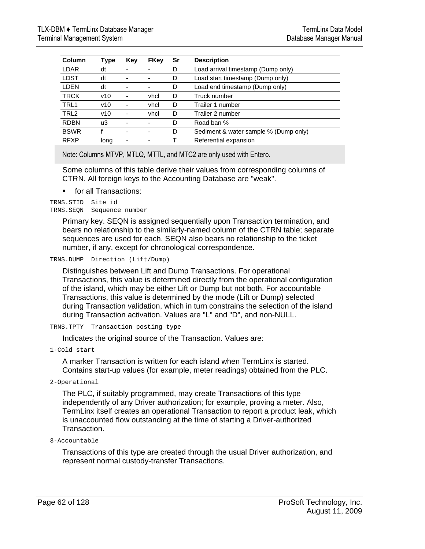| Column           | Type | Key | <b>FKey</b> | Sr | <b>Description</b>                    |
|------------------|------|-----|-------------|----|---------------------------------------|
| LDAR             | dt   |     |             | D  | Load arrival timestamp (Dump only)    |
| <b>LDST</b>      | dt   |     |             | D  | Load start timestamp (Dump only)      |
| <b>LDEN</b>      | dt   |     |             | D  | Load end timestamp (Dump only)        |
| <b>TRCK</b>      | v10  |     | vhcl        | D  | Truck number                          |
| TRL1             | v10  |     | vhcl        | D  | Trailer 1 number                      |
| TRL <sub>2</sub> | v10  | ۰   | vhcl        | D  | Trailer 2 number                      |
| <b>RDBN</b>      | uЗ   |     |             | D  | Road ban %                            |
| <b>BSWR</b>      |      |     | ۰           | D  | Sediment & water sample % (Dump only) |
| <b>RFXP</b>      | long | -   | -           |    | Referential expansion                 |

Note: Columns MTVP, MTLQ, MTTL, and MTC2 are only used with Entero.

Some columns of this table derive their values from corresponding columns of CTRN. All foreign keys to the Accounting Database are "weak".

for all Transactions:

```
TRNS.STID Site id 
TRNS.SEQN Sequence number
```
Primary key. SEQN is assigned sequentially upon Transaction termination, and bears no relationship to the similarly-named column of the CTRN table; separate sequences are used for each. SEQN also bears no relationship to the ticket number, if any, except for chronological correspondence.

TRNS.DUMP Direction (Lift/Dump)

Distinguishes between Lift and Dump Transactions. For operational Transactions, this value is determined directly from the operational configuration of the island, which may be either Lift or Dump but not both. For accountable Transactions, this value is determined by the mode (Lift or Dump) selected during Transaction validation, which in turn constrains the selection of the island during Transaction activation. Values are "L" and "D", and non-NULL.

```
TRNS.TPTY Transaction posting type
```
Indicates the original source of the Transaction. Values are:

1-Cold start

A marker Transaction is written for each island when TermLinx is started. Contains start-up values (for example, meter readings) obtained from the PLC.

2-Operational

The PLC, if suitably programmed, may create Transactions of this type independently of any Driver authorization; for example, proving a meter. Also, TermLinx itself creates an operational Transaction to report a product leak, which is unaccounted flow outstanding at the time of starting a Driver-authorized Transaction.

```
3-Accountable
```
Transactions of this type are created through the usual Driver authorization, and represent normal custody-transfer Transactions.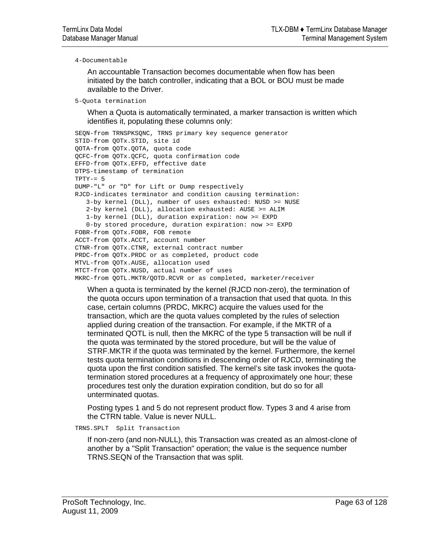#### 4-Documentable

An accountable Transaction becomes documentable when flow has been initiated by the batch controller, indicating that a BOL or BOU must be made available to the Driver.

```
5-Quota termination
```
When a Quota is automatically terminated, a marker transaction is written which identifies it, populating these columns only:

```
SEQN-from TRNSPKSQNC, TRNS primary key sequence generator 
STID-from QOTx.STID, site id 
QOTA-from QOTx.QOTA, quota code 
QCFC-from QOTx.QCFC, quota confirmation code 
EFFD-from QOTx.EFFD, effective date 
DTPS-timestamp of termination 
TPTY-= 5
DUMP-"L" or "D" for Lift or Dump respectively 
RJCD-indicates terminator and condition causing termination: 
    3-by kernel (DLL), number of uses exhausted: NUSD >= NUSE 
    2-by kernel (DLL), allocation exhausted: AUSE >= ALIM 
   1-by kernel (DLL), duration expiration: now >= EXPD 
    0-by stored procedure, duration expiration: now >= EXPD 
FOBR-from QOTx.FOBR, FOB remote 
ACCT-from QOTx.ACCT, account number 
CTNR-from QOTx.CTNR, external contract number 
PRDC-from QOTx.PRDC or as completed, product code 
MTVL-from QOTx.AUSE, allocation used 
MTCT-from QOTx.NUSD, actual number of uses 
MKRC-from QOTL.MKTR/QOTD.RCVR or as completed, marketer/receiver
```
When a quota is terminated by the kernel (RJCD non-zero), the termination of the quota occurs upon termination of a transaction that used that quota. In this case, certain columns (PRDC, MKRC) acquire the values used for the transaction, which are the quota values completed by the rules of selection applied during creation of the transaction. For example, if the MKTR of a terminated QOTL is null, then the MKRC of the type 5 transaction will be null if the quota was terminated by the stored procedure, but will be the value of STRF.MKTR if the quota was terminated by the kernel. Furthermore, the kernel tests quota termination conditions in descending order of RJCD, terminating the quota upon the first condition satisfied. The kernel's site task invokes the quotatermination stored procedures at a frequency of approximately one hour; these procedures test only the duration expiration condition, but do so for all unterminated quotas.

Posting types 1 and 5 do not represent product flow. Types 3 and 4 arise from the CTRN table. Value is never NULL.

TRNS.SPLT Split Transaction

If non-zero (and non-NULL), this Transaction was created as an almost-clone of another by a "Split Transaction" operation; the value is the sequence number TRNS.SEQN of the Transaction that was split.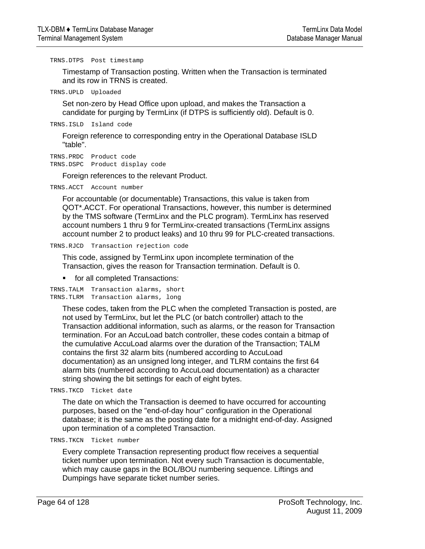TRNS.DTPS Post timestamp

Timestamp of Transaction posting. Written when the Transaction is terminated and its row in TRNS is created.

TRNS.UPLD Uploaded

Set non-zero by Head Office upon upload, and makes the Transaction a candidate for purging by TermLinx (if DTPS is sufficiently old). Default is 0.

TRNS.ISLD Island code

Foreign reference to corresponding entry in the Operational Database ISLD "table".

TRNS.PRDC Product code TRNS.DSPC Product display code

Foreign references to the relevant Product.

TRNS.ACCT Account number

For accountable (or documentable) Transactions, this value is taken from QOT\*.ACCT. For operational Transactions, however, this number is determined by the TMS software (TermLinx and the PLC program). TermLinx has reserved account numbers 1 thru 9 for TermLinx-created transactions (TermLinx assigns account number 2 to product leaks) and 10 thru 99 for PLC-created transactions.

```
TRNS.RJCD Transaction rejection code
```
This code, assigned by TermLinx upon incomplete termination of the Transaction, gives the reason for Transaction termination. Default is 0.

**for all completed Transactions:** 

```
TRNS.TALM Transaction alarms, short 
TRNS.TLRM Transaction alarms, long
```
These codes, taken from the PLC when the completed Transaction is posted, are not used by TermLinx, but let the PLC (or batch controller) attach to the Transaction additional information, such as alarms, or the reason for Transaction termination. For an AccuLoad batch controller, these codes contain a bitmap of the cumulative AccuLoad alarms over the duration of the Transaction; TALM contains the first 32 alarm bits (numbered according to AccuLoad documentation) as an unsigned long integer, and TLRM contains the first 64 alarm bits (numbered according to AccuLoad documentation) as a character string showing the bit settings for each of eight bytes.

TRNS.TKCD Ticket date

The date on which the Transaction is deemed to have occurred for accounting purposes, based on the "end-of-day hour" configuration in the Operational database; it is the same as the posting date for a midnight end-of-day. Assigned upon termination of a completed Transaction.

TRNS.TKCN Ticket number

Every complete Transaction representing product flow receives a sequential ticket number upon termination. Not every such Transaction is documentable, which may cause gaps in the BOL/BOU numbering sequence. Liftings and Dumpings have separate ticket number series.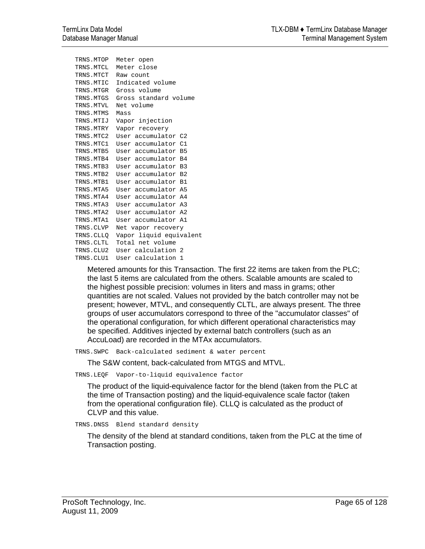```
TRNS.MTOP Meter open 
TRNS.MTCL Meter close 
TRNS.MTCT Raw count 
TRNS.MTIC Indicated volume 
TRNS.MTGR Gross volume 
TRNS.MTGS Gross standard volume 
TRNS.MTVL Net volume 
TRNS.MTMS Mass 
TRNS.MTIJ Vapor injection 
TRNS.MTRY Vapor recovery 
TRNS.MTC2 User accumulator C2 
TRNS.MTC1 User accumulator C1 
TRNS.MTB5 User accumulator B5 
TRNS.MTB4 User accumulator B4 
TRNS.MTB3 User accumulator B3 
TRNS.MTB2 User accumulator B2 
TRNS.MTB1 User accumulator B1 
TRNS.MTA5 User accumulator A5 
TRNS.MTA4 User accumulator A4 
TRNS.MTA3 User accumulator A3 
TRNS.MTA2 User accumulator A2 
TRNS.MTA1 User accumulator A1 
TRNS.CLVP Net vapor recovery 
TRNS.CLLQ Vapor liquid equivalent 
TRNS.CLTL Total net volume 
TRNS.CLU2 User calculation 2 
TRNS.CLU1 User calculation 1
```
Metered amounts for this Transaction. The first 22 items are taken from the PLC; the last 5 items are calculated from the others. Scalable amounts are scaled to the highest possible precision: volumes in liters and mass in grams; other quantities are not scaled. Values not provided by the batch controller may not be present; however, MTVL, and consequently CLTL, are always present. The three groups of user accumulators correspond to three of the "accumulator classes" of the operational configuration, for which different operational characteristics may be specified. Additives injected by external batch controllers (such as an AccuLoad) are recorded in the MTAx accumulators.

TRNS.SWPC Back-calculated sediment & water percent

The S&W content, back-calculated from MTGS and MTVL.

TRNS.LEQF Vapor-to-liquid equivalence factor

The product of the liquid-equivalence factor for the blend (taken from the PLC at the time of Transaction posting) and the liquid-equivalence scale factor (taken from the operational configuration file). CLLQ is calculated as the product of CLVP and this value.

TRNS.DNSS Blend standard density

The density of the blend at standard conditions, taken from the PLC at the time of Transaction posting.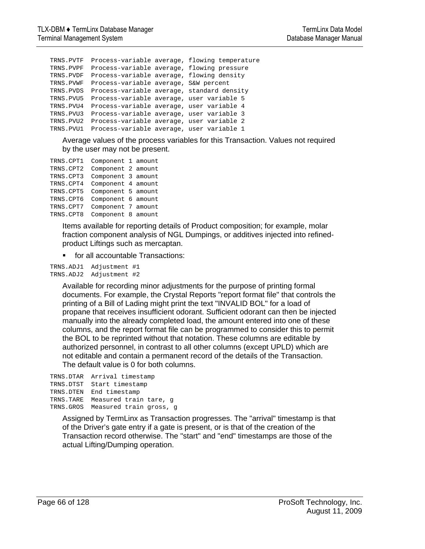```
TRNS.PVTF Process-variable average, flowing temperature 
TRNS.PVPF Process-variable average, flowing pressure 
TRNS.PVDF Process-variable average, flowing density 
TRNS.PVWF Process-variable average, S&W percent 
TRNS.PVDS Process-variable average, standard density 
TRNS.PVU5 Process-variable average, user variable 5 
TRNS.PVU4 Process-variable average, user variable 4 
TRNS.PVU3 Process-variable average, user variable 3 
TRNS.PVU2 Process-variable average, user variable 2 
TRNS.PVU1 Process-variable average, user variable 1
```
Average values of the process variables for this Transaction. Values not required by the user may not be present.

TRNS.CPT1 Component 1 amount TRNS.CPT2 Component 2 amount TRNS.CPT3 Component 3 amount TRNS.CPT4 Component 4 amount TRNS.CPT5 Component 5 amount TRNS.CPT6 Component 6 amount TRNS.CPT7 Component 7 amount TRNS.CPT8 Component 8 amount

> Items available for reporting details of Product composition; for example, molar fraction component analysis of NGL Dumpings, or additives injected into refinedproduct Liftings such as mercaptan.

for all accountable Transactions:

```
TRNS.ADJ1 Adjustment #1 
TRNS.ADJ2 Adjustment #2
```
Available for recording minor adjustments for the purpose of printing formal documents. For example, the Crystal Reports "report format file" that controls the printing of a Bill of Lading might print the text "INVALID BOL" for a load of propane that receives insufficient odorant. Sufficient odorant can then be injected manually into the already completed load, the amount entered into one of these columns, and the report format file can be programmed to consider this to permit the BOL to be reprinted without that notation. These columns are editable by authorized personnel, in contrast to all other columns (except UPLD) which are not editable and contain a permanent record of the details of the Transaction. The default value is 0 for both columns.

```
TRNS.DTAR Arrival timestamp 
TRNS.DTST Start timestamp 
TRNS.DTEN End timestamp 
TRNS.TARE Measured train tare, g 
TRNS.GROS Measured train gross, g
```
Assigned by TermLinx as Transaction progresses. The "arrival" timestamp is that of the Driver's gate entry if a gate is present, or is that of the creation of the Transaction record otherwise. The "start" and "end" timestamps are those of the actual Lifting/Dumping operation.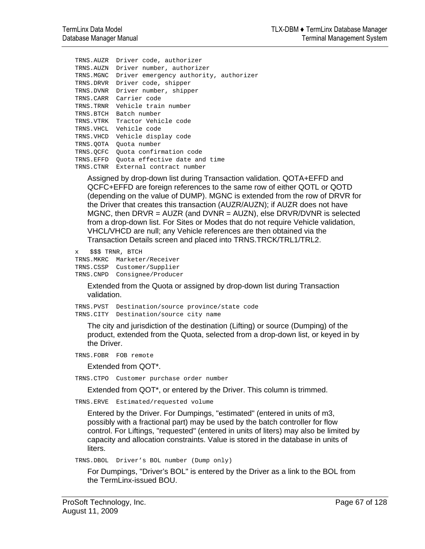```
TRNS.AUZR Driver code, authorizer 
TRNS.AUZN Driver number, authorizer 
TRNS.MGNC Driver emergency authority, authorizer 
TRNS.DRVR Driver code, shipper 
TRNS.DVNR Driver number, shipper 
TRNS.CARR Carrier code 
TRNS.TRNR Vehicle train number 
TRNS.BTCH Batch number 
TRNS.VTRK Tractor Vehicle code 
TRNS.VHCL Vehicle code 
TRNS.VHCD Vehicle display code 
TRNS.QOTA Quota number 
TRNS.QCFC Quota confirmation code 
TRNS.EFFD Quota effective date and time 
TRNS.CTNR External contract number
```
Assigned by drop-down list during Transaction validation. QOTA+EFFD and QCFC+EFFD are foreign references to the same row of either QOTL or QOTD (depending on the value of DUMP). MGNC is extended from the row of DRVR for the Driver that creates this transaction (AUZR/AUZN); if AUZR does not have MGNC, then DRVR = AUZR (and DVNR = AUZN), else DRVR/DVNR is selected from a drop-down list. For Sites or Modes that do not require Vehicle validation, VHCL/VHCD are null; any Vehicle references are then obtained via the Transaction Details screen and placed into TRNS.TRCK/TRL1/TRL2.

x \$\$\$ TRNR, BTCH

TRNS.MKRC Marketer/Receiver TRNS.CSSP Customer/Supplier TRNS.CNPD Consignee/Producer

> Extended from the Quota or assigned by drop-down list during Transaction validation.

TRNS.PVST Destination/source province/state code TRNS.CITY Destination/source city name

The city and jurisdiction of the destination (Lifting) or source (Dumping) of the product, extended from the Quota, selected from a drop-down list, or keyed in by the Driver.

```
TRNS.FOBR FOB remote
```
Extended from QOT\*.

TRNS.CTPO Customer purchase order number

Extended from QOT\*, or entered by the Driver. This column is trimmed.

TRNS.ERVE Estimated/requested volume

Entered by the Driver. For Dumpings, "estimated" (entered in units of m3, possibly with a fractional part) may be used by the batch controller for flow control. For Liftings, "requested" (entered in units of liters) may also be limited by capacity and allocation constraints. Value is stored in the database in units of liters.

TRNS.DBOL Driver's BOL number (Dump only)

For Dumpings, "Driver's BOL" is entered by the Driver as a link to the BOL from the TermLinx-issued BOU.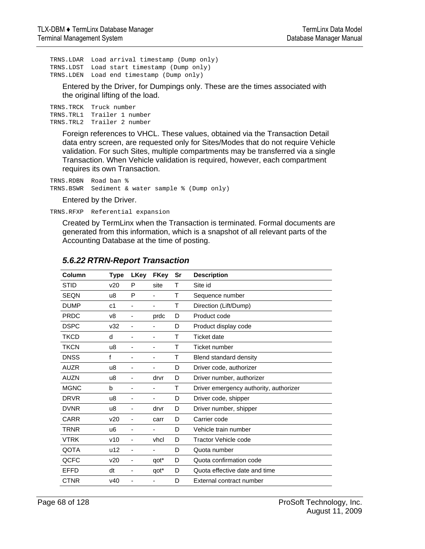TRNS.LDAR Load arrival timestamp (Dump only) TRNS.LDST Load start timestamp (Dump only) TRNS.LDEN Load end timestamp (Dump only)

Entered by the Driver, for Dumpings only. These are the times associated with the original lifting of the load.

TRNS.TRCK Truck number TRNS.TRL1 Trailer 1 number TRNS.TRL2 Trailer 2 number

> Foreign references to VHCL. These values, obtained via the Transaction Detail data entry screen, are requested only for Sites/Modes that do not require Vehicle validation. For such Sites, multiple compartments may be transferred via a single Transaction. When Vehicle validation is required, however, each compartment requires its own Transaction.

TRNS.RDBN Road ban % TRNS.BSWR Sediment & water sample % (Dump only)

Entered by the Driver.

TRNS.RFXP Referential expansion

Created by TermLinx when the Transaction is terminated. Formal documents are generated from this information, which is a snapshot of all relevant parts of the Accounting Database at the time of posting.

| Column      | Type           | <b>LKey</b>              | <b>FKey</b>              | Sr | <b>Description</b>                     |
|-------------|----------------|--------------------------|--------------------------|----|----------------------------------------|
| <b>STID</b> | v20            | P                        | site                     | T  | Site id                                |
| <b>SEQN</b> | u8             | P                        | $\overline{\phantom{a}}$ | т  | Sequence number                        |
| <b>DUMP</b> | c1             |                          |                          | т  | Direction (Lift/Dump)                  |
| <b>PRDC</b> | v8             | -                        | prdc                     | D  | Product code                           |
| <b>DSPC</b> | v32            |                          |                          | D  | Product display code                   |
| <b>TKCD</b> | d              |                          | -                        | т  | <b>Ticket date</b>                     |
| <b>TKCN</b> | u8             |                          |                          | Τ  | Ticket number                          |
| <b>DNSS</b> | f              |                          |                          | Τ  | Blend standard density                 |
| <b>AUZR</b> | u8             |                          | -                        | D  | Driver code, authorizer                |
| <b>AUZN</b> | u8             |                          | drvr                     | D  | Driver number, authorizer              |
| <b>MGNC</b> | b              | $\overline{\phantom{a}}$ | $\overline{\phantom{a}}$ | Τ  | Driver emergency authority, authorizer |
| <b>DRVR</b> | u8             |                          | ۰                        | D  | Driver code, shipper                   |
| <b>DVNR</b> | u8             |                          | drvr                     | D  | Driver number, shipper                 |
| <b>CARR</b> | v20            |                          | carr                     | D  | Carrier code                           |
| <b>TRNR</b> | u <sub>6</sub> | -                        |                          | D  | Vehicle train number                   |
| <b>VTRK</b> | v10            | -                        | vhcl                     | D  | <b>Tractor Vehicle code</b>            |
| QOTA        | u12            |                          |                          | D  | Quota number                           |
| QCFC        | v20            |                          | qot*                     | D  | Quota confirmation code                |
| <b>EFFD</b> | dt             |                          | qot*                     | D  | Quota effective date and time          |
| <b>CTNR</b> | v40            |                          |                          | D  | External contract number               |

# *5.6.22 RTRN-Report Transaction*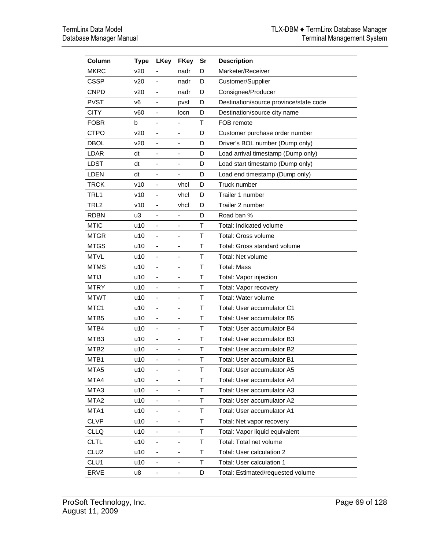| Column           | <b>Type</b> | <b>LKey</b>                  | <b>FKey</b>                  | Sr           | <b>Description</b>                     |
|------------------|-------------|------------------------------|------------------------------|--------------|----------------------------------------|
| <b>MKRC</b>      | v20         |                              | nadr                         | D            | Marketer/Receiver                      |
| <b>CSSP</b>      | v20         | $\overline{\phantom{a}}$     | nadr                         | D            | Customer/Supplier                      |
| <b>CNPD</b>      | v20         | $\overline{\phantom{m}}$     | nadr                         | D            | Consignee/Producer                     |
| <b>PVST</b>      | v6          | $\overline{\phantom{a}}$     | pvst                         | D            | Destination/source province/state code |
| <b>CITY</b>      | v60         |                              | locn                         | D            | Destination/source city name           |
| FOBR             | b           | -                            | -                            | T            | FOB remote                             |
| <b>CTPO</b>      | v20         |                              |                              | D            | Customer purchase order number         |
| DBOL             | v20         | -                            | $\qquad \qquad \blacksquare$ | D            | Driver's BOL number (Dump only)        |
| <b>LDAR</b>      | dt          | $\qquad \qquad \blacksquare$ | -                            | D            | Load arrival timestamp (Dump only)     |
| LDST             | dt          | $\overline{\phantom{a}}$     | -                            | D            | Load start timestamp (Dump only)       |
| <b>LDEN</b>      | dt          | $\overline{\phantom{a}}$     | $\overline{\phantom{a}}$     | D            | Load end timestamp (Dump only)         |
| <b>TRCK</b>      | v10         | $\overline{\phantom{m}}$     | vhcl                         | D            | Truck number                           |
| TRL1             | v10         | $\qquad \qquad \blacksquare$ | vhcl                         | D            | Trailer 1 number                       |
| TRL <sub>2</sub> | v10         | $\overline{\phantom{0}}$     | vhcl                         | D            | Trailer 2 number                       |
| <b>RDBN</b>      | u3          | $\qquad \qquad \blacksquare$ | ٠                            | D            | Road ban %                             |
| <b>MTIC</b>      | u10         | $\qquad \qquad \blacksquare$ | -                            | T            | Total: Indicated volume                |
| <b>MTGR</b>      | u10         | $\qquad \qquad \blacksquare$ | -                            | $\mathsf T$  | Total: Gross volume                    |
| <b>MTGS</b>      | u10         | -                            | -                            | $\mathsf T$  | Total: Gross standard volume           |
| <b>MTVL</b>      | u10         | $\qquad \qquad \blacksquare$ | -                            | $\mathsf{T}$ | Total: Net volume                      |
| <b>MTMS</b>      | u10         | $\overline{\phantom{a}}$     |                              | Τ            | <b>Total: Mass</b>                     |
| <b>MTIJ</b>      | u10         | $\overline{\phantom{a}}$     | ٠                            | т            | Total: Vapor injection                 |
| <b>MTRY</b>      | u10         | $\qquad \qquad \blacksquare$ |                              | Τ            | Total: Vapor recovery                  |
| <b>MTWT</b>      | u10         | $\overline{\phantom{a}}$     | $\qquad \qquad \blacksquare$ | T            | Total: Water volume                    |
| MTC1             | u10         | $\blacksquare$               | ÷,                           | Τ            | Total: User accumulator C1             |
| MTB5             | u10         | $\overline{\phantom{m}}$     | -                            | T            | Total: User accumulator B5             |
| MTB4             | u10         |                              |                              | Τ            | Total: User accumulator B4             |
| MTB3             | u10         | $\overline{\phantom{m}}$     | -                            | $\mathsf T$  | Total: User accumulator B3             |
| MTB <sub>2</sub> | u10         | $\overline{\phantom{a}}$     |                              | T            | Total: User accumulator B2             |
| MTB1             | u10         | $\overline{\phantom{0}}$     | -                            | Τ            | Total: User accumulator B1             |
| MTA <sub>5</sub> | u10         |                              |                              | Τ            | Total: User accumulator A5             |
| MTA4             | u10         |                              |                              | Т            | Total: User accumulator A4             |
| MTA3             | u10         | $\overline{\phantom{m}}$     |                              | Τ            | Total: User accumulator A3             |
| MTA <sub>2</sub> | u10         | ۰                            | -                            | Τ            | Total: User accumulator A2             |
| MTA1             | u10         | $\overline{\phantom{0}}$     | -                            | Τ            | Total: User accumulator A1             |
| <b>CLVP</b>      | u10         | ۰                            |                              | Τ            | Total: Net vapor recovery              |
| <b>CLLQ</b>      | u10         | ۰                            |                              | Τ            | Total: Vapor liquid equivalent         |
| <b>CLTL</b>      | u10         | -                            | ۰                            | $\top$       | Total: Total net volume                |
| CLU <sub>2</sub> | u10         | -                            | -                            | $\top$       | Total: User calculation 2              |
| CLU1             | u10         |                              |                              | T            | Total: User calculation 1              |
| <b>ERVE</b>      | u8          |                              |                              | D            | Total: Estimated/requested volume      |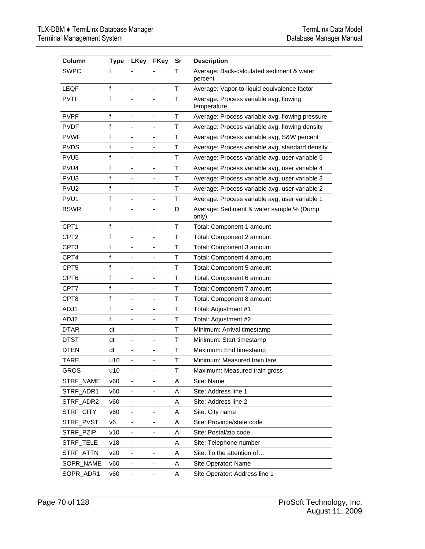| Column           | <b>Type</b>  | <b>LKey</b>                  | <b>FKey</b>                  | Sr          | <b>Description</b>                                    |
|------------------|--------------|------------------------------|------------------------------|-------------|-------------------------------------------------------|
| <b>SWPC</b>      | f            |                              |                              | т           | Average: Back-calculated sediment & water<br>percent  |
| <b>LEQF</b>      | $\mathsf{f}$ |                              |                              | T           | Average: Vapor-to-liquid equivalence factor           |
| <b>PVTF</b>      | f            |                              |                              | Τ           | Average: Process variable avg, flowing<br>temperature |
| <b>PVPF</b>      | $\mathbf{f}$ |                              |                              | T           | Average: Process variable avg, flowing pressure       |
| <b>PVDF</b>      | f            |                              | -                            | T           | Average: Process variable avg, flowing density        |
| <b>PVWF</b>      | f            |                              |                              | T           | Average: Process variable avg, S&W percent            |
| <b>PVDS</b>      | f            | $\qquad \qquad \blacksquare$ | -                            | T           | Average: Process variable avg, standard density       |
| PVU <sub>5</sub> | f            | $\blacksquare$               | $\overline{\phantom{a}}$     | т           | Average: Process variable avg, user variable 5        |
| PVU4             | f            | ÷,                           | $\overline{\phantom{0}}$     | т           | Average: Process variable avg, user variable 4        |
| PVU <sub>3</sub> | f            | $\blacksquare$               | ÷,                           | T           | Average: Process variable avg, user variable 3        |
| PVU <sub>2</sub> | f            |                              | ٠                            | T           | Average: Process variable avg, user variable 2        |
| PVU1             | f            | ٠                            | ٠                            | T           | Average: Process variable avg, user variable 1        |
| <b>BSWR</b>      | f            |                              |                              | D           | Average: Sediment & water sample % (Dump)<br>only)    |
| CPT <sub>1</sub> | f            | $\overline{\phantom{0}}$     | $\overline{\phantom{0}}$     | $\mathsf T$ | Total: Component 1 amount                             |
| CPT <sub>2</sub> | f            |                              |                              | T           | Total: Component 2 amount                             |
| CPT <sub>3</sub> | f            | $\qquad \qquad \blacksquare$ | $\overline{\phantom{0}}$     | T           | Total: Component 3 amount                             |
| CPT4             | f            | $\blacksquare$               | $\overline{\phantom{0}}$     | т           | Total: Component 4 amount                             |
| CPT5             | f            | ÷,                           | $\overline{\phantom{0}}$     | т           | Total: Component 5 amount                             |
| CPT <sub>6</sub> | f            |                              | ٠                            | T           | Total: Component 6 amount                             |
| CPT7             | f            |                              | ÷,                           | T           | Total: Component 7 amount                             |
| CPT8             | f            |                              | ٠                            | T           | Total: Component 8 amount                             |
| ADJ1             | f            |                              | ٠                            | т           | Total: Adjustment #1                                  |
| ADJ2             | $\mathsf f$  |                              | -                            | T           | Total: Adjustment #2                                  |
| <b>DTAR</b>      | dt           |                              |                              | T           | Minimum: Arrival timestamp                            |
| <b>DTST</b>      | dt           | -                            | $\overline{\phantom{a}}$     | T           | Minimum: Start timestamp                              |
| <b>DTEN</b>      | dt           |                              |                              | Τ           | Maximum: End timestamp                                |
| TARE             | u10          | $\overline{\phantom{a}}$     | $\overline{\phantom{a}}$     | Τ           | Minimum: Measured train tare                          |
| <b>GROS</b>      | u10          |                              |                              | Т           | Maximum: Measured train gross                         |
| STRF_NAME        | v60          |                              |                              | A           | Site: Name                                            |
| STRF_ADR1        | v60          | -                            | $\overline{\phantom{a}}$     | Α           | Site: Address line 1                                  |
| STRF_ADR2        | v60          | $\overline{\phantom{m}}$     | $\overline{\phantom{0}}$     | A           | Site: Address line 2                                  |
| STRF_CITY        | v60          | $\overline{\phantom{a}}$     | $\qquad \qquad \blacksquare$ | Α           | Site: City name                                       |
| STRF_PVST        | v6           | -                            | $\overline{\phantom{0}}$     | Α           | Site: Province/state code                             |
| STRF_PZIP        | v10          | $\qquad \qquad \blacksquare$ | $\qquad \qquad \blacksquare$ | Α           | Site: Postal/zip code                                 |
| STRF_TELE        | v18          | ۰                            | -                            | Α           | Site: Telephone number                                |
| STRF_ATTN        | v20          | $\overline{\phantom{a}}$     | $\overline{\phantom{0}}$     | Α           | Site: To the attention of                             |
| SOPR_NAME        | v60          | $\overline{\phantom{m}}$     | $\overline{\phantom{m}}$     | Α           | Site Operator: Name                                   |
| SOPR_ADR1        | v60          | $\overline{\phantom{0}}$     | -                            | Α           | Site Operator: Address line 1                         |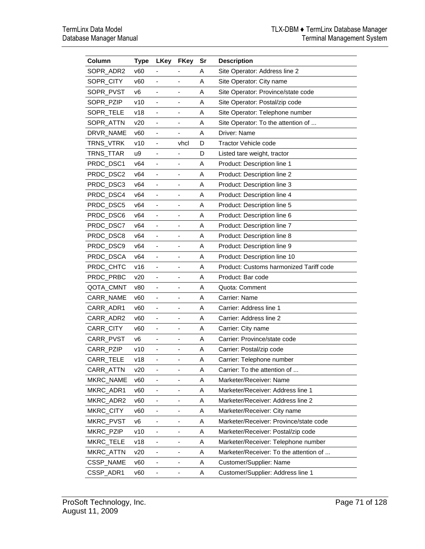| Column    | <b>Type</b>     | <b>LKey</b>                  | <b>FKey</b>              | Sr | <b>Description</b>                      |
|-----------|-----------------|------------------------------|--------------------------|----|-----------------------------------------|
| SOPR_ADR2 | V <sub>60</sub> |                              |                          | A  | Site Operator: Address line 2           |
| SOPR_CITY | v60             | $\overline{\phantom{a}}$     | $\overline{\phantom{0}}$ | Α  | Site Operator: City name                |
| SOPR_PVST | v <sub>6</sub>  |                              |                          | A  | Site Operator: Province/state code      |
| SOPR_PZIP | v10             | $\qquad \qquad \blacksquare$ | -                        | A  | Site Operator: Postal/zip code          |
| SOPR_TELE | v18             |                              |                          | A  | Site Operator: Telephone number         |
| SOPR ATTN | v20             | $\overline{\phantom{a}}$     | $\overline{\phantom{0}}$ | Α  | Site Operator: To the attention of      |
| DRVR_NAME | v60             |                              |                          | A  | Driver: Name                            |
| TRNS_VTRK | v10             | -                            | vhcl                     | D  | <b>Tractor Vehicle code</b>             |
| TRNS_TTAR | u9              | $\qquad \qquad \blacksquare$ | $\overline{\phantom{0}}$ | D  | Listed tare weight, tractor             |
| PRDC_DSC1 | v64             | $\overline{\phantom{a}}$     | -                        | A  | Product: Description line 1             |
| PRDC_DSC2 | v64             | ÷,                           | ÷,                       | A  | Product: Description line 2             |
| PRDC_DSC3 | v64             |                              |                          | A  | Product: Description line 3             |
| PRDC_DSC4 | v64             |                              |                          | A  | Product: Description line 4             |
| PRDC_DSC5 | v64             |                              |                          | A  | Product: Description line 5             |
| PRDC_DSC6 | v64             | $\blacksquare$               |                          | A  | Product: Description line 6             |
| PRDC_DSC7 | v64             |                              | -                        | Α  | Product: Description line 7             |
| PRDC_DSC8 | v64             | $\qquad \qquad \blacksquare$ | -                        | A  | Product: Description line 8             |
| PRDC_DSC9 | v64             |                              |                          | A  | Product: Description line 9             |
| PRDC_DSCA | v64             | $\qquad \qquad \blacksquare$ | -                        | A  | Product: Description line 10            |
| PRDC_CHTC | v16             |                              |                          | A  | Product: Customs harmonized Tariff code |
| PRDC_PRBC | v20             | $\overline{\phantom{0}}$     | -                        | A  | Product: Bar code                       |
| QOTA_CMNT | v80             |                              |                          | A  | Quota: Comment                          |
| CARR_NAME | v60             | $\overline{\phantom{a}}$     | $\overline{\phantom{0}}$ | Α  | Carrier: Name                           |
| CARR ADR1 | v60             |                              |                          | A  | Carrier: Address line 1                 |
| CARR ADR2 | v60             | $\overline{\phantom{a}}$     | -                        | Α  | Carrier: Address line 2                 |
| CARR_CITY | v60             |                              |                          | Α  | Carrier: City name                      |
| CARR_PVST | ν6              | $\overline{\phantom{0}}$     | -                        | A  | Carrier: Province/state code            |
| CARR_PZIP | v10             | $\qquad \qquad \blacksquare$ | -                        | A  | Carrier: Postal/zip code                |
| CARR_TELE | v18             | $\overline{\phantom{a}}$     | -                        | A  | Carrier: Telephone number               |
| CARR_ATTN | v20             |                              |                          | A  | Carrier: To the attention of            |
| MKRC_NAME | v60             |                              |                          | Α  | Marketer/Receiver: Name                 |
| MKRC_ADR1 | v60             |                              |                          | Α  | Marketer/Receiver: Address line 1       |
| MKRC_ADR2 | v60             |                              |                          | A  | Marketer/Receiver: Address line 2       |
| MKRC_CITY | v60             | $\overline{\phantom{a}}$     |                          | A  | Marketer/Receiver: City name            |
| MKRC_PVST | v6              |                              |                          | Α  | Marketer/Receiver: Province/state code  |
| MKRC_PZIP | v10             |                              |                          | Α  | Marketer/Receiver: Postal/zip code      |
| MKRC_TELE | v18             | -                            |                          | Α  | Marketer/Receiver: Telephone number     |
| MKRC_ATTN | v20             | $\overline{\phantom{m}}$     | -                        | Α  | Marketer/Receiver: To the attention of  |
| CSSP_NAME | v60             |                              |                          | Α  | Customer/Supplier: Name                 |
| CSSP_ADR1 | v60             |                              |                          | Α  | Customer/Supplier: Address line 1       |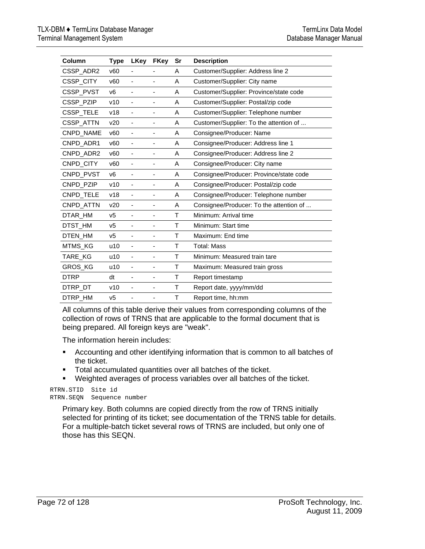| Column         | <b>Type</b>    | LKey                     | <b>FKey</b>                  | Sr | <b>Description</b>                      |
|----------------|----------------|--------------------------|------------------------------|----|-----------------------------------------|
| CSSP_ADR2      | v60            | $\blacksquare$           |                              | Α  | Customer/Supplier: Address line 2       |
| CSSP_CITY      | v60            |                          | ٠                            | A  | Customer/Supplier: City name            |
| CSSP_PVST      | V <sub>6</sub> |                          |                              | A  | Customer/Supplier: Province/state code  |
| CSSP_PZIP      | v10            |                          | ٠                            | A  | Customer/Supplier: Postal/zip code      |
| CSSP_TELE      | v18            | $\overline{\phantom{a}}$ | $\qquad \qquad \blacksquare$ | A  | Customer/Supplier: Telephone number     |
| CSSP_ATTN      | v20            | ٠                        | $\qquad \qquad \blacksquare$ | A  | Customer/Supplier: To the attention of  |
| CNPD_NAME      | v60            | $\overline{\phantom{a}}$ | -                            | Α  | Consignee/Producer: Name                |
| CNPD_ADR1      | v60            | $\overline{\phantom{m}}$ | $\qquad \qquad \blacksquare$ | Α  | Consignee/Producer: Address line 1      |
| CNPD ADR2      | v60            |                          |                              | A  | Consignee/Producer: Address line 2      |
| CNPD_CITY      | v60            |                          |                              | Α  | Consignee/Producer: City name           |
| CNPD_PVST      | V <sub>6</sub> |                          | $\overline{\phantom{a}}$     | A  | Consignee/Producer: Province/state code |
| CNPD_PZIP      | v10            | $\overline{\phantom{a}}$ | $\overline{\phantom{a}}$     | A  | Consignee/Producer: Postal/zip code     |
| CNPD_TELE      | v18            | $\overline{\phantom{a}}$ | $\qquad \qquad \blacksquare$ | A  | Consignee/Producer: Telephone number    |
| CNPD_ATTN      | v20            |                          | $\qquad \qquad \blacksquare$ | A  | Consignee/Producer: To the attention of |
| DTAR_HM        | V <sub>5</sub> | $\blacksquare$           | ÷,                           | т  | Minimum: Arrival time                   |
| DTST_HM        | v <sub>5</sub> |                          | ä,                           | Τ  | Minimum: Start time                     |
| DTEN_HM        | v5             |                          |                              | т  | Maximum: End time                       |
| <b>MTMS KG</b> | u10            |                          | $\qquad \qquad \blacksquare$ | Т  | <b>Total: Mass</b>                      |
| <b>TARE KG</b> | u10            | $\overline{\phantom{a}}$ | $\qquad \qquad \blacksquare$ | т  | Minimum: Measured train tare            |
| <b>GROS KG</b> | u10            | $\overline{\phantom{a}}$ | $\overline{\phantom{a}}$     | Τ  | Maximum: Measured train gross           |
| <b>DTRP</b>    | dt             | $\blacksquare$           | $\qquad \qquad \blacksquare$ | Τ  | Report timestamp                        |
| DTRP_DT        | v10            | ٠                        | $\qquad \qquad \blacksquare$ | Τ  | Report date, yyyy/mm/dd                 |
| DTRP HM        | V <sub>5</sub> |                          |                              | т  | Report time, hh:mm                      |

All columns of this table derive their values from corresponding columns of the collection of rows of TRNS that are applicable to the formal document that is being prepared. All foreign keys are "weak".

The information herein includes:

- Accounting and other identifying information that is common to all batches of the ticket.
- **Total accumulated quantities over all batches of the ticket.**
- Weighted averages of process variables over all batches of the ticket.

RTRN.STID Site id RTRN.SEQN Sequence number

> Primary key. Both columns are copied directly from the row of TRNS initially selected for printing of its ticket; see documentation of the TRNS table for details. For a multiple-batch ticket several rows of TRNS are included, but only one of those has this SEQN.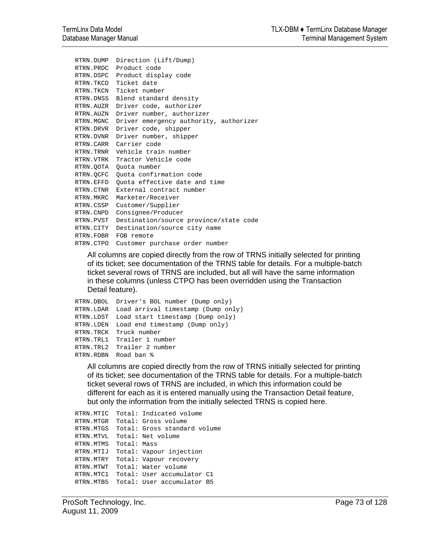```
RTRN.DUMP Direction (Lift/Dump) 
RTRN.PRDC Product code 
RTRN.DSPC Product display code 
RTRN.TKCD Ticket date 
RTRN.TKCN Ticket number 
RTRN.DNSS Blend standard density 
RTRN.AUZR Driver code, authorizer 
RTRN.AUZN Driver number, authorizer 
RTRN.MGNC Driver emergency authority, authorizer 
RTRN.DRVR Driver code, shipper 
RTRN.DVNR Driver number, shipper 
RTRN.CARR Carrier code 
RTRN.TRNR Vehicle train number 
RTRN.VTRK Tractor Vehicle code 
RTRN.QOTA Quota number 
RTRN.QCFC Quota confirmation code 
RTRN.EFFD Quota effective date and time 
RTRN.CTNR External contract number 
RTRN.MKRC Marketer/Receiver 
RTRN.CSSP Customer/Supplier 
RTRN.CNPD Consignee/Producer 
RTRN.PVST Destination/source province/state code 
RTRN.CITY Destination/source city name 
RTRN.FOBR FOB remote 
RTRN.CTPO Customer purchase order number
```
All columns are copied directly from the row of TRNS initially selected for printing of its ticket; see documentation of the TRNS table for details. For a multiple-batch ticket several rows of TRNS are included, but all will have the same information in these columns (unless CTPO has been overridden using the Transaction Detail feature).

```
RTRN.DBOL Driver's BOL number (Dump only) 
RTRN.LDAR Load arrival timestamp (Dump only) 
RTRN.LDST Load start timestamp (Dump only) 
RTRN.LDEN Load end timestamp (Dump only) 
RTRN.TRCK Truck number 
RTRN.TRL1 Trailer 1 number 
RTRN.TRL2 Trailer 2 number 
RTRN.RDBN Road ban %
```
All columns are copied directly from the row of TRNS initially selected for printing of its ticket; see documentation of the TRNS table for details. For a multiple-batch ticket several rows of TRNS are included, in which this information could be different for each as it is entered manually using the Transaction Detail feature, but only the information from the initially selected TRNS is copied here.

```
RTRN.MTIC Total: Indicated volume 
RTRN.MTGR Total: Gross volume 
RTRN.MTGS Total: Gross standard volume 
RTRN.MTVL Total: Net volume 
RTRN.MTMS Total: Mass 
RTRN.MTIJ Total: Vapour injection 
RTRN.MTRY Total: Vapour recovery 
RTRN.MTWT Total: Water volume 
RTRN.MTC1 Total: User accumulator C1 
RTRN.MTB5 Total: User accumulator B5
```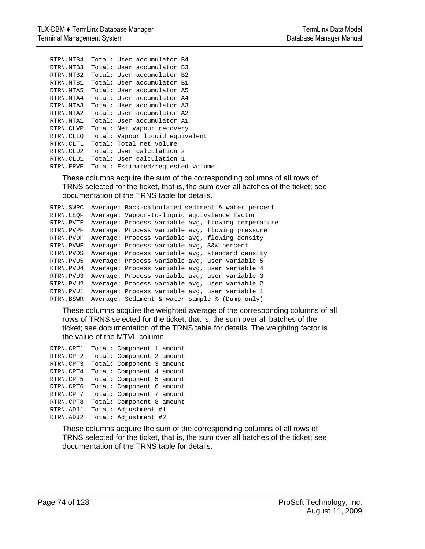```
RTRN.MTB4 Total: User accumulator B4 
RTRN.MTB3 Total: User accumulator B3 
RTRN.MTB2 Total: User accumulator B2 
RTRN.MTB1 Total: User accumulator B1 
RTRN.MTA5 Total: User accumulator A5 
RTRN.MTA4 Total: User accumulator A4 
RTRN.MTA3 Total: User accumulator A3 
RTRN.MTA2 Total: User accumulator A2 
RTRN.MTA1 Total: User accumulator A1 
RTRN.CLVP Total: Net vapour recovery 
RTRN.CLLQ Total: Vapour liquid equivalent 
RTRN.CLTL Total: Total net volume 
RTRN.CLU2 Total: User calculation 2 
RTRN.CLU1 Total: User calculation 1 
RTRN.ERVE Total: Estimated/requested volume
```
These columns acquire the sum of the corresponding columns of all rows of TRNS selected for the ticket, that is, the sum over all batches of the ticket; see documentation of the TRNS table for details.

```
RTRN.SWPC Average: Back-calculated sediment & water percent 
RTRN.LEQF Average: Vapour-to-liquid equivalence factor 
RTRN.PVTF Average: Process variable avg, flowing temperature 
RTRN.PVPF Average: Process variable avg, flowing pressure 
RTRN.PVDF Average: Process variable avg, flowing density 
RTRN.PVWF Average: Process variable avg, S&W percent 
RTRN.PVDS Average: Process variable avg, standard density 
RTRN.PVU5 Average: Process variable avg, user variable 5 
RTRN.PVU4 Average: Process variable avg, user variable 4 
RTRN.PVU3 Average: Process variable avg, user variable 3 
RTRN.PVU2 Average: Process variable avg, user variable 2 
RTRN.PVU1 Average: Process variable avg, user variable 1 
RTRN.BSWR Average: Sediment & water sample % (Dump only)
```
These columns acquire the weighted average of the corresponding columns of all rows of TRNS selected for the ticket, that is, the sum over all batches of the ticket; see documentation of the TRNS table for details. The weighting factor is the value of the MTVL column.

| RTRN.CPT1 | Total: Component 1 amount |  |
|-----------|---------------------------|--|
| RTRN.CPT2 | Total: Component 2 amount |  |
| RTRN.CPT3 | Total: Component 3 amount |  |
| RTRN.CPT4 | Total: Component 4 amount |  |
| RTRN.CPT5 | Total: Component 5 amount |  |
| RTRN.CPT6 | Total: Component 6 amount |  |
| RTRN.CPT7 | Total: Component 7 amount |  |
| RTRN.CPT8 | Total: Component 8 amount |  |
| RTRN.ADJ1 | Total: Adjustment #1      |  |
| RTRN.ADJ2 | Total: Adjustment #2      |  |

These columns acquire the sum of the corresponding columns of all rows of TRNS selected for the ticket, that is, the sum over all batches of the ticket; see documentation of the TRNS table for details.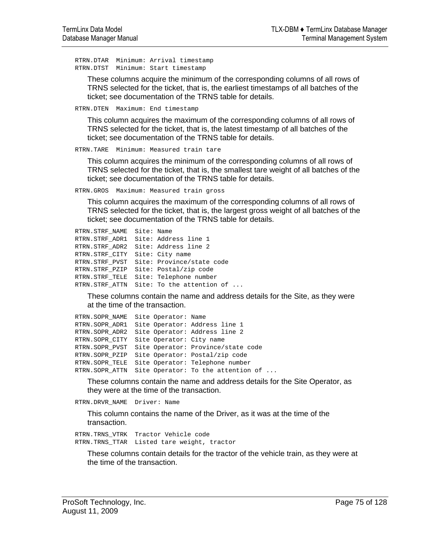RTRN.DTAR Minimum: Arrival timestamp RTRN.DTST Minimum: Start timestamp

These columns acquire the minimum of the corresponding columns of all rows of TRNS selected for the ticket, that is, the earliest timestamps of all batches of the ticket; see documentation of the TRNS table for details.

RTRN.DTEN Maximum: End timestamp

This column acquires the maximum of the corresponding columns of all rows of TRNS selected for the ticket, that is, the latest timestamp of all batches of the ticket; see documentation of the TRNS table for details.

RTRN.TARE Minimum: Measured train tare

This column acquires the minimum of the corresponding columns of all rows of TRNS selected for the ticket, that is, the smallest tare weight of all batches of the ticket; see documentation of the TRNS table for details.

RTRN.GROS Maximum: Measured train gross

This column acquires the maximum of the corresponding columns of all rows of TRNS selected for the ticket, that is, the largest gross weight of all batches of the ticket; see documentation of the TRNS table for details.

```
RTRN.STRF_NAME Site: Name 
RTRN.STRF_ADR1 Site: Address line 1 
RTRN.STRF_ADR2 Site: Address line 2 
RTRN.STRF_CITY Site: City name 
RTRN.STRF_PVST Site: Province/state code 
RTRN.STRF_PZIP Site: Postal/zip code 
RTRN.STRF_TELE Site: Telephone number 
RTRN.STRF_ATTN Site: To the attention of ...
```
These columns contain the name and address details for the Site, as they were at the time of the transaction.

```
RTRN.SOPR NAME Site Operator: Name
RTRN.SOPR_ADR1 Site Operator: Address line 1 
RTRN.SOPR_ADR2 Site Operator: Address line 2 
RTRN.SOPR_CITY Site Operator: City name 
RTRN.SOPR_PVST Site Operator: Province/state code 
RTRN.SOPR_PZIP Site Operator: Postal/zip code 
RTRN.SOPR_TELE Site Operator: Telephone number 
RTRN.SOPR_ATTN Site Operator: To the attention of ...
```
These columns contain the name and address details for the Site Operator, as they were at the time of the transaction.

RTRN.DRVR\_NAME Driver: Name

This column contains the name of the Driver, as it was at the time of the transaction.

RTRN.TRNS\_VTRK Tractor Vehicle code RTRN.TRNS\_TTAR Listed tare weight, tractor

These columns contain details for the tractor of the vehicle train, as they were at the time of the transaction.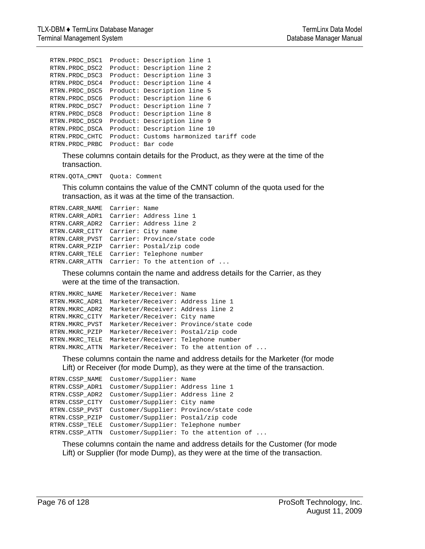```
RTRN.PRDC_DSC1 Product: Description line 1 
RTRN.PRDC_DSC2 Product: Description line 2 
RTRN.PRDC_DSC3 Product: Description line 3 
RTRN.PRDC_DSC4 Product: Description line 4 
RTRN.PRDC_DSC5 Product: Description line 5 
RTRN.PRDC_DSC6 Product: Description line 6 
RTRN.PRDC_DSC7 Product: Description line 7 
RTRN.PRDC_DSC8 Product: Description line 8 
RTRN.PRDC_DSC9 Product: Description line 9 
RTRN.PRDC_DSCA Product: Description line 10 
RTRN.PRDC_CHTC Product: Customs harmonized tariff code 
RTRN.PRDC_PRBC Product: Bar code
```
These columns contain details for the Product, as they were at the time of the transaction.

RTRN.QOTA\_CMNT Quota: Comment

This column contains the value of the CMNT column of the quota used for the transaction, as it was at the time of the transaction.

```
RTRN.CARR_NAME Carrier: Name 
RTRN.CARR_ADR1 Carrier: Address line 1 
RTRN.CARR_ADR2 Carrier: Address line 2 
RTRN.CARR_CITY Carrier: City name 
RTRN.CARR_PVST Carrier: Province/state code 
RTRN.CARR_PZIP Carrier: Postal/zip code 
RTRN.CARR_TELE Carrier: Telephone number 
RTRN.CARR ATTN Carrier: To the attention of ...
```
These columns contain the name and address details for the Carrier, as they were at the time of the transaction.

```
RTRN.MKRC_NAME Marketer/Receiver: Name 
RTRN.MKRC_ADR1 Marketer/Receiver: Address line 1 
RTRN.MKRC_ADR2 Marketer/Receiver: Address line 2 
RTRN.MKRC_CITY Marketer/Receiver: City name 
RTRN.MKRC_PVST Marketer/Receiver: Province/state code 
RTRN.MKRC_PZIP Marketer/Receiver: Postal/zip code 
RTRN.MKRC_TELE Marketer/Receiver: Telephone number 
RTRN.MKRC_ATTN Marketer/Receiver: To the attention of ...
```
These columns contain the name and address details for the Marketer (for mode Lift) or Receiver (for mode Dump), as they were at the time of the transaction.

```
RTRN.CSSP_NAME Customer/Supplier: Name 
RTRN.CSSP_ADR1 Customer/Supplier: Address line 1 
RTRN.CSSP_ADR2 Customer/Supplier: Address line 2 
RTRN.CSSP_CITY Customer/Supplier: City name 
RTRN.CSSP_PVST Customer/Supplier: Province/state code 
RTRN.CSSP_PZIP Customer/Supplier: Postal/zip code 
RTRN.CSSP_TELE Customer/Supplier: Telephone number 
RTRN.CSSP_ATTN Customer/Supplier: To the attention of ...
```
These columns contain the name and address details for the Customer (for mode Lift) or Supplier (for mode Dump), as they were at the time of the transaction.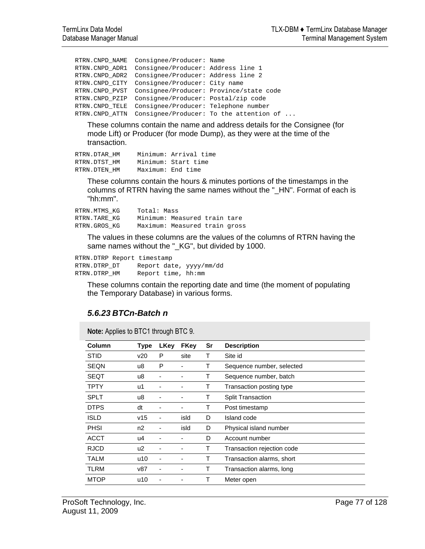```
RTRN.CNPD_NAME Consignee/Producer: Name 
RTRN.CNPD_ADR1 Consignee/Producer: Address line 1 
RTRN.CNPD_ADR2 Consignee/Producer: Address line 2 
RTRN.CNPD_CITY Consignee/Producer: City name 
RTRN.CNPD_PVST Consignee/Producer: Province/state code 
RTRN.CNPD_PZIP Consignee/Producer: Postal/zip code 
RTRN.CNPD_TELE Consignee/Producer: Telephone number 
RTRN.CNPD_ATTN Consignee/Producer: To the attention of ...
```
These columns contain the name and address details for the Consignee (for mode Lift) or Producer (for mode Dump), as they were at the time of the transaction.

| RTRN.DTAR HM |                   | Minimum: Arrival time |
|--------------|-------------------|-----------------------|
| RTRN.DTST HM |                   | Minimum: Start time   |
| RTRN.DTEN HM | Maximum: End time |                       |

These columns contain the hours & minutes portions of the timestamps in the columns of RTRN having the same names without the "\_HN". Format of each is "hh:mm".

| RTRN.MTMS KG | Total: Mass |                               |  |  |  |
|--------------|-------------|-------------------------------|--|--|--|
| RTRN.TARE KG |             | Minimum: Measured train tare  |  |  |  |
| RTRN.GROS KG |             | Maximum: Measured train gross |  |  |  |

The values in these columns are the values of the columns of RTRN having the same names without the "\_KG", but divided by 1000.

RTRN.DTRP Report timestamp RTRN.DTRP\_DT Report date, yyyy/mm/dd RTRN.DTRP HM Report time, hh:mm

These columns contain the reporting date and time (the moment of populating the Temporary Database) in various forms.

#### *5.6.23 BTCn-Batch n*

**Note:** Applies to BTC1 through BTC 9.

| Column      | <b>Type</b> | <b>LKey</b> | <b>FKey</b> | Sr | <b>Description</b>         |
|-------------|-------------|-------------|-------------|----|----------------------------|
| <b>STID</b> | v20         | P           | site        | Т  | Site id                    |
| <b>SEQN</b> | u8          | P           |             | т  | Sequence number, selected  |
| SEQT        | u8          |             |             | Т  | Sequence number, batch     |
| <b>TPTY</b> | u1          |             |             | Т  | Transaction posting type   |
| <b>SPLT</b> | u8          |             |             | Τ  | <b>Split Transaction</b>   |
| <b>DTPS</b> | dt          |             |             | т  | Post timestamp             |
| <b>ISLD</b> | v15         |             | isld        | D  | Island code                |
| <b>PHSI</b> | n2          |             | isld        | D  | Physical island number     |
| <b>ACCT</b> | u4          |             |             | D  | Account number             |
| <b>RJCD</b> | u2          |             |             | т  | Transaction rejection code |
| <b>TALM</b> | u10         |             |             | Т  | Transaction alarms, short  |
| TLRM        | v87         |             |             | Т  | Transaction alarms, long   |
| <b>MTOP</b> | u10         |             |             | Т  | Meter open                 |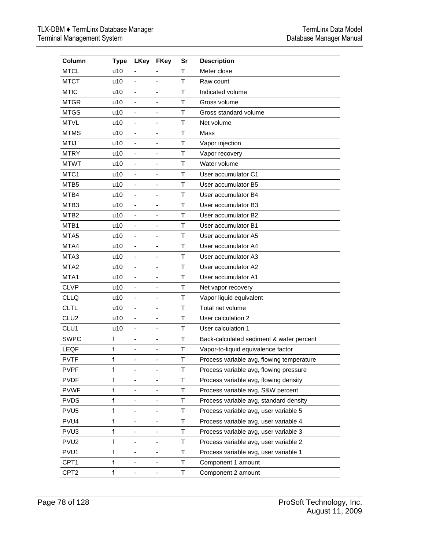| Column           | <b>Type</b>  | <b>LKey</b>                  | <b>FKey</b>                  | Sr           | <b>Description</b>                        |
|------------------|--------------|------------------------------|------------------------------|--------------|-------------------------------------------|
| <b>MTCL</b>      | u10          |                              |                              | т            | Meter close                               |
| <b>MTCT</b>      | u10          | $\blacksquare$               |                              | T            | Raw count                                 |
| <b>MTIC</b>      | u10          | $\blacksquare$               | $\blacksquare$               | T            | Indicated volume                          |
| <b>MTGR</b>      | u10          | $\qquad \qquad \blacksquare$ |                              | Т            | Gross volume                              |
| <b>MTGS</b>      | u10          | $\qquad \qquad \blacksquare$ |                              | T            | Gross standard volume                     |
| <b>MTVL</b>      | u10          | $\qquad \qquad \blacksquare$ |                              | $\mathsf{T}$ | Net volume                                |
| <b>MTMS</b>      | u10          | $\blacksquare$               | $\overline{\phantom{a}}$     | $\mathsf T$  | Mass                                      |
| <b>MTIJ</b>      | u10          | $\overline{\phantom{a}}$     |                              | $\mathsf T$  | Vapor injection                           |
| <b>MTRY</b>      | u10          | $\overline{\phantom{a}}$     | $\overline{\phantom{a}}$     | Т            | Vapor recovery                            |
| <b>MTWT</b>      | u10          | $\overline{\phantom{a}}$     |                              | T            | Water volume                              |
| MTC <sub>1</sub> | u10          | $\overline{\phantom{a}}$     | $\overline{\phantom{a}}$     | $\mathsf{T}$ | User accumulator C1                       |
| MTB5             | u10          | ä,                           |                              | T            | User accumulator B5                       |
| MTB4             | u10          | $\overline{\phantom{a}}$     | $\blacksquare$               | T            | User accumulator B4                       |
| MTB <sub>3</sub> | u10          | $\overline{\phantom{m}}$     |                              | T            | User accumulator B3                       |
| MTB <sub>2</sub> | u10          | $\overline{\phantom{a}}$     | $\qquad \qquad \blacksquare$ | T            | User accumulator B2                       |
| MTB1             | u10          |                              |                              | $\mathsf{T}$ | User accumulator B1                       |
| MTA <sub>5</sub> | u10          | $\overline{\phantom{0}}$     | -                            | T            | User accumulator A5                       |
| MTA4             | u10          | $\qquad \qquad \blacksquare$ |                              | T            | User accumulator A4                       |
| MTA <sub>3</sub> | u10          | $\overline{\phantom{a}}$     | $\overline{\phantom{a}}$     | T            | User accumulator A3                       |
| MTA <sub>2</sub> | u10          | $\blacksquare$               | $\overline{\phantom{m}}$     | Т            | User accumulator A2                       |
| MTA1             | u10          | $\blacksquare$               | ٠                            | Т            | User accumulator A1                       |
| <b>CLVP</b>      | u10          | $\overline{\phantom{m}}$     |                              | $\mathsf{T}$ | Net vapor recovery                        |
| <b>CLLQ</b>      | u10          | $\overline{\phantom{m}}$     | ÷,                           | T            | Vapor liquid equivalent                   |
| <b>CLTL</b>      | u10          | ä,                           |                              | $\mathsf{T}$ | Total net volume                          |
| CLU <sub>2</sub> | u10          | $\qquad \qquad \blacksquare$ |                              | T            | User calculation 2                        |
| CLU1             | u10          | $\qquad \qquad \blacksquare$ |                              | $\mathsf{T}$ | User calculation 1                        |
| <b>SWPC</b>      | f            | $\qquad \qquad \blacksquare$ | $\qquad \qquad \blacksquare$ | $\mathsf T$  | Back-calculated sediment & water percent  |
| LEQF             | f            | $\overline{\phantom{a}}$     | $\qquad \qquad \blacksquare$ | $\mathsf T$  | Vapor-to-liquid equivalence factor        |
| <b>PVTF</b>      | f            |                              |                              | Τ            | Process variable avg, flowing temperature |
| <b>PVPF</b>      | f            |                              |                              | т            | Process variable avg, flowing pressure    |
| <b>PVDF</b>      | $\mathsf{f}$ |                              |                              | T            | Process variable avg, flowing density     |
| <b>PVWF</b>      | f            | ۰                            |                              | Τ            | Process variable avg, S&W percent         |
| <b>PVDS</b>      | f            | -                            |                              | Τ            | Process variable avg, standard density    |
| PVU <sub>5</sub> | f            | -                            | ۰                            | Τ            | Process variable avg, user variable 5     |
| PVU4             | f            | -                            |                              | T            | Process variable avg, user variable 4     |
| PVU <sub>3</sub> | f            | $\qquad \qquad \blacksquare$ | ۰                            | T            | Process variable avg, user variable 3     |
| PVU <sub>2</sub> | f            | -                            |                              | T            | Process variable avg, user variable 2     |
| PVU1             | f            | $\qquad \qquad \blacksquare$ | $\qquad \qquad \blacksquare$ | Τ            | Process variable avg, user variable 1     |
| CPT1             | f            | -                            | -                            | T            | Component 1 amount                        |
| CPT2             | f            | -                            | -                            | Τ            | Component 2 amount                        |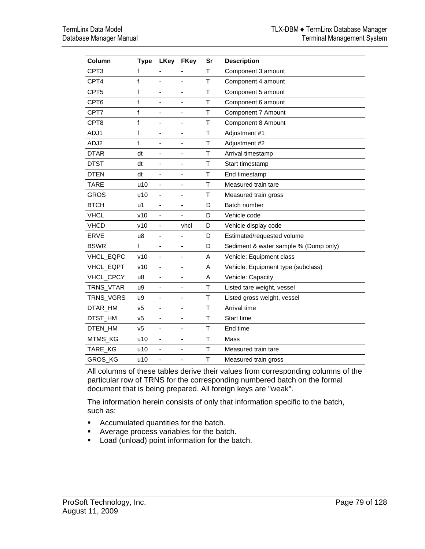| Column           | <b>Type</b>    | <b>LKey</b>                  | <b>FKey</b>              | Sr     | <b>Description</b>                    |
|------------------|----------------|------------------------------|--------------------------|--------|---------------------------------------|
| CPT3             | f              |                              |                          | Τ      | Component 3 amount                    |
| CPT4             | f              | ÷,                           | ٠                        | T      | Component 4 amount                    |
| CPT <sub>5</sub> | f              |                              |                          | Τ      | Component 5 amount                    |
| CPT <sub>6</sub> | f              | ٠                            | ۰                        | Τ      | Component 6 amount                    |
| CPT7             | f              | ٠                            |                          | T      | Component 7 Amount                    |
| CPT8             | f              | $\qquad \qquad \blacksquare$ | -                        | Τ      | Component 8 Amount                    |
| ADJ1             | f              |                              |                          | T      | Adjustment #1                         |
| ADJ2             | f              | $\overline{\phantom{a}}$     | ÷,                       | Τ      | Adjustment #2                         |
| <b>DTAR</b>      | dt             |                              |                          | T      | Arrival timestamp                     |
| <b>DTST</b>      | dt             | $\overline{\phantom{a}}$     | ÷,                       | Τ      | Start timestamp                       |
| <b>DTEN</b>      | dt             |                              |                          | T      | End timestamp                         |
| <b>TARE</b>      | u10            | ÷,                           | ä,                       | T      | Measured train tare                   |
| <b>GROS</b>      | u10            |                              |                          | T      | Measured train gross                  |
| <b>BTCH</b>      | u1             | ÷,                           | ä,                       | D      | Batch number                          |
| <b>VHCL</b>      | v10            |                              |                          | D      | Vehicle code                          |
| <b>VHCD</b>      | v10            | ÷,                           | vhcl                     | D      | Vehicle display code                  |
| <b>ERVE</b>      | u8             | ÷,                           |                          | D      | Estimated/requested volume            |
| <b>BSWR</b>      | f              | ÷,                           | ä,                       | D      | Sediment & water sample % (Dump only) |
| VHCL_EQPC        | v10            |                              |                          | A      | Vehicle: Equipment class              |
| VHCL_EQPT        | v10            | $\overline{\phantom{a}}$     | ٠                        | A      | Vehicle: Equipment type (subclass)    |
| VHCL_CPCY        | u8             | ÷,                           |                          | A      | Vehicle: Capacity                     |
| TRNS_VTAR        | u9             | $\qquad \qquad \blacksquare$ | $\overline{\phantom{0}}$ | Τ      | Listed tare weight, vessel            |
| TRNS_VGRS        | u9             | L,                           |                          | T      | Listed gross weight, vessel           |
| DTAR_HM          | V <sub>5</sub> | -                            | ٠                        | T      | Arrival time                          |
| DTST_HM          | V <sub>5</sub> |                              |                          | T      | Start time                            |
| DTEN_HM          | v <sub>5</sub> | -                            | ä,                       | T      | End time                              |
| MTMS KG          | u10            |                              |                          | $\top$ | Mass                                  |
| TARE_KG          | u10            | $\overline{\phantom{a}}$     | ÷,                       | T      | Measured train tare                   |
| <b>GROS KG</b>   | u10            | ÷                            |                          | T      | Measured train gross                  |

All columns of these tables derive their values from corresponding columns of the particular row of TRNS for the corresponding numbered batch on the formal document that is being prepared. All foreign keys are "weak".

The information herein consists of only that information specific to the batch, such as:

- **Accumulated quantities for the batch.**
- **Average process variables for the batch.**
- **Load (unload) point information for the batch.**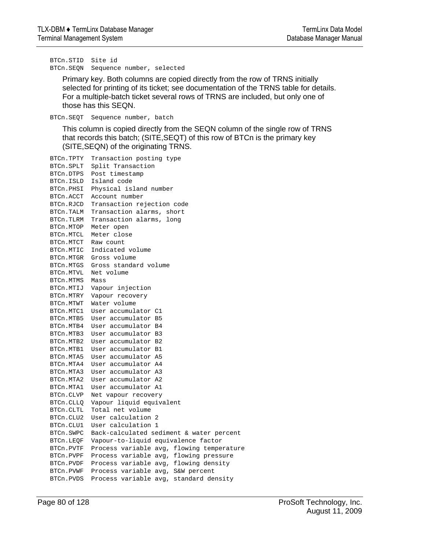BTCn.STID Site id BTCn.SEQN Sequence number, selected

Primary key. Both columns are copied directly from the row of TRNS initially selected for printing of its ticket; see documentation of the TRNS table for details. For a multiple-batch ticket several rows of TRNS are included, but only one of those has this SEQN.

BTCn.SEQT Sequence number, batch

This column is copied directly from the SEQN column of the single row of TRNS that records this batch; (SITE,SEQT) of this row of BTCn is the primary key (SITE,SEQN) of the originating TRNS.

```
BTCn.TPTY Transaction posting type 
BTCn.SPLT Split Transaction 
BTCn.DTPS Post timestamp 
BTCn.ISLD Island code 
BTCn.PHSI Physical island number 
BTCn.ACCT Account number 
BTCn.RJCD Transaction rejection code 
BTCn.TALM Transaction alarms, short 
BTCn.TLRM Transaction alarms, long 
BTCn.MTOP Meter open 
BTCn.MTCL Meter close 
BTCn.MTCT Raw count 
BTCn.MTIC Indicated volume 
BTCn.MTGR Gross volume 
BTCn.MTGS Gross standard volume 
BTCn.MTVL Net volume 
BTCn.MTMS Mass 
BTCn.MTIJ Vapour injection 
BTCn.MTRY Vapour recovery 
BTCn.MTWT Water volume 
BTCn.MTC1 User accumulator C1 
BTCn.MTB5 User accumulator B5 
BTCn.MTB4 User accumulator B4 
BTCn.MTB3 User accumulator B3 
BTCn.MTB2 User accumulator B2 
BTCn.MTB1 User accumulator B1 
BTCn.MTA5 User accumulator A5 
BTCn.MTA4 User accumulator A4 
BTCn.MTA3 User accumulator A3 
BTCn.MTA2 User accumulator A2 
BTCn.MTA1 User accumulator A1 
BTCn.CLVP Net vapour recovery 
BTCn.CLLQ Vapour liquid equivalent 
BTCn.CLTL Total net volume 
BTCn.CLU2 User calculation 2 
BTCn.CLU1 User calculation 1 
BTCn.SWPC Back-calculated sediment & water percent 
BTCn.LEQF Vapour-to-liquid equivalence factor 
BTCn.PVTF Process variable avg, flowing temperature 
BTCn.PVPF Process variable avg, flowing pressure 
BTCn.PVDF Process variable avg, flowing density 
BTCn.PVWF Process variable avg, S&W percent 
BTCn.PVDS Process variable avg, standard density
```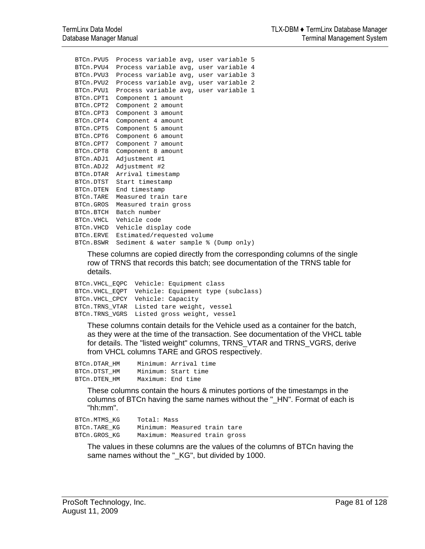```
BTCn.PVU5 Process variable avg, user variable 5 
BTCn.PVU4 Process variable avg, user variable 4 
BTCn.PVU3 Process variable avg, user variable 3 
BTCn.PVU2 Process variable avg, user variable 2 
BTCn.PVU1 Process variable avg, user variable 1 
BTCn.CPT1 Component 1 amount 
BTCn.CPT2 Component 2 amount 
BTCn.CPT3 Component 3 amount 
BTCn.CPT4 Component 4 amount 
BTCn.CPT5 Component 5 amount 
BTCn.CPT6 Component 6 amount 
BTCn.CPT7 Component 7 amount 
BTCn.CPT8 Component 8 amount 
BTCn.ADJ1 Adjustment #1 
BTCn.ADJ2 Adjustment #2 
BTCn.DTAR Arrival timestamp 
BTCn.DTST Start timestamp 
BTCn.DTEN End timestamp 
BTCn.TARE Measured train tare 
BTCn.GROS Measured train gross 
BTCn.BTCH Batch number 
BTCn.VHCL Vehicle code 
BTCn.VHCD Vehicle display code 
BTCn.ERVE Estimated/requested volume 
BTCn.BSWR Sediment & water sample % (Dump only)
```
These columns are copied directly from the corresponding columns of the single row of TRNS that records this batch; see documentation of the TRNS table for details.

```
BTCn.VHCL_EQPC Vehicle: Equipment class 
BTCn.VHCL_EQPT Vehicle: Equipment type (subclass) 
BTCn.VHCL_CPCY Vehicle: Capacity 
BTCn.TRNS_VTAR Listed tare weight, vessel 
BTCn.TRNS_VGRS Listed gross weight, vessel
```
These columns contain details for the Vehicle used as a container for the batch, as they were at the time of the transaction. See documentation of the VHCL table for details. The "listed weight" columns, TRNS\_VTAR and TRNS\_VGRS, derive from VHCL columns TARE and GROS respectively.

| BTCn.DTAR HM |                   | Minimum: Arrival time |
|--------------|-------------------|-----------------------|
| BTCn.DTST HM |                   | Minimum: Start time   |
| BTCn.DTEN HM | Maximum: End time |                       |

These columns contain the hours & minutes portions of the timestamps in the columns of BTCn having the same names without the "\_HN". Format of each is "hh:mm".

| BTCn.MTMS KG | Total: Mass |                               |  |
|--------------|-------------|-------------------------------|--|
| BTCn.TARE KG |             | Minimum: Measured train tare  |  |
| BTCn.GROS KG |             | Maximum: Measured train gross |  |

The values in these columns are the values of the columns of BTCn having the same names without the " KG", but divided by 1000.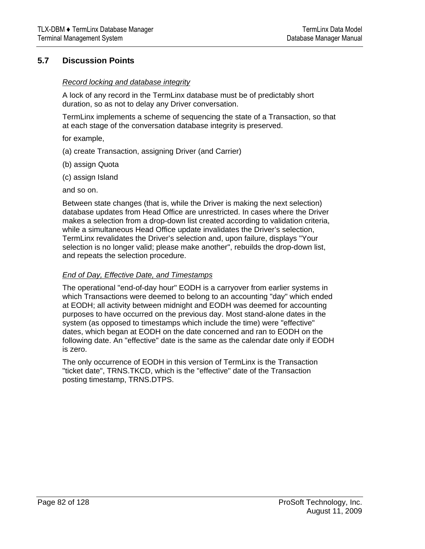## **5.7 Discussion Points**

#### *Record locking and database integrity*

A lock of any record in the TermLinx database must be of predictably short duration, so as not to delay any Driver conversation.

TermLinx implements a scheme of sequencing the state of a Transaction, so that at each stage of the conversation database integrity is preserved.

for example,

- (a) create Transaction, assigning Driver (and Carrier)
- (b) assign Quota
- (c) assign Island

and so on.

Between state changes (that is, while the Driver is making the next selection) database updates from Head Office are unrestricted. In cases where the Driver makes a selection from a drop-down list created according to validation criteria, while a simultaneous Head Office update invalidates the Driver's selection, TermLinx revalidates the Driver's selection and, upon failure, displays "Your selection is no longer valid; please make another", rebuilds the drop-down list, and repeats the selection procedure.

#### *End of Day, Effective Date, and Timestamps*

The operational "end-of-day hour" EODH is a carryover from earlier systems in which Transactions were deemed to belong to an accounting "day" which ended at EODH; all activity between midnight and EODH was deemed for accounting purposes to have occurred on the previous day. Most stand-alone dates in the system (as opposed to timestamps which include the time) were "effective" dates, which began at EODH on the date concerned and ran to EODH on the following date. An "effective" date is the same as the calendar date only if EODH is zero.

The only occurrence of EODH in this version of TermLinx is the Transaction "ticket date", TRNS.TKCD, which is the "effective" date of the Transaction posting timestamp, TRNS.DTPS.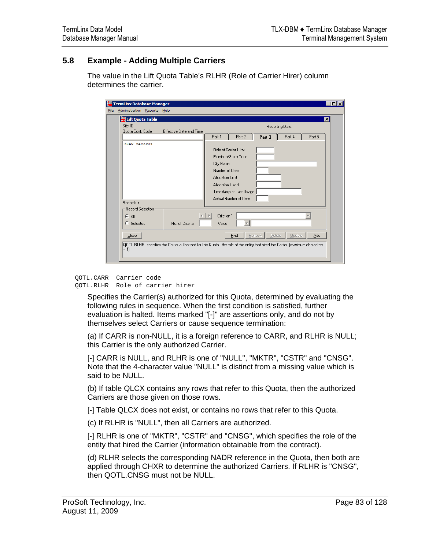# **5.8 Example - Adding Multiple Carriers**

The value in the Lift Quota Table's RLHR (Role of Carrier Hirer) column determines the carrier.

|             | TermLinx Database Manager       |                         | $ \Box$ $\times$                                                                                                                                                                            |
|-------------|---------------------------------|-------------------------|---------------------------------------------------------------------------------------------------------------------------------------------------------------------------------------------|
| <b>Eile</b> | Administration Reports Help     |                         |                                                                                                                                                                                             |
|             | <b>DE Lift Quota Table</b>      |                         | ⊠                                                                                                                                                                                           |
|             | Site ID:<br>Quota Conf. Code    | Effective Date and Time | Reporting Date:                                                                                                                                                                             |
|             |                                 |                         | Part 2<br>Part 4<br>Part 3<br>Part 5<br>Part 1                                                                                                                                              |
|             | <new record=""></new>           |                         | Role of Carrier Hirer<br>Province/State Code<br>City Name<br>Number of Uses<br>Allocation Limit<br>Allocation Used<br>Timestamp of Last Usage<br>Actual Number of Uses                      |
|             | $Recodes =$<br>Record Selection |                         |                                                                                                                                                                                             |
|             | $G$ All<br>Selected<br>o        | No. of Criteria         | Criterion 1<br>Value                                                                                                                                                                        |
|             | Close<br>$= 4$                  |                         | <b>Delete</b><br><b>Refresh</b><br>Update<br>Add<br>Eind<br>QOTL.RLHR: specifies the Carrier authorized for this Quota - the role of the entity that hired the Carrier. [maximum characters |

QOTL.CARR Carrier code QOTL.RLHR Role of carrier hirer

> Specifies the Carrier(s) authorized for this Quota, determined by evaluating the following rules in sequence. When the first condition is satisfied, further evaluation is halted. Items marked "[-]" are assertions only, and do not by themselves select Carriers or cause sequence termination:

(a) If CARR is non-NULL, it is a foreign reference to CARR, and RLHR is NULL; this Carrier is the only authorized Carrier.

[-] CARR is NULL, and RLHR is one of "NULL", "MKTR", "CSTR" and "CNSG". Note that the 4-character value "NULL" is distinct from a missing value which is said to be NULL.

(b) If table QLCX contains any rows that refer to this Quota, then the authorized Carriers are those given on those rows.

[-] Table QLCX does not exist, or contains no rows that refer to this Quota.

(c) If RLHR is "NULL", then all Carriers are authorized.

[-] RLHR is one of "MKTR", "CSTR" and "CNSG", which specifies the role of the entity that hired the Carrier (information obtainable from the contract).

(d) RLHR selects the corresponding NADR reference in the Quota, then both are applied through CHXR to determine the authorized Carriers. If RLHR is "CNSG", then QOTL.CNSG must not be NULL.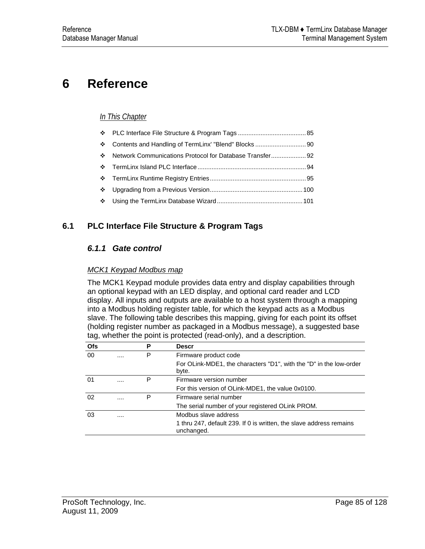# <span id="page-84-0"></span>**6 Reference**

## *In This Chapter*

| <b>泰</b>      |  |
|---------------|--|
| <b>Beatle</b> |  |
|               |  |
|               |  |
|               |  |
|               |  |

# **6.1 PLC Interface File Structure & Program Tags**

## *6.1.1 Gate control*

#### *MCK1 Keypad Modbus map*

The MCK1 Keypad module provides data entry and display capabilities through an optional keypad with an LED display, and optional card reader and LCD display. All inputs and outputs are available to a host system through a mapping into a Modbus holding register table, for which the keypad acts as a Modbus slave. The following table describes this mapping, giving for each point its offset (holding register number as packaged in a Modbus message), a suggested base tag, whether the point is protected (read-only), and a description.

| <b>Ofs</b> | Р     | <b>Descr</b>                                                                      |
|------------|-------|-----------------------------------------------------------------------------------|
| 00         | <br>Р | Firmware product code                                                             |
|            |       | For OLink-MDE1, the characters "D1", with the "D" in the low-order<br>byte.       |
| 01         | <br>Р | Firmware version number                                                           |
|            |       | For this version of OLink-MDE1, the value 0x0100.                                 |
| 02         | <br>P | Firmware serial number                                                            |
|            |       | The serial number of your registered OLink PROM.                                  |
| 03         |       | Modbus slave address                                                              |
|            |       | 1 thru 247, default 239. If 0 is written, the slave address remains<br>unchanged. |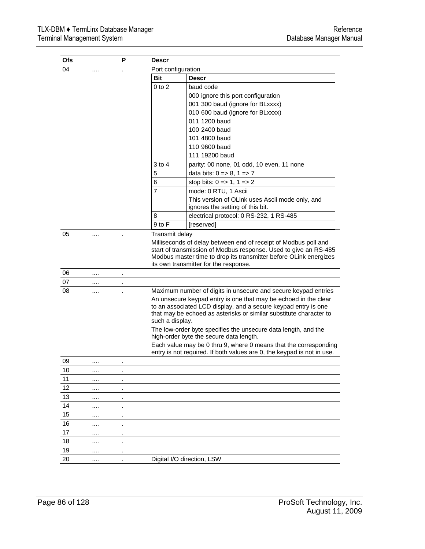| Ofs |          | Р                    | Descr              |                                                                                                                                                                                                                                                   |
|-----|----------|----------------------|--------------------|---------------------------------------------------------------------------------------------------------------------------------------------------------------------------------------------------------------------------------------------------|
| 04  |          |                      | Port configuration |                                                                                                                                                                                                                                                   |
|     |          |                      | Bit                | <b>Descr</b>                                                                                                                                                                                                                                      |
|     |          |                      | $0$ to $2$         | baud code                                                                                                                                                                                                                                         |
|     |          |                      |                    | 000 ignore this port configuration                                                                                                                                                                                                                |
|     |          |                      |                    | 001 300 baud (ignore for BLxxxx)                                                                                                                                                                                                                  |
|     |          |                      |                    | 010 600 baud (ignore for BLxxxx)                                                                                                                                                                                                                  |
|     |          |                      |                    | 011 1200 baud                                                                                                                                                                                                                                     |
|     |          |                      |                    | 100 2400 baud                                                                                                                                                                                                                                     |
|     |          |                      |                    | 101 4800 baud                                                                                                                                                                                                                                     |
|     |          |                      |                    | 110 9600 baud                                                                                                                                                                                                                                     |
|     |          |                      |                    | 111 19200 baud                                                                                                                                                                                                                                    |
|     |          |                      | $3$ to 4           | parity: 00 none, 01 odd, 10 even, 11 none                                                                                                                                                                                                         |
|     |          |                      | 5                  | data bits: $0 = > 8$ , $1 = > 7$                                                                                                                                                                                                                  |
|     |          |                      | 6                  | stop bits: $0 \Rightarrow 1, 1 \Rightarrow 2$                                                                                                                                                                                                     |
|     |          |                      | $\overline{7}$     | mode: 0 RTU, 1 Ascii                                                                                                                                                                                                                              |
|     |          |                      |                    | This version of OLink uses Ascii mode only, and<br>ignores the setting of this bit.                                                                                                                                                               |
|     |          |                      | 8                  | electrical protocol: 0 RS-232, 1 RS-485                                                                                                                                                                                                           |
|     |          |                      | 9 to F             | [reserved]                                                                                                                                                                                                                                        |
|     |          |                      |                    | Milliseconds of delay between end of receipt of Modbus poll and<br>start of transmission of Modbus response. Used to give an RS-485<br>Modbus master time to drop its transmitter before OLink energizes<br>its own transmitter for the response. |
| 06  | $\cdots$ |                      |                    |                                                                                                                                                                                                                                                   |
| 07  | $\cdots$ |                      |                    |                                                                                                                                                                                                                                                   |
| 08  | .        |                      |                    | Maximum number of digits in unsecure and secure keypad entries                                                                                                                                                                                    |
|     |          |                      | such a display.    | An unsecure keypad entry is one that may be echoed in the clear<br>to an associated LCD display, and a secure keypad entry is one<br>that may be echoed as asterisks or similar substitute character to                                           |
|     |          |                      |                    | The low-order byte specifies the unsecure data length, and the<br>high-order byte the secure data length.                                                                                                                                         |
|     |          |                      |                    | Each value may be 0 thru 9, where 0 means that the corresponding<br>entry is not required. If both values are 0, the keypad is not in use.                                                                                                        |
| 09  |          |                      |                    |                                                                                                                                                                                                                                                   |
| 10  |          |                      |                    |                                                                                                                                                                                                                                                   |
| 11  | $\cdots$ |                      |                    |                                                                                                                                                                                                                                                   |
| 12  |          |                      |                    |                                                                                                                                                                                                                                                   |
| 13  |          |                      |                    |                                                                                                                                                                                                                                                   |
| 14  |          |                      |                    |                                                                                                                                                                                                                                                   |
| 15  |          |                      |                    |                                                                                                                                                                                                                                                   |
| 16  |          |                      |                    |                                                                                                                                                                                                                                                   |
| 17  | $\cdots$ |                      |                    |                                                                                                                                                                                                                                                   |
| 18  |          | $\ddot{\phantom{a}}$ |                    |                                                                                                                                                                                                                                                   |
| 19  |          |                      |                    |                                                                                                                                                                                                                                                   |
| 20  |          |                      |                    | Digital I/O direction, LSW                                                                                                                                                                                                                        |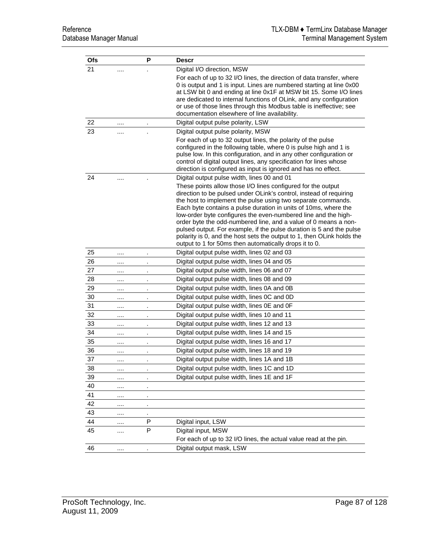| <b>Ofs</b> |          | Ρ       | <b>Descr</b>                                                                                                                                                                                                                                                                                                                                                                                                                                                                                                                                                                                                           |
|------------|----------|---------|------------------------------------------------------------------------------------------------------------------------------------------------------------------------------------------------------------------------------------------------------------------------------------------------------------------------------------------------------------------------------------------------------------------------------------------------------------------------------------------------------------------------------------------------------------------------------------------------------------------------|
| 21         |          |         | Digital I/O direction, MSW                                                                                                                                                                                                                                                                                                                                                                                                                                                                                                                                                                                             |
|            |          |         | For each of up to 32 I/O lines, the direction of data transfer, where<br>0 is output and 1 is input. Lines are numbered starting at line 0x00<br>at LSW bit 0 and ending at line 0x1F at MSW bit 15. Some I/O lines<br>are dedicated to internal functions of OLink, and any configuration<br>or use of those lines through this Modbus table is ineffective; see<br>documentation elsewhere of line availability.                                                                                                                                                                                                     |
| 22         | .        |         | Digital output pulse polarity, LSW                                                                                                                                                                                                                                                                                                                                                                                                                                                                                                                                                                                     |
| 23         |          |         | Digital output pulse polarity, MSW                                                                                                                                                                                                                                                                                                                                                                                                                                                                                                                                                                                     |
|            |          |         | For each of up to 32 output lines, the polarity of the pulse<br>configured in the following table, where 0 is pulse high and 1 is<br>pulse low. In this configuration, and in any other configuration or<br>control of digital output lines, any specification for lines whose<br>direction is configured as input is ignored and has no effect.                                                                                                                                                                                                                                                                       |
| 24         |          |         | Digital output pulse width, lines 00 and 01                                                                                                                                                                                                                                                                                                                                                                                                                                                                                                                                                                            |
|            |          |         | These points allow those I/O lines configured for the output<br>direction to be pulsed under OLink's control, instead of requiring<br>the host to implement the pulse using two separate commands.<br>Each byte contains a pulse duration in units of 10ms, where the<br>low-order byte configures the even-numbered line and the high-<br>order byte the odd-numbered line, and a value of 0 means a non-<br>pulsed output. For example, if the pulse duration is 5 and the pulse<br>polarity is 0, and the host sets the output to 1, then OLink holds the<br>output to 1 for 50ms then automatically drops it to 0. |
| 25         |          |         | Digital output pulse width, lines 02 and 03                                                                                                                                                                                                                                                                                                                                                                                                                                                                                                                                                                            |
| 26         | $\cdots$ |         | Digital output pulse width, lines 04 and 05                                                                                                                                                                                                                                                                                                                                                                                                                                                                                                                                                                            |
| 27         | $\cdots$ |         | Digital output pulse width, lines 06 and 07                                                                                                                                                                                                                                                                                                                                                                                                                                                                                                                                                                            |
| 28         |          |         | Digital output pulse width, lines 08 and 09                                                                                                                                                                                                                                                                                                                                                                                                                                                                                                                                                                            |
| 29         | $\cdots$ | ä.      | Digital output pulse width, lines 0A and 0B                                                                                                                                                                                                                                                                                                                                                                                                                                                                                                                                                                            |
| 30         | $\cdots$ |         | Digital output pulse width, lines 0C and 0D                                                                                                                                                                                                                                                                                                                                                                                                                                                                                                                                                                            |
| 31         |          |         | Digital output pulse width, lines 0E and 0F                                                                                                                                                                                                                                                                                                                                                                                                                                                                                                                                                                            |
| 32         | $\cdots$ |         | Digital output pulse width, lines 10 and 11                                                                                                                                                                                                                                                                                                                                                                                                                                                                                                                                                                            |
| 33         | $\cdots$ |         | Digital output pulse width, lines 12 and 13                                                                                                                                                                                                                                                                                                                                                                                                                                                                                                                                                                            |
| 34         | $\cdots$ |         | Digital output pulse width, lines 14 and 15                                                                                                                                                                                                                                                                                                                                                                                                                                                                                                                                                                            |
| 35         |          |         | Digital output pulse width, lines 16 and 17                                                                                                                                                                                                                                                                                                                                                                                                                                                                                                                                                                            |
| 36         | $\cdots$ |         | Digital output pulse width, lines 18 and 19                                                                                                                                                                                                                                                                                                                                                                                                                                                                                                                                                                            |
| 37         | $\cdots$ | $\cdot$ | Digital output pulse width, lines 1A and 1B                                                                                                                                                                                                                                                                                                                                                                                                                                                                                                                                                                            |
| 38         | $\cdots$ |         | Digital output pulse width, lines 1C and 1D                                                                                                                                                                                                                                                                                                                                                                                                                                                                                                                                                                            |
| 39         |          |         | Digital output pulse width, lines 1E and 1F                                                                                                                                                                                                                                                                                                                                                                                                                                                                                                                                                                            |
| 40         | $\cdots$ |         |                                                                                                                                                                                                                                                                                                                                                                                                                                                                                                                                                                                                                        |
| 41         | $\cdots$ |         |                                                                                                                                                                                                                                                                                                                                                                                                                                                                                                                                                                                                                        |
| 42         |          |         |                                                                                                                                                                                                                                                                                                                                                                                                                                                                                                                                                                                                                        |
| 43         | $\cdots$ |         |                                                                                                                                                                                                                                                                                                                                                                                                                                                                                                                                                                                                                        |
| 44         |          | P       | Digital input, LSW                                                                                                                                                                                                                                                                                                                                                                                                                                                                                                                                                                                                     |
| 45         | $\cdots$ | P       | Digital input, MSW                                                                                                                                                                                                                                                                                                                                                                                                                                                                                                                                                                                                     |
|            |          |         | For each of up to 32 I/O lines, the actual value read at the pin.                                                                                                                                                                                                                                                                                                                                                                                                                                                                                                                                                      |
| 46         |          |         | Digital output mask, LSW                                                                                                                                                                                                                                                                                                                                                                                                                                                                                                                                                                                               |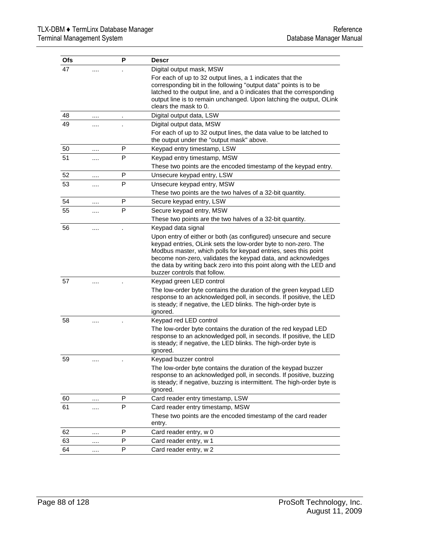| <b>Ofs</b> |          | Р | <b>Descr</b>                                                                                                                                                                                                                                                                                                                                                                 |
|------------|----------|---|------------------------------------------------------------------------------------------------------------------------------------------------------------------------------------------------------------------------------------------------------------------------------------------------------------------------------------------------------------------------------|
| 47         |          |   | Digital output mask, MSW                                                                                                                                                                                                                                                                                                                                                     |
|            |          |   | For each of up to 32 output lines, a 1 indicates that the<br>corresponding bit in the following "output data" points is to be<br>latched to the output line, and a 0 indicates that the corresponding<br>output line is to remain unchanged. Upon latching the output, OLink<br>clears the mask to 0.                                                                        |
| 48         |          |   | Digital output data, LSW                                                                                                                                                                                                                                                                                                                                                     |
| 49         |          |   | Digital output data, MSW                                                                                                                                                                                                                                                                                                                                                     |
|            |          |   | For each of up to 32 output lines, the data value to be latched to<br>the output under the "output mask" above.                                                                                                                                                                                                                                                              |
| 50         | $\cdots$ | P | Keypad entry timestamp, LSW                                                                                                                                                                                                                                                                                                                                                  |
| 51         |          | P | Keypad entry timestamp, MSW<br>These two points are the encoded timestamp of the keypad entry.                                                                                                                                                                                                                                                                               |
| 52         |          | P | Unsecure keypad entry, LSW                                                                                                                                                                                                                                                                                                                                                   |
| 53         | .        | P | Unsecure keypad entry, MSW                                                                                                                                                                                                                                                                                                                                                   |
|            |          |   | These two points are the two halves of a 32-bit quantity.                                                                                                                                                                                                                                                                                                                    |
| 54         |          | P | Secure keypad entry, LSW                                                                                                                                                                                                                                                                                                                                                     |
| 55         |          | P | Secure keypad entry, MSW                                                                                                                                                                                                                                                                                                                                                     |
|            |          |   | These two points are the two halves of a 32-bit quantity.                                                                                                                                                                                                                                                                                                                    |
| 56         |          |   | Keypad data signal                                                                                                                                                                                                                                                                                                                                                           |
|            |          |   | Upon entry of either or both (as configured) unsecure and secure<br>keypad entries, OLink sets the low-order byte to non-zero. The<br>Modbus master, which polls for keypad entries, sees this point<br>become non-zero, validates the keypad data, and acknowledges<br>the data by writing back zero into this point along with the LED and<br>buzzer controls that follow. |
| 57         |          |   | Keypad green LED control                                                                                                                                                                                                                                                                                                                                                     |
|            |          |   | The low-order byte contains the duration of the green keypad LED<br>response to an acknowledged poll, in seconds. If positive, the LED<br>is steady; if negative, the LED blinks. The high-order byte is<br>ignored.                                                                                                                                                         |
| 58         |          |   | Keypad red LED control                                                                                                                                                                                                                                                                                                                                                       |
|            |          |   | The low-order byte contains the duration of the red keypad LED<br>response to an acknowledged poll, in seconds. If positive, the LED<br>is steady; if negative, the LED blinks. The high-order byte is<br>ignored.                                                                                                                                                           |
| 59         |          |   | Keypad buzzer control                                                                                                                                                                                                                                                                                                                                                        |
|            |          |   | The low-order byte contains the duration of the keypad buzzer<br>response to an acknowledged poll, in seconds. If positive, buzzing<br>is steady; if negative, buzzing is intermittent. The high-order byte is<br>ignored.                                                                                                                                                   |
| 60         |          | P | Card reader entry timestamp, LSW                                                                                                                                                                                                                                                                                                                                             |
| 61         |          | P | Card reader entry timestamp, MSW                                                                                                                                                                                                                                                                                                                                             |
|            |          |   | These two points are the encoded timestamp of the card reader<br>entry.                                                                                                                                                                                                                                                                                                      |
| 62         | $\cdots$ | P | Card reader entry, w 0                                                                                                                                                                                                                                                                                                                                                       |
| 63         | $\cdots$ | P | Card reader entry, w 1                                                                                                                                                                                                                                                                                                                                                       |
| 64         | $\cdots$ | P | Card reader entry, w 2                                                                                                                                                                                                                                                                                                                                                       |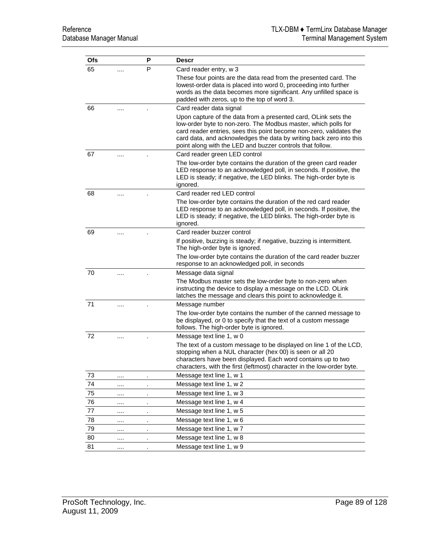| <b>Ofs</b> |          | Р  | <b>Descr</b>                                                                                                                                                                                                                                                                                                                                |
|------------|----------|----|---------------------------------------------------------------------------------------------------------------------------------------------------------------------------------------------------------------------------------------------------------------------------------------------------------------------------------------------|
| 65         |          | P  | Card reader entry, w 3                                                                                                                                                                                                                                                                                                                      |
|            |          |    | These four points are the data read from the presented card. The<br>lowest-order data is placed into word 0, proceeding into further<br>words as the data becomes more significant. Any unfilled space is<br>padded with zeros, up to the top of word 3.                                                                                    |
| 66         |          |    | Card reader data signal                                                                                                                                                                                                                                                                                                                     |
|            |          |    | Upon capture of the data from a presented card, OLink sets the<br>low-order byte to non-zero. The Modbus master, which polls for<br>card reader entries, sees this point become non-zero, validates the<br>card data, and acknowledges the data by writing back zero into this<br>point along with the LED and buzzer controls that follow. |
| 67         |          |    | Card reader green LED control                                                                                                                                                                                                                                                                                                               |
|            |          |    | The low-order byte contains the duration of the green card reader<br>LED response to an acknowledged poll, in seconds. If positive, the<br>LED is steady; if negative, the LED blinks. The high-order byte is<br>ignored.                                                                                                                   |
| 68         |          |    | Card reader red LED control                                                                                                                                                                                                                                                                                                                 |
|            |          |    | The low-order byte contains the duration of the red card reader<br>LED response to an acknowledged poll, in seconds. If positive, the<br>LED is steady; if negative, the LED blinks. The high-order byte is<br>ignored.                                                                                                                     |
| 69         |          |    | Card reader buzzer control                                                                                                                                                                                                                                                                                                                  |
|            |          |    | If positive, buzzing is steady; if negative, buzzing is intermittent.<br>The high-order byte is ignored.<br>The low-order byte contains the duration of the card reader buzzer                                                                                                                                                              |
|            |          |    | response to an acknowledged poll, in seconds                                                                                                                                                                                                                                                                                                |
| 70         | .        |    | Message data signal                                                                                                                                                                                                                                                                                                                         |
|            |          |    | The Modbus master sets the low-order byte to non-zero when<br>instructing the device to display a message on the LCD. OLink<br>latches the message and clears this point to acknowledge it.                                                                                                                                                 |
| 71         | .        |    | Message number                                                                                                                                                                                                                                                                                                                              |
|            |          |    | The low-order byte contains the number of the canned message to<br>be displayed, or 0 to specify that the text of a custom message<br>follows. The high-order byte is ignored.                                                                                                                                                              |
| 72         |          |    | Message text line 1, w 0                                                                                                                                                                                                                                                                                                                    |
|            |          |    | The text of a custom message to be displayed on line 1 of the LCD,<br>stopping when a NUL character (hex 00) is seen or all 20<br>characters have been displayed. Each word contains up to two<br>characters, with the first (leftmost) character in the low-order byte.                                                                    |
| 73         |          |    | Message text line 1, w 1                                                                                                                                                                                                                                                                                                                    |
| 74         | $\cdots$ | ä, | Message text line 1, w 2                                                                                                                                                                                                                                                                                                                    |
| 75         |          |    | Message text line 1, w 3                                                                                                                                                                                                                                                                                                                    |
| 76         |          | ä, | Message text line 1, w 4                                                                                                                                                                                                                                                                                                                    |
| ${\bf 77}$ |          | ٠  | Message text line 1, w 5                                                                                                                                                                                                                                                                                                                    |
| 78         |          | ä. | Message text line 1, w 6                                                                                                                                                                                                                                                                                                                    |
| 79         |          | ٠. | Message text line 1, w 7                                                                                                                                                                                                                                                                                                                    |
| 80         | $\cdots$ | ٠  | Message text line 1, w 8                                                                                                                                                                                                                                                                                                                    |
| 81         |          | ×, | Message text line 1, w 9                                                                                                                                                                                                                                                                                                                    |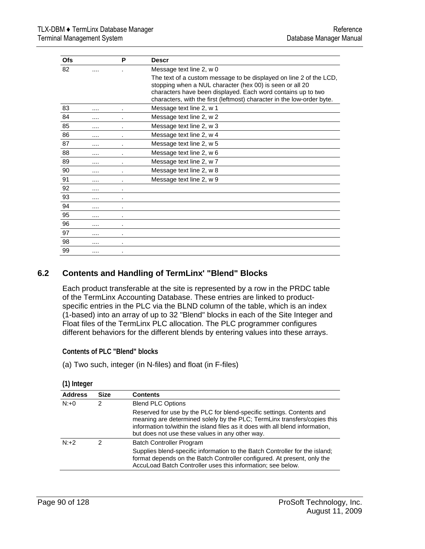<span id="page-89-0"></span>

| Ofs |          | P              | <b>Descr</b>                                                                                                                                                                                                                                                             |
|-----|----------|----------------|--------------------------------------------------------------------------------------------------------------------------------------------------------------------------------------------------------------------------------------------------------------------------|
| 82  | $\cdot$  |                | Message text line 2, w 0                                                                                                                                                                                                                                                 |
|     |          |                | The text of a custom message to be displayed on line 2 of the LCD,<br>stopping when a NUL character (hex 00) is seen or all 20<br>characters have been displayed. Each word contains up to two<br>characters, with the first (leftmost) character in the low-order byte. |
| 83  |          | ٠              | Message text line 2, w 1                                                                                                                                                                                                                                                 |
| 84  |          | ٠              | Message text line 2, w 2                                                                                                                                                                                                                                                 |
| 85  | .        |                | Message text line 2, w 3                                                                                                                                                                                                                                                 |
| 86  |          | ٠              | Message text line 2, w 4                                                                                                                                                                                                                                                 |
| 87  | $\cdots$ |                | Message text line 2, w 5                                                                                                                                                                                                                                                 |
| 88  |          |                | Message text line 2, w 6                                                                                                                                                                                                                                                 |
| 89  | $\cdots$ | $\lambda$      | Message text line 2, w 7                                                                                                                                                                                                                                                 |
| 90  |          | ٠              | Message text line 2, w 8                                                                                                                                                                                                                                                 |
| 91  |          |                | Message text line 2, w 9                                                                                                                                                                                                                                                 |
| 92  | $\cdots$ | $\blacksquare$ |                                                                                                                                                                                                                                                                          |
| 93  |          | $\blacksquare$ |                                                                                                                                                                                                                                                                          |
| 94  |          | ٠              |                                                                                                                                                                                                                                                                          |
| 95  |          | $\blacksquare$ |                                                                                                                                                                                                                                                                          |
| 96  |          | ٠              |                                                                                                                                                                                                                                                                          |
| 97  |          | ٠              |                                                                                                                                                                                                                                                                          |
| 98  |          | $\blacksquare$ |                                                                                                                                                                                                                                                                          |
| 99  | $\cdots$ | $\blacksquare$ |                                                                                                                                                                                                                                                                          |

## **6.2 Contents and Handling of TermLinx' "Blend" Blocks**

Each product transferable at the site is represented by a row in the PRDC table of the TermLinx Accounting Database. These entries are linked to productspecific entries in the PLC via the BLND column of the table, which is an index (1-based) into an array of up to 32 "Blend" blocks in each of the Site Integer and Float files of the TermLinx PLC allocation. The PLC programmer configures different behaviors for the different blends by entering values into these arrays.

**Contents of PLC "Blend" blocks** 

(a) Two such, integer (in N-files) and float (in F-files)

| $\mathbf{u}$   |             |                                                                                                                                                                                                                                                                                       |  |  |  |
|----------------|-------------|---------------------------------------------------------------------------------------------------------------------------------------------------------------------------------------------------------------------------------------------------------------------------------------|--|--|--|
| <b>Address</b> | <b>Size</b> | <b>Contents</b>                                                                                                                                                                                                                                                                       |  |  |  |
| $N: +0$        | 2           | <b>Blend PLC Options</b>                                                                                                                                                                                                                                                              |  |  |  |
|                |             | Reserved for use by the PLC for blend-specific settings. Contents and<br>meaning are determined solely by the PLC; TermLinx transfers/copies this<br>information to/within the island files as it does with all blend information,<br>but does not use these values in any other way. |  |  |  |
| $N:+2$         | 2           | <b>Batch Controller Program</b>                                                                                                                                                                                                                                                       |  |  |  |
|                |             | Supplies blend-specific information to the Batch Controller for the island;<br>format depends on the Batch Controller configured. At present, only the<br>AccuLoad Batch Controller uses this information; see below.                                                                 |  |  |  |
|                |             |                                                                                                                                                                                                                                                                                       |  |  |  |

**(1) Integer**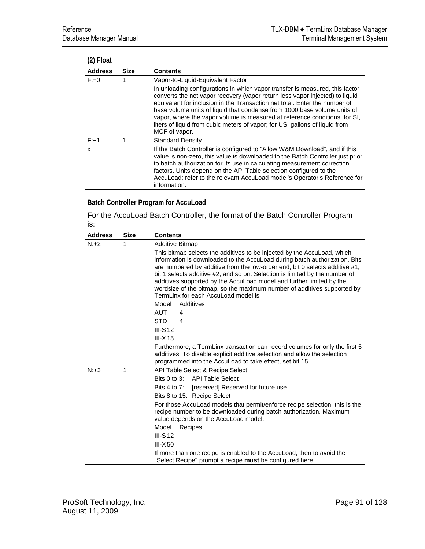| (2) Float      |             |                                                                                                                                                                                                                                                                                                                                                                                                                                                                                                      |
|----------------|-------------|------------------------------------------------------------------------------------------------------------------------------------------------------------------------------------------------------------------------------------------------------------------------------------------------------------------------------------------------------------------------------------------------------------------------------------------------------------------------------------------------------|
| <b>Address</b> | <b>Size</b> | <b>Contents</b>                                                                                                                                                                                                                                                                                                                                                                                                                                                                                      |
| $F: +0$        | 1           | Vapor-to-Liquid-Equivalent Factor                                                                                                                                                                                                                                                                                                                                                                                                                                                                    |
|                |             | In unloading configurations in which vapor transfer is measured, this factor<br>converts the net vapor recovery (vapor return less vapor injected) to liquid<br>equivalent for inclusion in the Transaction net total. Enter the number of<br>base volume units of liquid that condense from 1000 base volume units of<br>vapor, where the vapor volume is measured at reference conditions: for SI,<br>liters of liquid from cubic meters of vapor; for US, gallons of liquid from<br>MCF of vapor. |
| $F: +1$        | 1           | <b>Standard Density</b>                                                                                                                                                                                                                                                                                                                                                                                                                                                                              |
| x              |             | If the Batch Controller is configured to "Allow W&M Download", and if this<br>value is non-zero, this value is downloaded to the Batch Controller just prior<br>to batch authorization for its use in calculating measurement correction<br>factors. Units depend on the API Table selection configured to the<br>AccuLoad; refer to the relevant AccuLoad model's Operator's Reference for<br>information.                                                                                          |

## **Batch Controller Program for AccuLoad**

For the AccuLoad Batch Controller, the format of the Batch Controller Program is:

| <b>Address</b> | Size | <b>Contents</b>                                                                                                                                                                                                                                                                                                                                                                                                                                                                                                |
|----------------|------|----------------------------------------------------------------------------------------------------------------------------------------------------------------------------------------------------------------------------------------------------------------------------------------------------------------------------------------------------------------------------------------------------------------------------------------------------------------------------------------------------------------|
| $N: +2$        | 1    | <b>Additive Bitmap</b>                                                                                                                                                                                                                                                                                                                                                                                                                                                                                         |
|                |      | This bitmap selects the additives to be injected by the AccuLoad, which<br>information is downloaded to the AccuLoad during batch authorization. Bits<br>are numbered by additive from the low-order end; bit 0 selects additive #1,<br>bit 1 selects additive #2, and so on. Selection is limited by the number of<br>additives supported by the AccuLoad model and further limited by the<br>wordsize of the bitmap, so the maximum number of additives supported by<br>TermLinx for each AccuLoad model is: |
|                |      | Model<br>Additives                                                                                                                                                                                                                                                                                                                                                                                                                                                                                             |
|                |      | <b>AUT</b><br>4                                                                                                                                                                                                                                                                                                                                                                                                                                                                                                |
|                |      | <b>STD</b><br>$\overline{\mathbf{4}}$                                                                                                                                                                                                                                                                                                                                                                                                                                                                          |
|                |      | III-S $12$                                                                                                                                                                                                                                                                                                                                                                                                                                                                                                     |
|                |      | $III - X 15$                                                                                                                                                                                                                                                                                                                                                                                                                                                                                                   |
|                |      | Furthermore, a TermLinx transaction can record volumes for only the first 5<br>additives. To disable explicit additive selection and allow the selection<br>programmed into the AccuLoad to take effect, set bit 15.                                                                                                                                                                                                                                                                                           |
| $N: +3$        | 1    | API Table Select & Recipe Select                                                                                                                                                                                                                                                                                                                                                                                                                                                                               |
|                |      | Bits 0 to 3: API Table Select                                                                                                                                                                                                                                                                                                                                                                                                                                                                                  |
|                |      | [reserved] Reserved for future use.<br>Bits $4$ to $7$ :                                                                                                                                                                                                                                                                                                                                                                                                                                                       |
|                |      | Bits 8 to 15: Recipe Select                                                                                                                                                                                                                                                                                                                                                                                                                                                                                    |
|                |      | For those AccuLoad models that permit/enforce recipe selection, this is the<br>recipe number to be downloaded during batch authorization. Maximum<br>value depends on the AccuLoad model:                                                                                                                                                                                                                                                                                                                      |
|                |      | Model<br>Recipes                                                                                                                                                                                                                                                                                                                                                                                                                                                                                               |
|                |      | III-S $12$                                                                                                                                                                                                                                                                                                                                                                                                                                                                                                     |
|                |      | $III - X 50$                                                                                                                                                                                                                                                                                                                                                                                                                                                                                                   |
|                |      | If more than one recipe is enabled to the AccuLoad, then to avoid the<br>"Select Recipe" prompt a recipe <b>must</b> be configured here.                                                                                                                                                                                                                                                                                                                                                                       |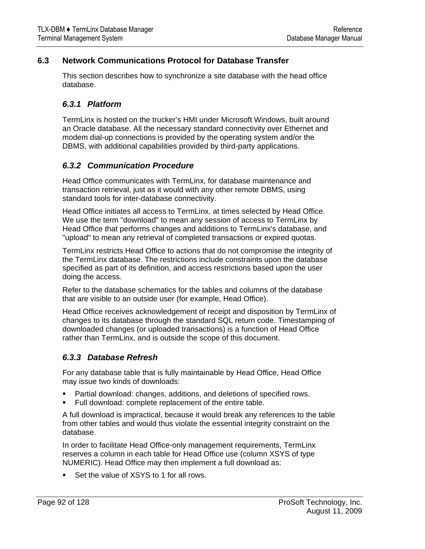# <span id="page-91-0"></span>**6.3 Network Communications Protocol for Database Transfer**

This section describes how to synchronize a site database with the head office database.

## *6.3.1 Platform*

TermLinx is hosted on the trucker's HMI under Microsoft Windows, built around an Oracle database. All the necessary standard connectivity over Ethernet and modem dial-up connections is provided by the operating system and/or the DBMS, with additional capabilities provided by third-party applications.

## *6.3.2 Communication Procedure*

Head Office communicates with TermLinx, for database maintenance and transaction retrieval, just as it would with any other remote DBMS, using standard tools for inter-database connectivity.

Head Office initiates all access to TermLinx, at times selected by Head Office. We use the term "download" to mean any session of access to TermLinx by Head Office that performs changes and additions to TermLinx's database, and "upload" to mean any retrieval of completed transactions or expired quotas.

TermLinx restricts Head Office to actions that do not compromise the integrity of the TermLinx database. The restrictions include constraints upon the database specified as part of its definition, and access restrictions based upon the user doing the access.

Refer to the database schematics for the tables and columns of the database that are visible to an outside user (for example, Head Office).

Head Office receives acknowledgement of receipt and disposition by TermLinx of changes to its database through the standard SQL return code. Timestamping of downloaded changes (or uploaded transactions) is a function of Head Office rather than TermLinx, and is outside the scope of this document.

## *6.3.3 Database Refresh*

For any database table that is fully maintainable by Head Office, Head Office may issue two kinds of downloads:

- Partial download: changes, additions, and deletions of specified rows.
- Full download: complete replacement of the entire table.

A full download is impractical, because it would break any references to the table from other tables and would thus violate the essential integrity constraint on the database.

In order to facilitate Head Office-only management requirements, TermLinx reserves a column in each table for Head Office use (column XSYS of type NUMERIC). Head Office may then implement a full download as:

**Set the value of XSYS to 1 for all rows.**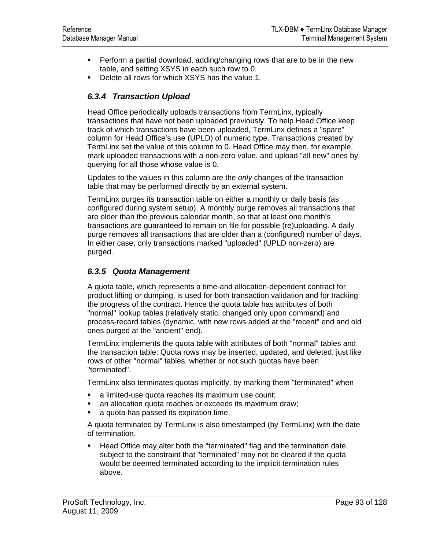- Perform a partial download, adding/changing rows that are to be in the new table, and setting XSYS in each such row to 0.
- **Delete all rows for which XSYS has the value 1.**

# *6.3.4 Transaction Upload*

Head Office periodically uploads transactions from TermLinx, typically transactions that have not been uploaded previously. To help Head Office keep track of which transactions have been uploaded, TermLinx defines a "spare" column for Head Office's use (UPLD) of numeric type. Transactions created by TermLinx set the value of this column to 0. Head Office may then, for example, mark uploaded transactions with a non-zero value, and upload "all new" ones by querying for all those whose value is 0.

Updates to the values in this column are the *only* changes of the transaction table that may be performed directly by an external system.

TermLinx purges its transaction table on either a monthly or daily basis (as configured during system setup). A monthly purge removes all transactions that are older than the previous calendar month, so that at least one month's transactions are guaranteed to remain on file for possible (re)uploading. A daily purge removes all transactions that are older than a (configured) number of days. In either case, only transactions marked "uploaded" (UPLD non-zero) are purged.

## *6.3.5 Quota Management*

A quota table, which represents a time-and allocation-dependent contract for product lifting or dumping, is used for both transaction validation and for tracking the progress of the contract. Hence the quota table has attributes of both "normal" lookup tables (relatively static, changed only upon command) and process-record tables (dynamic, with new rows added at the "recent" end and old ones purged at the "ancient" end).

TermLinx implements the quota table with attributes of both "normal" tables and the transaction table: Quota rows may be inserted, updated, and deleted, just like rows of other "normal" tables, whether or not such quotas have been "terminated".

TermLinx also terminates quotas implicitly, by marking them "terminated" when

- a limited-use quota reaches its maximum use count;
- **an allocation quota reaches or exceeds its maximum draw;**
- **a** quota has passed its expiration time.

A quota terminated by TermLinx is also timestamped (by TermLinx) with the date of termination.

**Head Office may alter both the "terminated" flag and the termination date,** subject to the constraint that "terminated" may not be cleared if the quota would be deemed terminated according to the implicit termination rules above.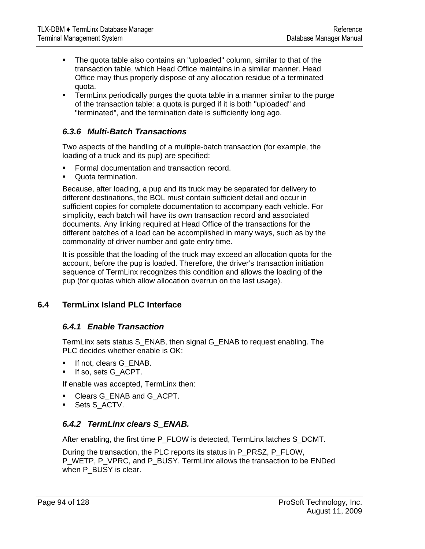- <span id="page-93-0"></span> The quota table also contains an "uploaded" column, similar to that of the transaction table, which Head Office maintains in a similar manner. Head Office may thus properly dispose of any allocation residue of a terminated quota.
- **TermLinx periodically purges the quota table in a manner similar to the purge** of the transaction table: a quota is purged if it is both "uploaded" and "terminated", and the termination date is sufficiently long ago.

## *6.3.6 Multi-Batch Transactions*

Two aspects of the handling of a multiple-batch transaction (for example, the loading of a truck and its pup) are specified:

- **Formal documentation and transaction record.**
- **Quota termination.**

Because, after loading, a pup and its truck may be separated for delivery to different destinations, the BOL must contain sufficient detail and occur in sufficient copies for complete documentation to accompany each vehicle. For simplicity, each batch will have its own transaction record and associated documents. Any linking required at Head Office of the transactions for the different batches of a load can be accomplished in many ways, such as by the commonality of driver number and gate entry time.

It is possible that the loading of the truck may exceed an allocation quota for the account, before the pup is loaded. Therefore, the driver's transaction initiation sequence of TermLinx recognizes this condition and allows the loading of the pup (for quotas which allow allocation overrun on the last usage).

## **6.4 TermLinx Island PLC Interface**

#### *6.4.1 Enable Transaction*

TermLinx sets status S\_ENAB, then signal G\_ENAB to request enabling. The PLC decides whether enable is OK:

- If not, clears G\_ENAB.
- If so, sets G\_ACPT.

If enable was accepted, TermLinx then:

- Clears G\_ENAB and G\_ACPT.
- Sets S\_ACTV.

## *6.4.2 TermLinx clears S\_ENAB.*

After enabling, the first time P\_FLOW is detected, TermLinx latches S\_DCMT.

During the transaction, the PLC reports its status in P\_PRSZ, P\_FLOW, P\_WETP, P\_VPRC, and P\_BUSY. TermLinx allows the transaction to be ENDed when P\_BUSY is clear.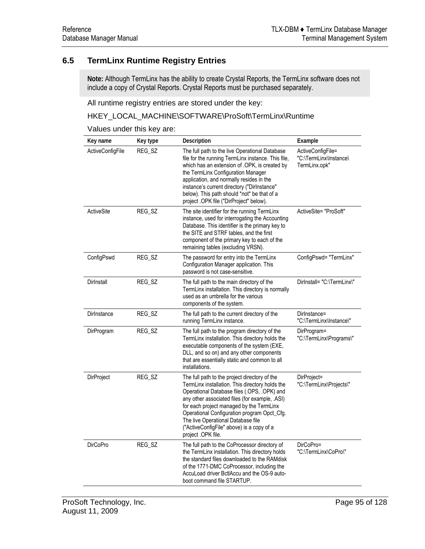# <span id="page-94-0"></span>**6.5 TermLinx Runtime Registry Entries**

**Note:** Although TermLinx has the ability to create Crystal Reports, the TermLinx software does not include a copy of Crystal Reports. Crystal Reports must be purchased separately.

All runtime registry entries are stored under the key:

### HKEY\_LOCAL\_MACHINE\SOFTWARE\ProSoft\TermLinx\Runtime

Values under this key are:

| Key name         | Key type | Description                                                                                                                                                                                                                                                                                                                                                                                           | Example                                                      |
|------------------|----------|-------------------------------------------------------------------------------------------------------------------------------------------------------------------------------------------------------------------------------------------------------------------------------------------------------------------------------------------------------------------------------------------------------|--------------------------------------------------------------|
| ActiveConfigFile | REG_SZ   | The full path to the live Operational Database<br>file for the running TermLinx instance. This file,<br>which has an extension of .OPK, is created by<br>the TermLinx Configuration Manager<br>application, and normally resides in the<br>instance's current directory ("Dirlnstance"<br>below). This path should *not* be that of a<br>project .OPK file ("DirProject" below).                      | ActiveConfigFile=<br>"C:\TermLinx\Instance\<br>TermLinx.opk" |
| ActiveSite       | REG_SZ   | The site identifier for the running TermLinx<br>instance, used for interrogating the Accounting<br>Database. This identifier is the primary key to<br>the SITE and STRF tables, and the first<br>component of the primary key to each of the<br>remaining tables (excluding VRSN).                                                                                                                    | ActiveSite= "ProSoft"                                        |
| ConfigPswd       | REG_SZ   | The password for entry into the TermLinx<br>Configuration Manager application. This<br>password is not case-sensitive.                                                                                                                                                                                                                                                                                | ConfigPswd= "TermLinx"                                       |
| Dirlnstall       | REG_SZ   | The full path to the main directory of the<br>TermLinx installation. This directory is normally<br>used as an umbrella for the various<br>components of the system.                                                                                                                                                                                                                                   | Dirlnstall= "C:\TermLinx\"                                   |
| Dirlnstance      | REG SZ   | The full path to the current directory of the<br>running TermLinx instance.                                                                                                                                                                                                                                                                                                                           | Dirlnstance=<br>"C:\TermLinx\Instance\"                      |
| DirProgram       | REG_SZ   | The full path to the program directory of the<br>TermLinx installation. This directory holds the<br>executable components of the system (EXE,<br>DLL, and so on) and any other components<br>that are essentially static and common to all<br>installations.                                                                                                                                          | DirProgram=<br>"C:\TermLinx\Programs\"                       |
| DirProject       | REG_SZ   | The full path to the project directory of the<br>TermLinx installation. This directory holds the<br>Operational Database files (.OPS, .OPK) and<br>any other associated files (for example, .ASI)<br>for each project managed by the TermLinx<br>Operational Configuration program Opct_Cfg.<br>The live Operational Database file<br>("ActiveConfigFile" above) is a copy of a<br>project .OPK file. | DirProject=<br>"C:\TermLinx\Projects\"                       |
| <b>DirCoPro</b>  | REG_SZ   | The full path to the CoProcessor directory of<br>the TermLinx installation. This directory holds<br>the standard files downloaded to the RAMdisk<br>of the 1771-DMC CoProcessor, including the<br>AccuLoad driver BctlAccu and the OS-9 auto-<br>boot command file STARTUP.                                                                                                                           | DirCoPro=<br>"C:\TermLinx\CoPro\"                            |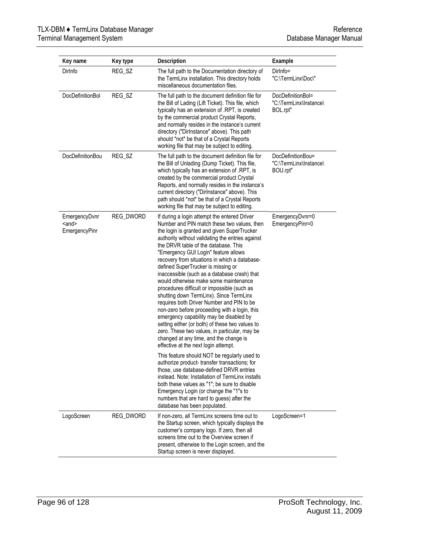| Key name                                | Key type         | Description                                                                                                                                                                                                                                                                                                                                                                                                                                                                                                                                                                                                                                                                                                                                                                                                                                                                                                                                                                                                                          | Example                                                 |
|-----------------------------------------|------------------|--------------------------------------------------------------------------------------------------------------------------------------------------------------------------------------------------------------------------------------------------------------------------------------------------------------------------------------------------------------------------------------------------------------------------------------------------------------------------------------------------------------------------------------------------------------------------------------------------------------------------------------------------------------------------------------------------------------------------------------------------------------------------------------------------------------------------------------------------------------------------------------------------------------------------------------------------------------------------------------------------------------------------------------|---------------------------------------------------------|
| Dirlnfo                                 | REG_SZ           | The full path to the Documentation directory of<br>the TermLinx installation. This directory holds<br>miscellaneous documentation files.                                                                                                                                                                                                                                                                                                                                                                                                                                                                                                                                                                                                                                                                                                                                                                                                                                                                                             | Dirlnfo=<br>"C:\TermLinx\Doc\"                          |
| <b>DocDefinitionBol</b>                 | REG_SZ           | The full path to the document definition file for<br>the Bill of Lading (Lift Ticket). This file, which<br>typically has an extension of .RPT, is created<br>by the commercial product Crystal Reports,<br>and normally resides in the instance's current<br>directory ("Dirlnstance" above). This path<br>should *not* be that of a Crystal Reports<br>working file that may be subject to editing.                                                                                                                                                                                                                                                                                                                                                                                                                                                                                                                                                                                                                                 | DocDefinitionBol=<br>"C:\TermLinx\Instance\<br>BOL.rpt" |
| DocDefinitionBou                        | REG_SZ           | The full path to the document definition file for<br>the Bill of Unlading (Dump Ticket). This file,<br>which typically has an extension of .RPT, is<br>created by the commercial product Crystal<br>Reports, and normally resides in the instance's<br>current directory ("Dirlnstance" above). This<br>path should *not* be that of a Crystal Reports<br>working file that may be subject to editing.                                                                                                                                                                                                                                                                                                                                                                                                                                                                                                                                                                                                                               | DocDefinitionBou=<br>"C:\TermLinx\Instance\<br>BOU.rpt" |
| EmergencyDvnr<br>$and$<br>EmergencyPinr | <b>REG_DWORD</b> | If during a login attempt the entered Driver<br>Number and PIN match these two values, then<br>the login is granted and given SuperTrucker<br>authority without validating the entries against<br>the DRVR table of the database. This<br>"Emergency GUI Login" feature allows<br>recovery from situations in which a database-<br>defined SuperTrucker is missing or<br>inaccessible (such as a database crash) that<br>would otherwise make some maintenance<br>procedures difficult or impossible (such as<br>shutting down TermLinx). Since TermLinx<br>requires both Driver Number and PIN to be<br>non-zero before proceeding with a login, this<br>emergency capability may be disabled by<br>setting either (or both) of these two values to<br>zero. These two values, in particular, may be<br>changed at any time, and the change is<br>effective at the next login attempt.<br>This feature should NOT be regularly used to<br>authorize product- transfer transactions; for<br>those, use database-defined DRVR entries | EmergencyDvnr=0<br>EmergencyPinr=0                      |
|                                         |                  | instead. Note: Installation of TermLinx installs<br>both these values as "1"; be sure to disable<br>Emergency Login (or change the "1"s to<br>numbers that are hard to guess) after the<br>database has been populated.                                                                                                                                                                                                                                                                                                                                                                                                                                                                                                                                                                                                                                                                                                                                                                                                              |                                                         |
| LogoScreen                              | REG_DWORD        | If non-zero, all TermLinx screens time out to<br>the Startup screen, which typically displays the<br>customer's company logo. If zero, then all<br>screens time out to the Overview screen if<br>present, otherwise to the Login screen, and the<br>Startup screen is never displayed.                                                                                                                                                                                                                                                                                                                                                                                                                                                                                                                                                                                                                                                                                                                                               | LogoScreen=1                                            |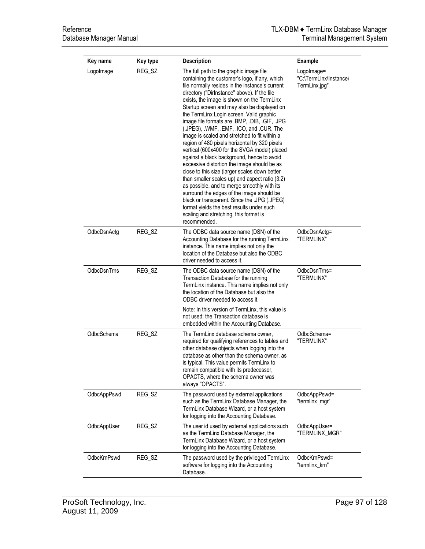| Key name    | Key type | Description                                                                                                                                                                                                                                                                                                                                                                                                                                                                                                                                                                                                                                                                                                                                                                                                                                                                                                                                                                                                                            | Example                                               |
|-------------|----------|----------------------------------------------------------------------------------------------------------------------------------------------------------------------------------------------------------------------------------------------------------------------------------------------------------------------------------------------------------------------------------------------------------------------------------------------------------------------------------------------------------------------------------------------------------------------------------------------------------------------------------------------------------------------------------------------------------------------------------------------------------------------------------------------------------------------------------------------------------------------------------------------------------------------------------------------------------------------------------------------------------------------------------------|-------------------------------------------------------|
| LogoImage   | REG_SZ   | The full path to the graphic image file<br>containing the customer's logo, if any, which<br>file normally resides in the instance's current<br>directory ("Dirlnstance" above). If the file<br>exists, the image is shown on the TermLinx<br>Startup screen and may also be displayed on<br>the TermLinx Login screen. Valid graphic<br>image file formats are .BMP, .DIB, .GIF, .JPG<br>(.JPEG), .WMF, .EMF, .ICO, and .CUR. The<br>image is scaled and stretched to fit within a<br>region of 480 pixels horizontal by 320 pixels<br>vertical (600x400 for the SVGA model) placed<br>against a black background, hence to avoid<br>excessive distortion the image should be as<br>close to this size (larger scales down better<br>than smaller scales up) and aspect ratio (3:2)<br>as possible, and to merge smoothly with its<br>surround the edges of the image should be<br>black or transparent. Since the .JPG (.JPEG)<br>format yields the best results under such<br>scaling and stretching, this format is<br>recommended. | Logolmage=<br>"C:\TermLinx\Instance\<br>TermLinx.jpg" |
| OdbcDsnActg | REG_SZ   | The ODBC data source name (DSN) of the<br>Accounting Database for the running TermLinx<br>instance. This name implies not only the<br>location of the Database but also the ODBC<br>driver needed to access it.                                                                                                                                                                                                                                                                                                                                                                                                                                                                                                                                                                                                                                                                                                                                                                                                                        | OdbcDsnActg=<br>"TERMLINX"                            |
| OdbcDsnTrns | REG_SZ   | The ODBC data source name (DSN) of the<br>Transaction Database for the running<br>TermLinx instance. This name implies not only<br>the location of the Database but also the<br>ODBC driver needed to access it.<br>Note: In this version of TermLinx, this value is<br>not used; the Transaction database is<br>embedded within the Accounting Database.                                                                                                                                                                                                                                                                                                                                                                                                                                                                                                                                                                                                                                                                              | OdbcDsnTrns=<br>"TERMLINX"                            |
| OdbcSchema  | REG_SZ   | The TermLinx database schema owner,<br>required for qualifying references to tables and<br>other database objects when logging into the<br>database as other than the schema owner, as<br>is typical. This value permits TermLinx to<br>remain compatible with its predecessor,<br>OPACTS, where the schema owner was<br>always "OPACTS".                                                                                                                                                                                                                                                                                                                                                                                                                                                                                                                                                                                                                                                                                              | OdbcSchema=<br>"TERMLINX"                             |
| OdbcAppPswd | REG_SZ   | The password used by external applications<br>such as the TermLinx Database Manager, the<br>TermLinx Database Wizard, or a host system<br>for logging into the Accounting Database.                                                                                                                                                                                                                                                                                                                                                                                                                                                                                                                                                                                                                                                                                                                                                                                                                                                    | OdbcAppPswd=<br>"termlinx_mgr"                        |
| OdbcAppUser | REG_SZ   | The user id used by external applications such<br>as the TermLinx Database Manager, the<br>TermLinx Database Wizard, or a host system<br>for logging into the Accounting Database.                                                                                                                                                                                                                                                                                                                                                                                                                                                                                                                                                                                                                                                                                                                                                                                                                                                     | OdbcAppUser=<br>"TERMLINX_MGR"                        |
| OdbcKrnPswd | REG_SZ   | The password used by the privileged TermLinx<br>software for logging into the Accounting<br>Database.                                                                                                                                                                                                                                                                                                                                                                                                                                                                                                                                                                                                                                                                                                                                                                                                                                                                                                                                  | OdbcKrnPswd=<br>"termlinx_krn"                        |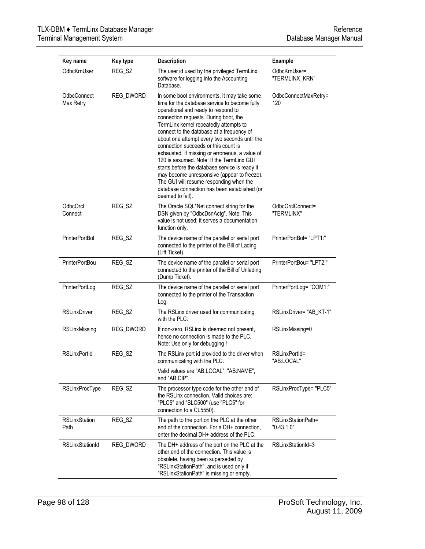| Key name                     | Key type  | Description                                                                                                                                                                                                                                                                                                                                                                                                                                                                                                                                                                                                                                                                 | Example                          |
|------------------------------|-----------|-----------------------------------------------------------------------------------------------------------------------------------------------------------------------------------------------------------------------------------------------------------------------------------------------------------------------------------------------------------------------------------------------------------------------------------------------------------------------------------------------------------------------------------------------------------------------------------------------------------------------------------------------------------------------------|----------------------------------|
| OdbcKrnUser                  | REG_SZ    | The user id used by the privileged TermLinx<br>software for logging into the Accounting<br>Database.                                                                                                                                                                                                                                                                                                                                                                                                                                                                                                                                                                        | OdbcKrnUser=<br>"TERMLINX_KRN"   |
| OdbcConnect<br>Max Retry     | REG_DWORD | In some boot environments, it may take some<br>time for the database service to become fully<br>operational and ready to respond to<br>connection requests. During boot, the<br>TermLinx kernel repeatedly attempts to<br>connect to the database at a frequency of<br>about one attempt every two seconds until the<br>connection succeeds or this count is<br>exhausted. If missing or erroneous, a value of<br>120 is assumed. Note: If the TermLinx GUI<br>starts before the database service is ready it<br>may become unresponsive (appear to freeze).<br>The GUI will resume responding when the<br>database connection has been established (or<br>deemed to fail). | OdbcConnectMaxRetry=<br>120      |
| OdbcOrcl<br>Connect          | REG SZ    | The Oracle SQL*Net connect string for the<br>DSN given by "OdbcDsnActg". Note: This<br>value is not used; it serves a documentation<br>function only.                                                                                                                                                                                                                                                                                                                                                                                                                                                                                                                       | OdbcOrclConnect=<br>"TERMLINX"   |
| PrinterPortBol               | REG_SZ    | The device name of the parallel or serial port<br>connected to the printer of the Bill of Lading<br>(Lift Ticket).                                                                                                                                                                                                                                                                                                                                                                                                                                                                                                                                                          | PrinterPortBol= "LPT1:"          |
| PrinterPortBou               | REG_SZ    | The device name of the parallel or serial port<br>connected to the printer of the Bill of Unlading<br>(Dump Ticket).                                                                                                                                                                                                                                                                                                                                                                                                                                                                                                                                                        | PrinterPortBou= "LPT2:"          |
| PrinterPortLog               | REG_SZ    | The device name of the parallel or serial port<br>connected to the printer of the Transaction<br>Log.                                                                                                                                                                                                                                                                                                                                                                                                                                                                                                                                                                       | PrinterPortLog= "COM1:"          |
| <b>RSLinxDriver</b>          | REG_SZ    | The RSLinx driver used for communicating<br>with the PLC.                                                                                                                                                                                                                                                                                                                                                                                                                                                                                                                                                                                                                   | RSLinxDriver="AB_KT-1"           |
| RSLinxMissing                | REG_DWORD | If non-zero, RSLinx is deemed not present,<br>hence no connection is made to the PLC.<br>Note: Use only for debugging !                                                                                                                                                                                                                                                                                                                                                                                                                                                                                                                                                     | RSLinxMissing=0                  |
| <b>RSLinxPortId</b>          | REG_SZ    | The RSLinx port id provided to the driver when<br>communicating with the PLC.<br>Valid values are "AB:LOCAL", "AB:NAME",                                                                                                                                                                                                                                                                                                                                                                                                                                                                                                                                                    | RSLinxPortId=<br>"AB:LOCAL"      |
|                              |           | and "AB:CIP".                                                                                                                                                                                                                                                                                                                                                                                                                                                                                                                                                                                                                                                               |                                  |
| RSLinxProcType               | REG_SZ    | The processor type code for the other end of<br>the RSLinx connection. Valid choices are:<br>"PLC5" and "SLC500" (use "PLC5" for<br>connection to a CL5550).                                                                                                                                                                                                                                                                                                                                                                                                                                                                                                                | RSLinxProcType= "PLC5"           |
| <b>RSLinxStation</b><br>Path | REG SZ    | The path to the port on the PLC at the other<br>end of the connection. For a DH+ connection,<br>enter the decimal DH+ address of the PLC.                                                                                                                                                                                                                                                                                                                                                                                                                                                                                                                                   | RSLinxStationPath=<br>"0.43.1.0" |
| <b>RSLinxStationId</b>       | REG_DWORD | The DH+ address of the port on the PLC at the<br>other end of the connection. This value is<br>obsolete, having been superseded by<br>"RSLinxStationPath", and is used only if<br>"RSLinxStationPath" is missing or empty.                                                                                                                                                                                                                                                                                                                                                                                                                                                  | RSLinxStationId=3                |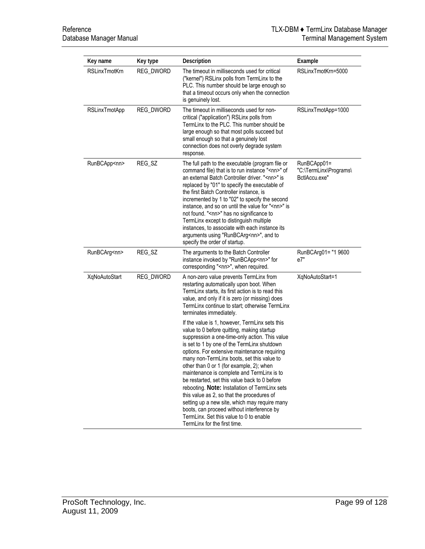| Key name             | Key type         | Description                                                                                                                                                                                                                                                                                                                                                                                                                                                                                                                                                                                                                                                                                                      | Example                                                |
|----------------------|------------------|------------------------------------------------------------------------------------------------------------------------------------------------------------------------------------------------------------------------------------------------------------------------------------------------------------------------------------------------------------------------------------------------------------------------------------------------------------------------------------------------------------------------------------------------------------------------------------------------------------------------------------------------------------------------------------------------------------------|--------------------------------------------------------|
| <b>RSLinxTmotKrn</b> | <b>REG_DWORD</b> | The timeout in milliseconds used for critical<br>("kernel") RSLinx polls from TermLinx to the<br>PLC. This number should be large enough so<br>that a timeout occurs only when the connection<br>is genuinely lost.                                                                                                                                                                                                                                                                                                                                                                                                                                                                                              | RSLinxTmotKrn=5000                                     |
| <b>RSLinxTmotApp</b> | REG_DWORD        | The timeout in milliseconds used for non-<br>critical ("application") RSLinx polls from<br>TermLinx to the PLC. This number should be<br>large enough so that most polls succeed but<br>small enough so that a genuinely lost<br>connection does not overly degrade system<br>response.                                                                                                                                                                                                                                                                                                                                                                                                                          | RSLinxTmotApp=1000                                     |
| RunBCApp <nn></nn>   | REG_SZ           | The full path to the executable (program file or<br>command file) that is to run instance " <nn>" of<br/>an external Batch Controller driver. "<nn>" is<br/>replaced by "01" to specify the executable of<br/>the first Batch Controller instance, is<br/>incremented by 1 to "02" to specify the second<br/>instance, and so on until the value for "<nn>" is<br/>not found. "<nn>" has no significance to<br/>TermLinx except to distinguish multiple<br/>instances, to associate with each instance its<br/>arguments using "RunBCArg<nn>", and to<br/>specify the order of startup.</nn></nn></nn></nn></nn>                                                                                                 | RunBCApp01=<br>"C:\TermLinx\Programs\<br>BctlAccu.exe" |
| RunBCArg <nn></nn>   | REG_SZ           | The arguments to the Batch Controller<br>instance invoked by "RunBCApp <nn>" for<br/>corresponding "<nn>", when required.</nn></nn>                                                                                                                                                                                                                                                                                                                                                                                                                                                                                                                                                                              | RunBCArg01= "1 9600<br>e7"                             |
| XqNoAutoStart        | REG_DWORD        | A non-zero value prevents TermLinx from<br>restarting automatically upon boot. When<br>TermLinx starts, its first action is to read this<br>value, and only if it is zero (or missing) does<br>TermLinx continue to start; otherwise TermLinx<br>terminates immediately.                                                                                                                                                                                                                                                                                                                                                                                                                                         | XqNoAutoStart=1                                        |
|                      |                  | If the value is 1, however, TermLinx sets this<br>value to 0 before quitting, making startup<br>suppression a one-time-only action. This value<br>is set to 1 by one of the TermLinx shutdown<br>options. For extensive maintenance requiring<br>many non-TermLinx boots, set this value to<br>other than 0 or 1 (for example, 2); when<br>maintenance is complete and TermLinx is to<br>be restarted, set this value back to 0 before<br>rebooting. Note: Installation of TermLinx sets<br>this value as 2, so that the procedures of<br>setting up a new site, which may require many<br>boots, can proceed without interference by<br>TermLinx. Set this value to 0 to enable<br>TermLinx for the first time. |                                                        |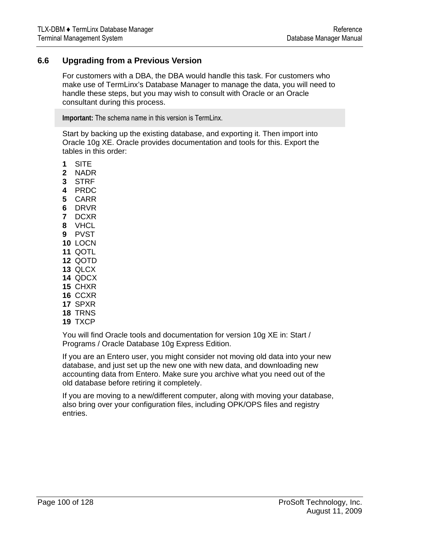## <span id="page-99-0"></span>**6.6 Upgrading from a Previous Version**

For customers with a DBA, the DBA would handle this task. For customers who make use of TermLinx's Database Manager to manage the data, you will need to handle these steps, but you may wish to consult with Oracle or an Oracle consultant during this process.

**Important:** The schema name in this version is TermLinx.

Start by backing up the existing database, and exporting it. Then import into Oracle 10g XE. Oracle provides documentation and tools for this. Export the tables in this order:

- **1** SITE
- **2** NADR
- **3** STRF
- **4** PRDC
- **5** CARR
- **6** DRVR
- **7** DCXR
- **8** VHCL
- **9** PVST
- **10** LOCN
- **11** QOTL
- **12** QOTD
- **13** QLCX
- **14** QDCX
- **15** CHXR
- **16** CCXR
- **17** SPXR
- **18** TRNS
- **19** TXCP

You will find Oracle tools and documentation for version 10g XE in: Start / Programs / Oracle Database 10g Express Edition.

If you are an Entero user, you might consider not moving old data into your new database, and just set up the new one with new data, and downloading new accounting data from Entero. Make sure you archive what you need out of the old database before retiring it completely.

If you are moving to a new/different computer, along with moving your database, also bring over your configuration files, including OPK/OPS files and registry entries.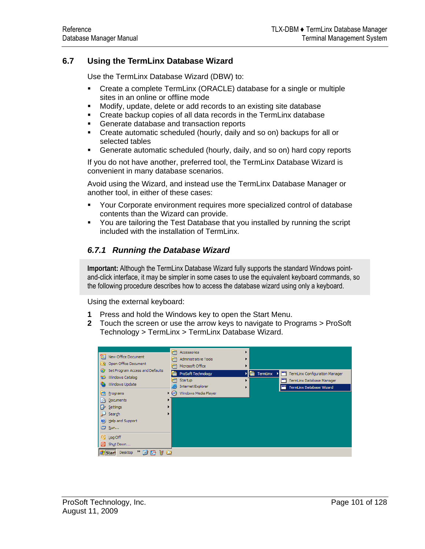# <span id="page-100-0"></span>**6.7 Using the TermLinx Database Wizard**

Use the TermLinx Database Wizard (DBW) to:

- Create a complete TermLinx (ORACLE) database for a single or multiple sites in an online or offline mode
- Modify, update, delete or add records to an existing site database
- **Create backup copies of all data records in the TermLinx database**
- **Generate database and transaction reports**
- Create automatic scheduled (hourly, daily and so on) backups for all or selected tables
- Generate automatic scheduled (hourly, daily, and so on) hard copy reports

If you do not have another, preferred tool, the TermLinx Database Wizard is convenient in many database scenarios.

Avoid using the Wizard, and instead use the TermLinx Database Manager or another tool, in either of these cases:

- Your Corporate environment requires more specialized control of database contents than the Wizard can provide.
- You are tailoring the Test Database that you installed by running the script included with the installation of TermLinx.

# *6.7.1 Running the Database Wizard*

**Important:** Although the TermLinx Database Wizard fully supports the standard Windows pointand-click interface, it may be simpler in some cases to use the equivalent keyboard commands, so the following procedure describes how to access the database wizard using only a keyboard.

Using the external keyboard:

- **1** Press and hold the Windows key to open the Start Menu.
- **2** Touch the screen or use the arrow keys to navigate to Programs > ProSoft Technology > TermLinx > TermLinx Database Wizard.

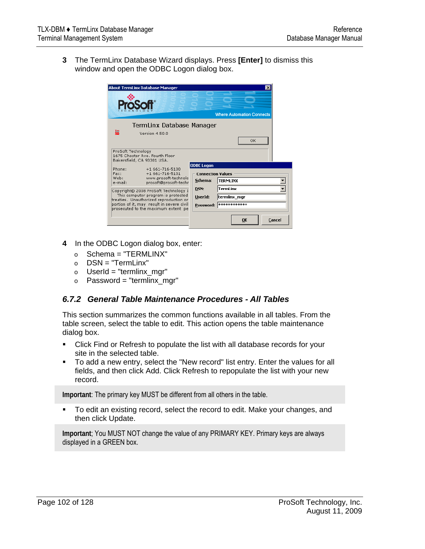**3** The TermLinx Database Wizard displays. Press **[Enter]** to dismiss this window and open the ODBC Logon dialog box.



- **4** In the ODBC Logon dialog box, enter:
	- $\circ$  Schema = "TERMLINX"
	- o DSN = "TermLinx"
	- $\circ$  UserId = "termlinx mgr"
	- $\circ$  Password = "termlinx\_mgr"

## *6.7.2 General Table Maintenance Procedures - All Tables*

This section summarizes the common functions available in all tables. From the table screen, select the table to edit. This action opens the table maintenance dialog box.

- Click Find or Refresh to populate the list with all database records for your site in the selected table.
- To add a new entry, select the "New record" list entry. Enter the values for all fields, and then click Add. Click Refresh to repopulate the list with your new record.

**Important**: The primary key MUST be different from all others in the table.

 To edit an existing record, select the record to edit. Make your changes, and then click Update.

**Important**; You MUST NOT change the value of any PRIMARY KEY. Primary keys are always displayed in a GREEN box.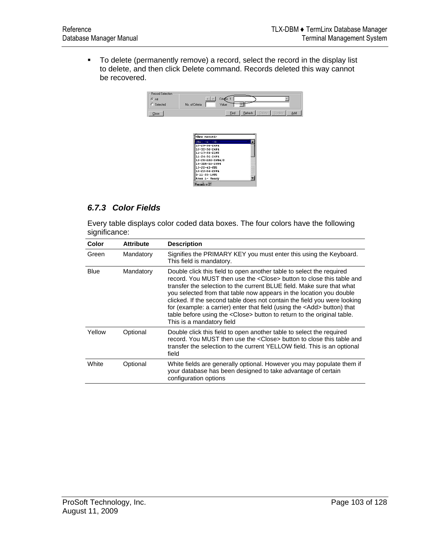To delete (permanently remove) a record, select the record in the display list to delete, and then click Delete command. Records deleted this way cannot be recovered.





# *6.7.3 Color Fields*

Every table displays color coded data boxes. The four colors have the following significance:

| Color       | <b>Attribute</b> | <b>Description</b>                                                                                                                                                                                                                                                                                                                                                                                                                                                                                                                                                                     |
|-------------|------------------|----------------------------------------------------------------------------------------------------------------------------------------------------------------------------------------------------------------------------------------------------------------------------------------------------------------------------------------------------------------------------------------------------------------------------------------------------------------------------------------------------------------------------------------------------------------------------------------|
| Green       | Mandatory        | Signifies the PRIMARY KEY you must enter this using the Keyboard.<br>This field is mandatory.                                                                                                                                                                                                                                                                                                                                                                                                                                                                                          |
| <b>Blue</b> | Mandatory        | Double click this field to open another table to select the required<br>record. You MUST then use the <close> button to close this table and<br/>transfer the selection to the current BLUE field. Make sure that what<br/>you selected from that table now appears in the location you double<br/>clicked. If the second table does not contain the field you were looking<br/>for (example: a carrier) enter that field (using the <add> button) that<br/>table before using the <close> button to return to the original table.<br/>This is a mandatory field</close></add></close> |
| Yellow      | Optional         | Double click this field to open another table to select the required<br>record. You MUST then use the <close> button to close this table and<br/>transfer the selection to the current YELLOW field. This is an optional<br/>field</close>                                                                                                                                                                                                                                                                                                                                             |
| White       | Optional         | White fields are generally optional. However you may populate them if<br>your database has been designed to take advantage of certain<br>configuration options                                                                                                                                                                                                                                                                                                                                                                                                                         |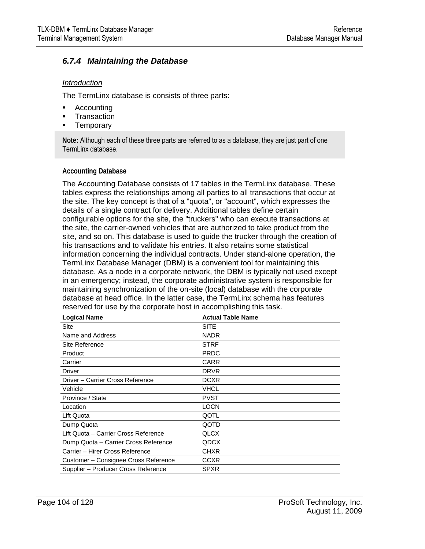## *6.7.4 Maintaining the Database*

#### *Introduction*

The TermLinx database is consists of three parts:

- Accounting
- **Transaction**
- **Temporary**

**Note:** Although each of these three parts are referred to as a database, they are just part of one TermLinx database.

#### **Accounting Database**

The Accounting Database consists of 17 tables in the TermLinx database. These tables express the relationships among all parties to all transactions that occur at the site. The key concept is that of a "quota", or "account", which expresses the details of a single contract for delivery. Additional tables define certain configurable options for the site, the "truckers" who can execute transactions at the site, the carrier-owned vehicles that are authorized to take product from the site, and so on. This database is used to guide the trucker through the creation of his transactions and to validate his entries. It also retains some statistical information concerning the individual contracts. Under stand-alone operation, the TermLinx Database Manager (DBM) is a convenient tool for maintaining this database. As a node in a corporate network, the DBM is typically not used except in an emergency; instead, the corporate administrative system is responsible for maintaining synchronization of the on-site (local) database with the corporate database at head office. In the latter case, the TermLinx schema has features reserved for use by the corporate host in accomplishing this task.

| <b>Logical Name</b>                  | <b>Actual Table Name</b> |
|--------------------------------------|--------------------------|
| Site                                 | <b>SITE</b>              |
| Name and Address                     | <b>NADR</b>              |
| Site Reference                       | <b>STRF</b>              |
| Product                              | <b>PRDC</b>              |
| Carrier                              | CARR                     |
| Driver                               | <b>DRVR</b>              |
| Driver - Carrier Cross Reference     | <b>DCXR</b>              |
| Vehicle                              | VHCL                     |
| Province / State                     | PVST                     |
| Location                             | <b>LOCN</b>              |
| Lift Quota                           | QOTL                     |
| Dump Quota                           | QOTD                     |
| Lift Quota - Carrier Cross Reference | <b>QLCX</b>              |
| Dump Quota - Carrier Cross Reference | QDCX                     |
| Carrier - Hirer Cross Reference      | CHXR                     |
| Customer – Consignee Cross Reference | CCXR                     |
| Supplier – Producer Cross Reference  | SPXR                     |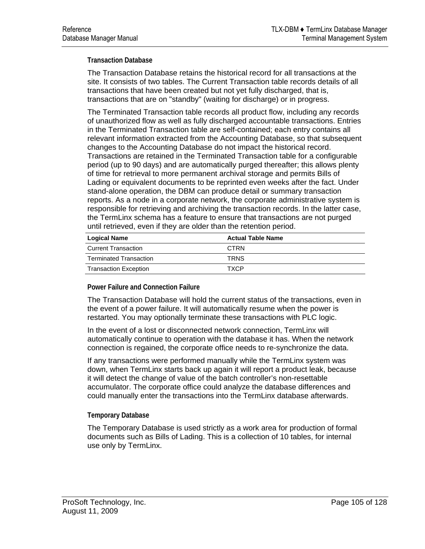#### **Transaction Database**

The Transaction Database retains the historical record for all transactions at the site. It consists of two tables. The Current Transaction table records details of all transactions that have been created but not yet fully discharged, that is, transactions that are on "standby" (waiting for discharge) or in progress.

The Terminated Transaction table records all product flow, including any records of unauthorized flow as well as fully discharged accountable transactions. Entries in the Terminated Transaction table are self-contained; each entry contains all relevant information extracted from the Accounting Database, so that subsequent changes to the Accounting Database do not impact the historical record. Transactions are retained in the Terminated Transaction table for a configurable period (up to 90 days) and are automatically purged thereafter; this allows plenty of time for retrieval to more permanent archival storage and permits Bills of Lading or equivalent documents to be reprinted even weeks after the fact. Under stand-alone operation, the DBM can produce detail or summary transaction reports. As a node in a corporate network, the corporate administrative system is responsible for retrieving and archiving the transaction records. In the latter case, the TermLinx schema has a feature to ensure that transactions are not purged until retrieved, even if they are older than the retention period.

| <b>Logical Name</b>           | <b>Actual Table Name</b> |  |  |  |
|-------------------------------|--------------------------|--|--|--|
| <b>Current Transaction</b>    | <b>CTRN</b>              |  |  |  |
| <b>Terminated Transaction</b> | <b>TRNS</b>              |  |  |  |
| <b>Transaction Exception</b>  | <b>TXCP</b>              |  |  |  |

#### **Power Failure and Connection Failure**

The Transaction Database will hold the current status of the transactions, even in the event of a power failure. It will automatically resume when the power is restarted. You may optionally terminate these transactions with PLC logic.

In the event of a lost or disconnected network connection, TermLinx will automatically continue to operation with the database it has. When the network connection is regained, the corporate office needs to re-synchronize the data.

If any transactions were performed manually while the TermLinx system was down, when TermLinx starts back up again it will report a product leak, because it will detect the change of value of the batch controller's non-resettable accumulator. The corporate office could analyze the database differences and could manually enter the transactions into the TermLinx database afterwards.

#### **Temporary Database**

The Temporary Database is used strictly as a work area for production of formal documents such as Bills of Lading. This is a collection of 10 tables, for internal use only by TermLinx.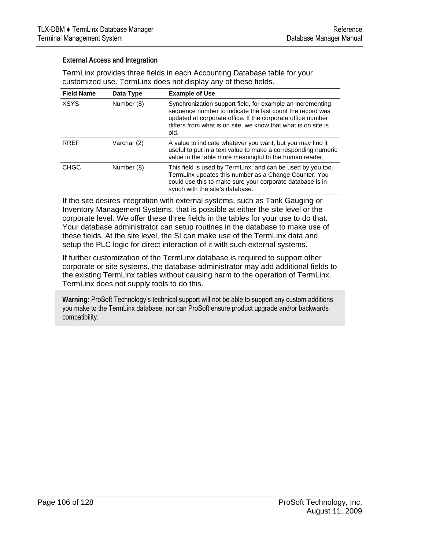#### **External Access and Integration**

TermLinx provides three fields in each Accounting Database table for your customized use. TermLinx does not display any of these fields.

| <b>Field Name</b> | Data Type   | <b>Example of Use</b>                                                                                                                                                                                                                                           |
|-------------------|-------------|-----------------------------------------------------------------------------------------------------------------------------------------------------------------------------------------------------------------------------------------------------------------|
| <b>XSYS</b>       | Number (8)  | Synchronization support field, for example an incrementing<br>sequence number to indicate the last count the record was<br>updated at corporate office. If the corporate office number<br>differs from what is on site, we know that what is on site is<br>old. |
| <b>RRFF</b>       | Varchar (2) | A value to indicate whatever you want, but you may find it<br>useful to put in a text value to make a corresponding numeric<br>value in the table more meaningful to the human reader.                                                                          |
| <b>CHGC</b>       | Number (8)  | This field is used by TermLinx, and can be used by you too.<br>TermLinx updates this number as a Change Counter. You<br>could use this to make sure your corporate database is in-<br>synch with the site's database.                                           |

If the site desires integration with external systems, such as Tank Gauging or Inventory Management Systems, that is possible at either the site level or the corporate level. We offer these three fields in the tables for your use to do that. Your database administrator can setup routines in the database to make use of these fields. At the site level, the SI can make use of the TermLinx data and setup the PLC logic for direct interaction of it with such external systems.

If further customization of the TermLinx database is required to support other corporate or site systems, the database administrator may add additional fields to the existing TermLinx tables without causing harm to the operation of TermLinx. TermLinx does not supply tools to do this.

**Warning:** ProSoft Technology's technical support will not be able to support any custom additions you make to the TermLinx database, nor can ProSoft ensure product upgrade and/or backwards compatibility.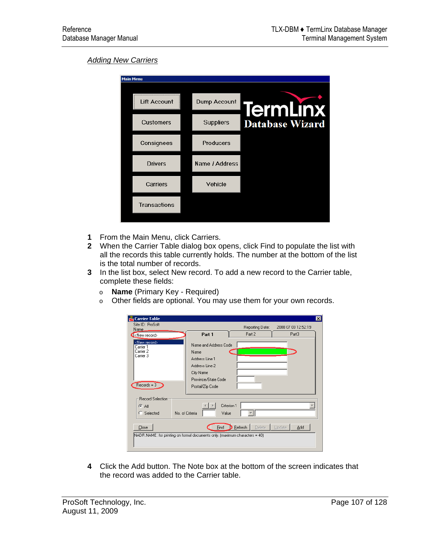#### *Adding New Carriers*

| <b>Main Menu</b> |                  |                        |  |  |  |
|------------------|------------------|------------------------|--|--|--|
| Lift Account     | Dump Account     | <b>TermLinx</b>        |  |  |  |
| <b>Customers</b> | <b>Suppliers</b> | <b>Database Wizard</b> |  |  |  |
| Consignees       | <b>Producers</b> |                        |  |  |  |
| <b>Drivers</b>   | Name / Address   |                        |  |  |  |
| Carriers         | Vehicle          |                        |  |  |  |
| Transactions     |                  |                        |  |  |  |
|                  |                  |                        |  |  |  |

- **1** From the Main Menu, click Carriers.
- **2** When the Carrier Table dialog box opens, click Find to populate the list with all the records this table currently holds. The number at the bottom of the list is the total number of records.
- **3** In the list box, select New record. To add a new record to the Carrier table, complete these fields:
	- o **Name** (Primary Key Required)
	- o Other fields are optional. You may use them for your own records.

| Garrier Table                                                                                                                       |                                                                                                 |                       |                     | $\vert x \vert$ |  |  |
|-------------------------------------------------------------------------------------------------------------------------------------|-------------------------------------------------------------------------------------------------|-----------------------|---------------------|-----------------|--|--|
| Site ID: ProSoft<br>Name,                                                                                                           |                                                                                                 | Reporting Date:       | 2008 07 03 12:52:19 |                 |  |  |
| <new record=""></new>                                                                                                               | Part 1                                                                                          | Part 2                | Part3               |                 |  |  |
| <new record=""><br/>Carrier 1<br/>Carrier 2<br/>Carrier 3<br/><math>Recodes = 3</math></new>                                        | Name<br>Address Line 1<br>Address Line 2<br>City Name<br>Province/State Code<br>Postal/Zip Code | Name and Address Code |                     |                 |  |  |
| <b>Record Selection</b>                                                                                                             |                                                                                                 |                       |                     |                 |  |  |
| $G$ All                                                                                                                             | Criterion 1                                                                                     |                       |                     |                 |  |  |
| C.<br>Selected                                                                                                                      | No. of Criteria<br>Value                                                                        |                       |                     |                 |  |  |
| Refresh<br>Eind<br>Delete<br>Update<br>Add<br>Close<br>[NADR.NAME: for printing on formal documents only. [maximum characters = 40] |                                                                                                 |                       |                     |                 |  |  |

**4** Click the Add button. The Note box at the bottom of the screen indicates that the record was added to the Carrier table.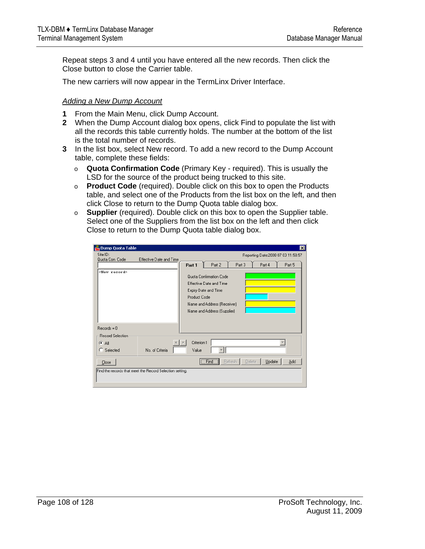Repeat steps 3 and 4 until you have entered all the new records. Then click the Close button to close the Carrier table.

The new carriers will now appear in the TermLinx Driver Interface.

#### *Adding a New Dump Account*

- **1** From the Main Menu, click Dump Account.
- **2** When the Dump Account dialog box opens, click Find to populate the list with all the records this table currently holds. The number at the bottom of the list is the total number of records.
- **3** In the list box, select New record. To add a new record to the Dump Account table, complete these fields:
	- o **Quota Confirmation Code** (Primary Key required). This is usually the LSD for the source of the product being trucked to this site.
	- o **Product Code** (required). Double click on this box to open the Products table, and select one of the Products from the list box on the left, and then click Close to return to the Dump Quota table dialog box.
	- o **Supplier** (required). Double click on this box to open the Supplier table. Select one of the Suppliers from the list box on the left and then click Close to return to the Dump Quota table dialog box.

| Dump Quota Table                                              |                                                                                                                                                                 |                      |        |                          |        | $\mathbf{x}$                        |
|---------------------------------------------------------------|-----------------------------------------------------------------------------------------------------------------------------------------------------------------|----------------------|--------|--------------------------|--------|-------------------------------------|
| Site ID:<br>Quota Con, Code                                   | Effective Date and Time                                                                                                                                         |                      |        |                          |        | Reporting Date: 2008 07 03 11:58:57 |
|                                                               |                                                                                                                                                                 | Part 1               | Part 2 | Part 3                   | Part 4 | Part 5                              |
| <new record=""><br/><math>Re\n{\text{cords}} = 0</math></new> | Quota Confirmation Code<br>Effective Date and Time<br>Expiry Date and Time<br><b>Product Code</b><br>Name and Address (Receiver)<br>Name and Address (Supplier) |                      |        |                          |        |                                     |
| Record Selection                                              |                                                                                                                                                                 |                      |        |                          |        |                                     |
| $G$ All<br>C Selected                                         | No. of Criteria                                                                                                                                                 | Criterion 1<br>Value |        |                          |        |                                     |
| Close                                                         |                                                                                                                                                                 |                      | Find   | <b>Refresh</b><br>Delete | Update | Add                                 |
|                                                               | Find the records that meet the Record Selection setting.                                                                                                        |                      |        |                          |        |                                     |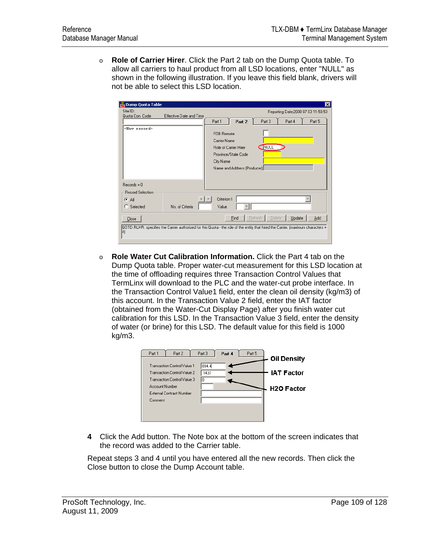o **Role of Carrier Hirer**. Click the Part 2 tab on the Dump Quota table. To allow all carriers to haul product from all LSD locations, enter "NULL" as shown in the following illustration. If you leave this field blank, drivers will not be able to select this LSD location.

| Dump Quota Table                                   |                                                                                                                                   |                                         |                                                                             |                   |        | $\vert x \vert$                     |
|----------------------------------------------------|-----------------------------------------------------------------------------------------------------------------------------------|-----------------------------------------|-----------------------------------------------------------------------------|-------------------|--------|-------------------------------------|
| Site ID:<br>Quota Con, Code                        | Effective Date and Time                                                                                                           |                                         |                                                                             |                   |        | Reporting Date: 2008 07 03 11:59:53 |
|                                                    |                                                                                                                                   | Part 1                                  | Part 2                                                                      | Part 3            | Part 4 | Part 5                              |
| <new record=""><br/><math>Recodes = 0</math></new> |                                                                                                                                   | FOB Remote<br>Carrier Name<br>City Name | Role of Carrier Hirer<br>Province/State Code<br>Name and Address (Producer) | <b>I</b> NULL     |        |                                     |
| Record Selection:                                  |                                                                                                                                   |                                         |                                                                             |                   |        |                                     |
| ⊕ All<br>C Selected                                | No. of Criteria                                                                                                                   | Criterion 1<br>Value                    |                                                                             |                   |        |                                     |
| Close                                              |                                                                                                                                   |                                         | Find                                                                        | Delete<br>Refresh | Update | Add                                 |
| 4)                                                 | QOTD.RLHR: specifies the Carrier authorized for this Quota - the role of the entity that hired the Carrier. (maximum characters = |                                         |                                                                             |                   |        |                                     |

o **Role Water Cut Calibration Information.** Click the Part 4 tab on the Dump Quota table. Proper water-cut measurement for this LSD location at the time of offloading requires three Transaction Control Values that TermLinx will download to the PLC and the water-cut probe interface. In the Transaction Control Value1 field, enter the clean oil density (kg/m3) of this account. In the Transaction Value 2 field, enter the IAT factor (obtained from the Water-Cut Display Page) after you finish water cut calibration for this LSD. In the Transaction Value 3 field, enter the density of water (or brine) for this LSD. The default value for this field is 1000 kg/m3.



**4** Click the Add button. The Note box at the bottom of the screen indicates that the record was added to the Carrier table.

Repeat steps 3 and 4 until you have entered all the new records. Then click the Close button to close the Dump Account table.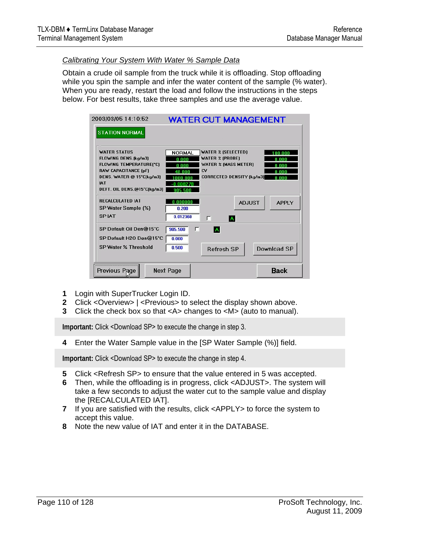#### *Calibrating Your System With Water % Sample Data*

Obtain a crude oil sample from the truck while it is offloading. Stop offloading while you spin the sample and infer the water content of the sample (% water). When you are ready, restart the load and follow the instructions in the steps below. For best results, take three samples and use the average value.

| 2003/03/05 14:10:52                                                                                                                                                             |                                             | <b>WATER CUT MANAGEMENT</b>                                                                                           |               |                          |
|---------------------------------------------------------------------------------------------------------------------------------------------------------------------------------|---------------------------------------------|-----------------------------------------------------------------------------------------------------------------------|---------------|--------------------------|
| <b>STATION NORMAL</b>                                                                                                                                                           |                                             |                                                                                                                       |               |                          |
| <b>WATER STATUS</b><br>FLOWING DENS.(kg/m3)<br>FLOWING TEMPERATURE(*C)<br><b>RAW CAPACITANCE (pF)</b><br>DENS. WATER @ 15*C(kg/m3)<br><b>IAT</b><br>DEFT. OIL DENS.@15*C(kg/m3) | <b>NORMAL</b><br>n nnn<br>48 NNN<br>905 500 | <b>WATER % (SELECTED)</b><br><b>WATER % (PROBE)</b><br>WATER % (MASS METER)<br>CV<br><b>CORRECTED DENSITY (kg/m3)</b> |               | nn nnn<br>n nnr<br>n nnr |
| <b>RECALCULATED IAT</b><br>SP Water Sample (%)<br><b>SPIAT</b>                                                                                                                  | n nnnnnn<br>0.200<br>0.012360               | г<br>IA.                                                                                                              | <b>ADJUST</b> | <b>APPLY</b>             |
| SP Default Oil Den@15*C<br>SP Default H2O Den@15*C<br>SP Water % Threshold                                                                                                      | 905.500<br>┍<br>0.000<br>0.500              | A<br><b>Refresh SP</b>                                                                                                |               | Download SP              |
| Previous Page                                                                                                                                                                   | Next Page                                   |                                                                                                                       |               | <b>Back</b>              |

- **1** Login with SuperTrucker Login ID.
- **2** Click <Overview> | <Previous> to select the display shown above.
- **3** Click the check box so that <A> changes to <M> (auto to manual).

**Important:** Click <Download SP> to execute the change in step 3.

**4** Enter the Water Sample value in the [SP Water Sample (%)] field.

**Important:** Click <Download SP> to execute the change in step 4.

- **5** Click <Refresh SP> to ensure that the value entered in 5 was accepted.
- **6** Then, while the offloading is in progress, click <ADJUST>. The system will take a few seconds to adjust the water cut to the sample value and display the [RECALCULATED IAT].
- **7** If you are satisfied with the results, click <APPLY> to force the system to accept this value.
- **8** Note the new value of IAT and enter it in the DATABASE.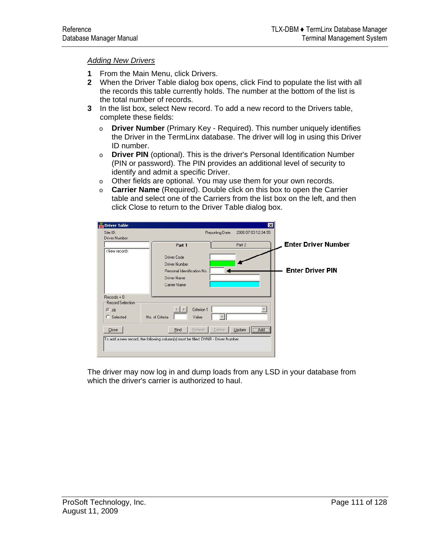#### *Adding New Drivers*

- **1** From the Main Menu, click Drivers.
- **2** When the Driver Table dialog box opens, click Find to populate the list with all the records this table currently holds. The number at the bottom of the list is the total number of records.
- **3** In the list box, select New record. To add a new record to the Drivers table, complete these fields:
	- o **Driver Number** (Primary Key Required). This number uniquely identifies the Driver in the TermLinx database. The driver will log in using this Driver ID number.
	- o **Driver PIN** (optional). This is the driver's Personal Identification Number (PIN or password). The PIN provides an additional level of security to identify and admit a specific Driver.
	- o Other fields are optional. You may use them for your own records.
	- o **Carrier Name** (Required). Double click on this box to open the Carrier table and select one of the Carriers from the list box on the left, and then click Close to return to the Driver Table dialog box.



The driver may now log in and dump loads from any LSD in your database from which the driver's carrier is authorized to haul.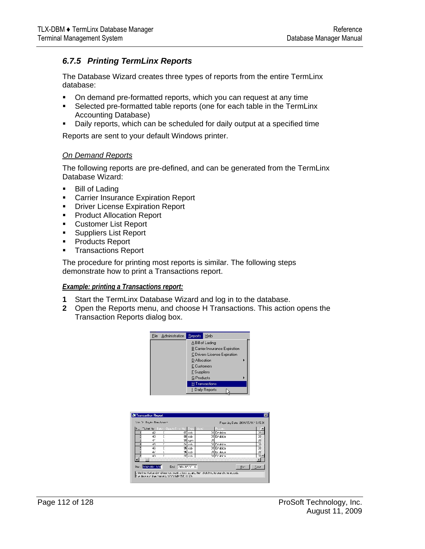### *6.7.5 Printing TermLinx Reports*

The Database Wizard creates three types of reports from the entire TermLinx database:

- On demand pre-formatted reports, which you can request at any time
- Selected pre-formatted table reports (one for each table in the TermLinx Accounting Database)
- Daily reports, which can be scheduled for daily output at a specified time

Reports are sent to your default Windows printer.

#### *On Demand Reports*

The following reports are pre-defined, and can be generated from the TermLinx Database Wizard:

- **Bill of Lading**
- **EXPLO CARRIGHT CARRIGHT CARRIGHT CONTRET**
- **Driver License Expiration Report**
- **Product Allocation Report**
- **Customer List Report**
- **Suppliers List Report**
- Products Report
- **Transactions Report**

The procedure for printing most reports is similar. The following steps demonstrate how to print a Transactions report.

#### *Example: printing a Transactions report:*

- **1** Start the TermLinx Database Wizard and log in to the database.
- **2** Open the Reports menu, and choose H Transactions. This action opens the Transaction Reports dialog box.



| No. Tisket No. | Bater   Quasto Tiro |               | huus.       |    |
|----------------|---------------------|---------------|-------------|----|
| 42             |                     | $07$ ccb      | 31 Emulsion | 20 |
| 43             |                     | 88 cob        | 01 Emulaion | 20 |
| P              |                     | <b>33 gan</b> |             | 20 |
| 45             |                     | 34 cch        | 11 Frukion  | Σñ |
| 43             |                     | 95 cob        | 01 Emulaion | 30 |
| $d \cdot i$    |                     | Si ut         | Ji ka datar | 20 |
| 47             |                     | $\pi$ cch     | 11 Frukion  | 茄  |
|                |                     |               |             |    |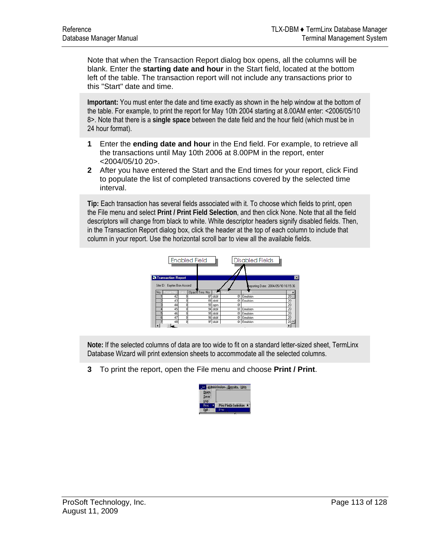Note that when the Transaction Report dialog box opens, all the columns will be blank. Enter the **starting date and hour** in the Start field, located at the bottom left of the table. The transaction report will not include any transactions prior to this "Start" date and time.

**Important:** You must enter the date and time exactly as shown in the help window at the bottom of the table. For example, to print the report for May 10th 2004 starting at 8.00AM enter: <2006/05/10 8>. Note that there is a **single space** between the date field and the hour field (which must be in 24 hour format).

- **1** Enter the **ending date and hour** in the End field. For example, to retrieve all the transactions until May 10th 2006 at 8.00PM in the report, enter <2004/05/10 20>.
- **2** After you have entered the Start and the End times for your report, click Find to populate the list of completed transactions covered by the selected time interval.

**Tip:** Each transaction has several fields associated with it. To choose which fields to print, open the File menu and select **Print / Print Field Selection**, and then click None. Note that all the field descriptors will change from black to white. White descriptor headers signify disabled fields. Then, in the Transaction Report dialog box, click the header at the top of each column to include that column in your report. Use the horizontal scroll bar to view all the available fields.



**Note:** If the selected columns of data are too wide to fit on a standard letter-sized sheet, TermLinx Database Wizard will print extension sheets to accommodate all the selected columns.

**3** To print the report, open the File menu and choose **Print / Print**.

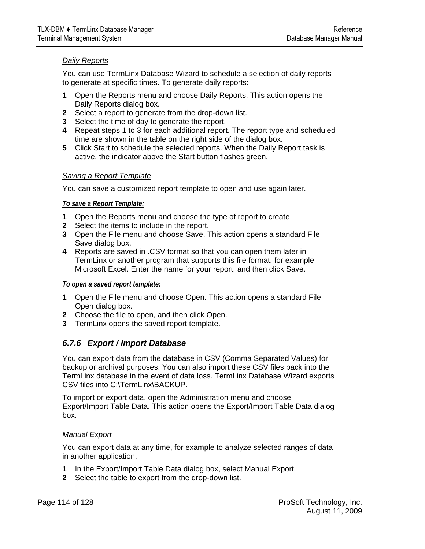### *Daily Reports*

You can use TermLinx Database Wizard to schedule a selection of daily reports to generate at specific times. To generate daily reports:

- **1** Open the Reports menu and choose Daily Reports. This action opens the Daily Reports dialog box.
- **2** Select a report to generate from the drop-down list.
- **3** Select the time of day to generate the report.
- **4** Repeat steps 1 to 3 for each additional report. The report type and scheduled time are shown in the table on the right side of the dialog box.
- **5** Click Start to schedule the selected reports. When the Daily Report task is active, the indicator above the Start button flashes green.

#### *Saving a Report Template*

You can save a customized report template to open and use again later.

### *To save a Report Template:*

- **1** Open the Reports menu and choose the type of report to create
- **2** Select the items to include in the report.
- **3** Open the File menu and choose Save. This action opens a standard File Save dialog box.
- **4** Reports are saved in .CSV format so that you can open them later in TermLinx or another program that supports this file format, for example Microsoft Excel. Enter the name for your report, and then click Save.

#### *To open a saved report template:*

- **1** Open the File menu and choose Open. This action opens a standard File Open dialog box.
- **2** Choose the file to open, and then click Open.
- **3** TermLinx opens the saved report template.

### *6.7.6 Export / Import Database*

You can export data from the database in CSV (Comma Separated Values) for backup or archival purposes. You can also import these CSV files back into the TermLinx database in the event of data loss. TermLinx Database Wizard exports CSV files into C:\TermLinx\BACKUP.

To import or export data, open the Administration menu and choose Export/Import Table Data. This action opens the Export/Import Table Data dialog box.

### *Manual Export*

You can export data at any time, for example to analyze selected ranges of data in another application.

- **1** In the Export/Import Table Data dialog box, select Manual Export.
- **2** Select the table to export from the drop-down list.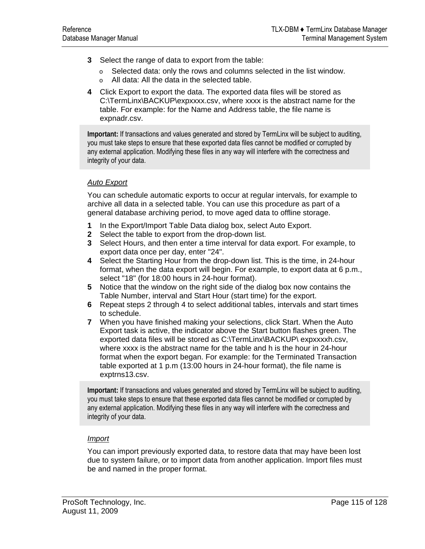- **3** Select the range of data to export from the table:
	- $\circ$  Selected data: only the rows and columns selected in the list window.
	- o All data: All the data in the selected table.
- **4** Click Export to export the data. The exported data files will be stored as C:\TermLinx\BACKUP\expxxxx.csv, where xxxx is the abstract name for the table. For example: for the Name and Address table, the file name is expnadr.csv.

**Important:** If transactions and values generated and stored by TermLinx will be subject to auditing, you must take steps to ensure that these exported data files cannot be modified or corrupted by any external application. Modifying these files in any way will interfere with the correctness and integrity of your data.

#### *Auto Export*

You can schedule automatic exports to occur at regular intervals, for example to archive all data in a selected table. You can use this procedure as part of a general database archiving period, to move aged data to offline storage.

- **1** In the Export/Import Table Data dialog box, select Auto Export.
- **2** Select the table to export from the drop-down list.
- **3** Select Hours, and then enter a time interval for data export. For example, to export data once per day, enter "24".
- **4** Select the Starting Hour from the drop-down list. This is the time, in 24-hour format, when the data export will begin. For example, to export data at 6 p.m., select "18" (for 18:00 hours in 24-hour format).
- **5** Notice that the window on the right side of the dialog box now contains the Table Number, interval and Start Hour (start time) for the export.
- **6** Repeat steps 2 through 4 to select additional tables, intervals and start times to schedule.
- **7** When you have finished making your selections, click Start. When the Auto Export task is active, the indicator above the Start button flashes green. The exported data files will be stored as C:\TermLinx\BACKUP\ expxxxxh.csv, where xxxx is the abstract name for the table and h is the hour in 24-hour format when the export began. For example: for the Terminated Transaction table exported at 1 p.m (13:00 hours in 24-hour format), the file name is exptrns13.csv.

**Important:** If transactions and values generated and stored by TermLinx will be subject to auditing, you must take steps to ensure that these exported data files cannot be modified or corrupted by any external application. Modifying these files in any way will interfere with the correctness and integrity of your data.

#### *Import*

You can import previously exported data, to restore data that may have been lost due to system failure, or to import data from another application. Import files must be and named in the proper format.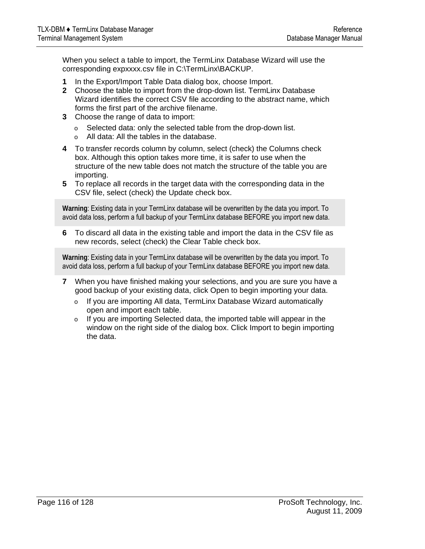When you select a table to import, the TermLinx Database Wizard will use the corresponding expxxxx.csv file in C:\TermLinx\BACKUP.

- **1** In the Export/Import Table Data dialog box, choose Import.
- **2** Choose the table to import from the drop-down list. TermLinx Database Wizard identifies the correct CSV file according to the abstract name, which forms the first part of the archive filename.
- **3** Choose the range of data to import:
	- o Selected data: only the selected table from the drop-down list.
	- o All data: All the tables in the database.
- **4** To transfer records column by column, select (check) the Columns check box. Although this option takes more time, it is safer to use when the structure of the new table does not match the structure of the table you are importing.
- **5** To replace all records in the target data with the corresponding data in the CSV file, select (check) the Update check box.

**Warning**: Existing data in your TermLinx database will be overwritten by the data you import. To avoid data loss, perform a full backup of your TermLinx database BEFORE you import new data.

**6** To discard all data in the existing table and import the data in the CSV file as new records, select (check) the Clear Table check box.

**Warning**: Existing data in your TermLinx database will be overwritten by the data you import. To avoid data loss, perform a full backup of your TermLinx database BEFORE you import new data.

- **7** When you have finished making your selections, and you are sure you have a good backup of your existing data, click Open to begin importing your data.
	- o If you are importing All data, TermLinx Database Wizard automatically open and import each table.
	- o If you are importing Selected data, the imported table will appear in the window on the right side of the dialog box. Click Import to begin importing the data.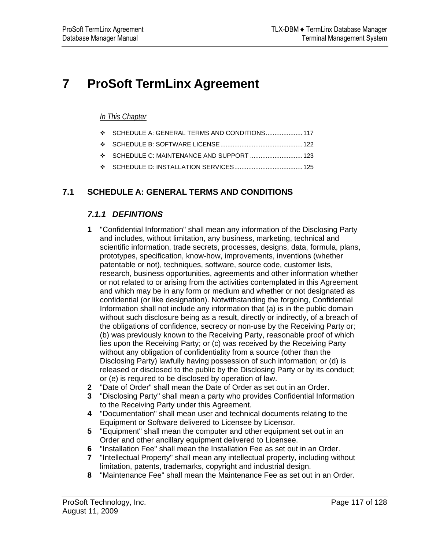# <span id="page-116-0"></span>**7 ProSoft TermLinx Agreement**

### *In This Chapter*

|  |  | $\div$ SCHEDULE A: GENERAL TERMS AND CONDITIONS  117 |  |
|--|--|------------------------------------------------------|--|
|--|--|------------------------------------------------------|--|

- [SCHEDULE B: SOFTWARE LICENSE](#page-121-0)...............................................[122](#page-121-0)
- [SCHEDULE C: MAINTENANCE AND SUPPORT](#page-122-0) ..............................[123](#page-122-0)
- [SCHEDULE D: INSTALLATION SERVICES](#page-124-0).......................................[125](#page-124-0)

### **7.1 SCHEDULE A: GENERAL TERMS AND CONDITIONS**

### *7.1.1 DEFINTIONS*

- **1** "Confidential Information" shall mean any information of the Disclosing Party and includes, without limitation, any business, marketing, technical and scientific information, trade secrets, processes, designs, data, formula, plans, prototypes, specification, know-how, improvements, inventions (whether patentable or not), techniques, software, source code, customer lists, research, business opportunities, agreements and other information whether or not related to or arising from the activities contemplated in this Agreement and which may be in any form or medium and whether or not designated as confidential (or like designation). Notwithstanding the forgoing, Confidential Information shall not include any information that (a) is in the public domain without such disclosure being as a result, directly or indirectly, of a breach of the obligations of confidence, secrecy or non-use by the Receiving Party or; (b) was previously known to the Receiving Party, reasonable proof of which lies upon the Receiving Party; or (c) was received by the Receiving Party without any obligation of confidentiality from a source (other than the Disclosing Party) lawfully having possession of such information; or (d) is released or disclosed to the public by the Disclosing Party or by its conduct; or (e) is required to be disclosed by operation of law.
- **2** "Date of Order" shall mean the Date of Order as set out in an Order.
- **3** "Disclosing Party" shall mean a party who provides Confidential Information to the Receiving Party under this Agreement.
- **4** "Documentation" shall mean user and technical documents relating to the Equipment or Software delivered to Licensee by Licensor.
- **5** "Equipment" shall mean the computer and other equipment set out in an Order and other ancillary equipment delivered to Licensee.
- **6** "Installation Fee" shall mean the Installation Fee as set out in an Order.
- **7** "Intellectual Property" shall mean any intellectual property, including without limitation, patents, trademarks, copyright and industrial design.
- **8** "Maintenance Fee" shall mean the Maintenance Fee as set out in an Order.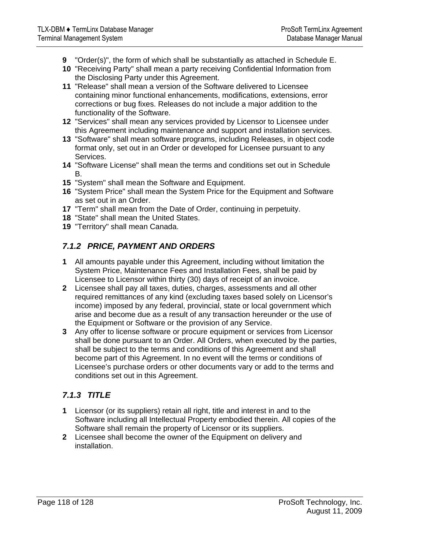- **9** "Order(s)", the form of which shall be substantially as attached in Schedule E.
- **10** "Receiving Party" shall mean a party receiving Confidential Information from the Disclosing Party under this Agreement.
- **11** "Release" shall mean a version of the Software delivered to Licensee containing minor functional enhancements, modifications, extensions, error corrections or bug fixes. Releases do not include a major addition to the functionality of the Software.
- **12** "Services" shall mean any services provided by Licensor to Licensee under this Agreement including maintenance and support and installation services.
- **13** "Software" shall mean software programs, including Releases, in object code format only, set out in an Order or developed for Licensee pursuant to any Services.
- **14** "Software License" shall mean the terms and conditions set out in Schedule B.
- **15** "System" shall mean the Software and Equipment.
- **16** "System Price" shall mean the System Price for the Equipment and Software as set out in an Order.
- **17** "Term" shall mean from the Date of Order, continuing in perpetuity.
- **18** "State" shall mean the United States.
- **19** "Territory" shall mean Canada.

### *7.1.2 PRICE, PAYMENT AND ORDERS*

- **1** All amounts payable under this Agreement, including without limitation the System Price, Maintenance Fees and Installation Fees, shall be paid by Licensee to Licensor within thirty (30) days of receipt of an invoice.
- **2** Licensee shall pay all taxes, duties, charges, assessments and all other required remittances of any kind (excluding taxes based solely on Licensor's income) imposed by any federal, provincial, state or local government which arise and become due as a result of any transaction hereunder or the use of the Equipment or Software or the provision of any Service.
- **3** Any offer to license software or procure equipment or services from Licensor shall be done pursuant to an Order. All Orders, when executed by the parties, shall be subject to the terms and conditions of this Agreement and shall become part of this Agreement. In no event will the terms or conditions of Licensee's purchase orders or other documents vary or add to the terms and conditions set out in this Agreement.

### *7.1.3 TITLE*

- **1** Licensor (or its suppliers) retain all right, title and interest in and to the Software including all Intellectual Property embodied therein. All copies of the Software shall remain the property of Licensor or its suppliers.
- **2** Licensee shall become the owner of the Equipment on delivery and installation.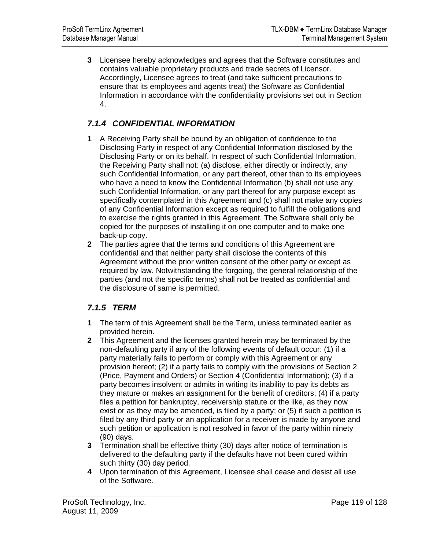**3** Licensee hereby acknowledges and agrees that the Software constitutes and contains valuable proprietary products and trade secrets of Licensor. Accordingly, Licensee agrees to treat (and take sufficient precautions to ensure that its employees and agents treat) the Software as Confidential Information in accordance with the confidentiality provisions set out in Section 4.

## *7.1.4 CONFIDENTIAL INFORMATION*

- **1** A Receiving Party shall be bound by an obligation of confidence to the Disclosing Party in respect of any Confidential Information disclosed by the Disclosing Party or on its behalf. In respect of such Confidential Information, the Receiving Party shall not: (a) disclose, either directly or indirectly, any such Confidential Information, or any part thereof, other than to its employees who have a need to know the Confidential Information (b) shall not use any such Confidential Information, or any part thereof for any purpose except as specifically contemplated in this Agreement and (c) shall not make any copies of any Confidential Information except as required to fulfill the obligations and to exercise the rights granted in this Agreement. The Software shall only be copied for the purposes of installing it on one computer and to make one back-up copy.
- **2** The parties agree that the terms and conditions of this Agreement are confidential and that neither party shall disclose the contents of this Agreement without the prior written consent of the other party or except as required by law. Notwithstanding the forgoing, the general relationship of the parties (and not the specific terms) shall not be treated as confidential and the disclosure of same is permitted.

### *7.1.5 TERM*

- **1** The term of this Agreement shall be the Term, unless terminated earlier as provided herein.
- **2** This Agreement and the licenses granted herein may be terminated by the non-defaulting party if any of the following events of default occur: (1) if a party materially fails to perform or comply with this Agreement or any provision hereof; (2) if a party fails to comply with the provisions of Section 2 (Price, Payment and Orders) or Section 4 (Confidential Information); (3) if a party becomes insolvent or admits in writing its inability to pay its debts as they mature or makes an assignment for the benefit of creditors; (4) if a party files a petition for bankruptcy, receivership statute or the like, as they now exist or as they may be amended, is filed by a party; or (5) if such a petition is filed by any third party or an application for a receiver is made by anyone and such petition or application is not resolved in favor of the party within ninety (90) days.
- **3** Termination shall be effective thirty (30) days after notice of termination is delivered to the defaulting party if the defaults have not been cured within such thirty (30) day period.
- **4** Upon termination of this Agreement, Licensee shall cease and desist all use of the Software.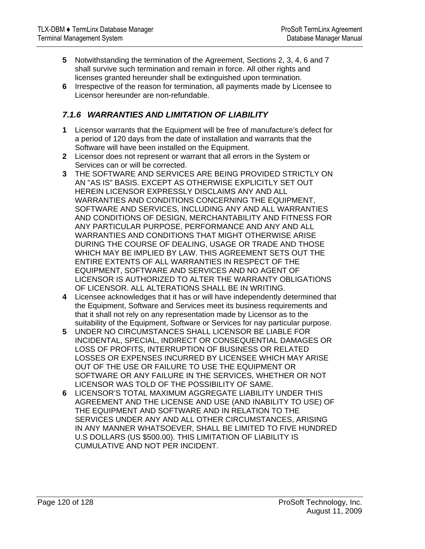- **5** Notwithstanding the termination of the Agreement, Sections 2, 3, 4, 6 and 7 shall survive such termination and remain in force. All other rights and licenses granted hereunder shall be extinguished upon termination.
- **6** Irrespective of the reason for termination, all payments made by Licensee to Licensor hereunder are non-refundable.

### *7.1.6 WARRANTIES AND LIMITATION OF LIABILITY*

- **1** Licensor warrants that the Equipment will be free of manufacture's defect for a period of 120 days from the date of installation and warrants that the Software will have been installed on the Equipment.
- **2** Licensor does not represent or warrant that all errors in the System or Services can or will be corrected.
- **3** THE SOFTWARE AND SERVICES ARE BEING PROVIDED STRICTLY ON AN "AS IS" BASIS. EXCEPT AS OTHERWISE EXPLICITLY SET OUT HEREIN LICENSOR EXPRESSLY DISCLAIMS ANY AND ALL WARRANTIES AND CONDITIONS CONCERNING THE EQUIPMENT, SOFTWARE AND SERVICES, INCLUDING ANY AND ALL WARRANTIES AND CONDITIONS OF DESIGN, MERCHANTABILITY AND FITNESS FOR ANY PARTICULAR PURPOSE, PERFORMANCE AND ANY AND ALL WARRANTIES AND CONDITIONS THAT MIGHT OTHERWISE ARISE DURING THE COURSE OF DEALING, USAGE OR TRADE AND THOSE WHICH MAY BE IMPLIED BY LAW. THIS AGREEMENT SETS OUT THE ENTIRE EXTENTS OF ALL WARRANTIES IN RESPECT OF THE EQUIPMENT, SOFTWARE AND SERVICES AND NO AGENT OF LICENSOR IS AUTHORIZED TO ALTER THE WARRANTY OBLIGATIONS OF LICENSOR. ALL ALTERATIONS SHALL BE IN WRITING.
- **4** Licensee acknowledges that it has or will have independently determined that the Equipment, Software and Services meet its business requirements and that it shall not rely on any representation made by Licensor as to the suitability of the Equipment, Software or Services for nay particular purpose.
- **5** UNDER NO CIRCUMSTANCES SHALL LICENSOR BE LIABLE FOR INCIDENTAL, SPECIAL, INDIRECT OR CONSEQUENTIAL DAMAGES OR LOSS OF PROFITS, INTERRUPTION OF BUSINESS OR RELATED LOSSES OR EXPENSES INCURRED BY LICENSEE WHICH MAY ARISE OUT OF THE USE OR FAILURE TO USE THE EQUIPMENT OR SOFTWARE OR ANY FAILURE IN THE SERVICES, WHETHER OR NOT LICENSOR WAS TOLD OF THE POSSIBILITY OF SAME.
- **6** LICENSOR'S TOTAL MAXIMUM AGGREGATE LIABILITY UNDER THIS AGREEMENT AND THE LICENSE AND USE (AND INABILITY TO USE) OF THE EQUIPMENT AND SOFTWARE AND IN RELATION TO THE SERVICES UNDER ANY AND ALL OTHER CIRCUMSTANCES, ARISING IN ANY MANNER WHATSOEVER, SHALL BE LIMITED TO FIVE HUNDRED U.S DOLLARS (US \$500.00). THIS LIMITATION OF LIABILITY IS CUMULATIVE AND NOT PER INCIDENT.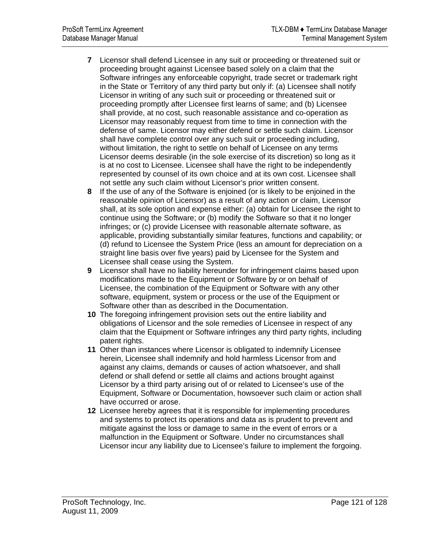- **7** Licensor shall defend Licensee in any suit or proceeding or threatened suit or proceeding brought against Licensee based solely on a claim that the Software infringes any enforceable copyright, trade secret or trademark right in the State or Territory of any third party but only if: (a) Licensee shall notify Licensor in writing of any such suit or proceeding or threatened suit or proceeding promptly after Licensee first learns of same; and (b) Licensee shall provide, at no cost, such reasonable assistance and co-operation as Licensor may reasonably request from time to time in connection with the defense of same. Licensor may either defend or settle such claim. Licensor shall have complete control over any such suit or proceeding including, without limitation, the right to settle on behalf of Licensee on any terms Licensor deems desirable (in the sole exercise of its discretion) so long as it is at no cost to Licensee. Licensee shall have the right to be independently represented by counsel of its own choice and at its own cost. Licensee shall not settle any such claim without Licensor's prior written consent.
- **8** If the use of any of the Software is enjoined (or is likely to be enjoined in the reasonable opinion of Licensor) as a result of any action or claim, Licensor shall, at its sole option and expense either: (a) obtain for Licensee the right to continue using the Software; or (b) modify the Software so that it no longer infringes; or (c) provide Licensee with reasonable alternate software, as applicable, providing substantially similar features, functions and capability; or (d) refund to Licensee the System Price (less an amount for depreciation on a straight line basis over five years) paid by Licensee for the System and Licensee shall cease using the System.
- **9** Licensor shall have no liability hereunder for infringement claims based upon modifications made to the Equipment or Software by or on behalf of Licensee, the combination of the Equipment or Software with any other software, equipment, system or process or the use of the Equipment or Software other than as described in the Documentation.
- **10** The foregoing infringement provision sets out the entire liability and obligations of Licensor and the sole remedies of Licensee in respect of any claim that the Equipment or Software infringes any third party rights, including patent rights.
- **11** Other than instances where Licensor is obligated to indemnify Licensee herein, Licensee shall indemnify and hold harmless Licensor from and against any claims, demands or causes of action whatsoever, and shall defend or shall defend or settle all claims and actions brought against Licensor by a third party arising out of or related to Licensee's use of the Equipment, Software or Documentation, howsoever such claim or action shall have occurred or arose.
- **12** Licensee hereby agrees that it is responsible for implementing procedures and systems to protect its operations and data as is prudent to prevent and mitigate against the loss or damage to same in the event of errors or a malfunction in the Equipment or Software. Under no circumstances shall Licensor incur any liability due to Licensee's failure to implement the forgoing.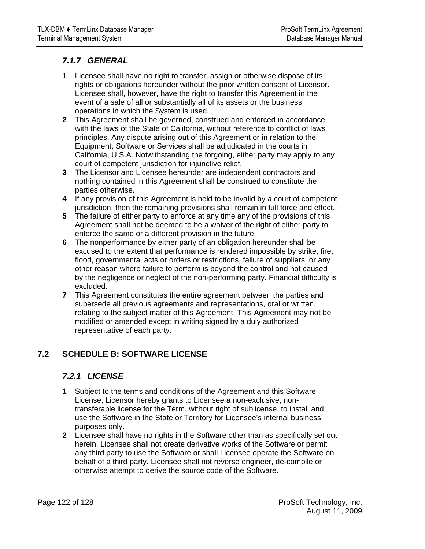### <span id="page-121-0"></span>*7.1.7 GENERAL*

- **1** Licensee shall have no right to transfer, assign or otherwise dispose of its rights or obligations hereunder without the prior written consent of Licensor. Licensee shall, however, have the right to transfer this Agreement in the event of a sale of all or substantially all of its assets or the business operations in which the System is used.
- **2** This Agreement shall be governed, construed and enforced in accordance with the laws of the State of California, without reference to conflict of laws principles. Any dispute arising out of this Agreement or in relation to the Equipment, Software or Services shall be adjudicated in the courts in California, U.S.A. Notwithstanding the forgoing, either party may apply to any court of competent jurisdiction for injunctive relief.
- **3** The Licensor and Licensee hereunder are independent contractors and nothing contained in this Agreement shall be construed to constitute the parties otherwise.
- **4** If any provision of this Agreement is held to be invalid by a court of competent jurisdiction, then the remaining provisions shall remain in full force and effect.
- **5** The failure of either party to enforce at any time any of the provisions of this Agreement shall not be deemed to be a waiver of the right of either party to enforce the same or a different provision in the future.
- **6** The nonperformance by either party of an obligation hereunder shall be excused to the extent that performance is rendered impossible by strike, fire, flood, governmental acts or orders or restrictions, failure of suppliers, or any other reason where failure to perform is beyond the control and not caused by the negligence or neglect of the non-performing party. Financial difficulty is excluded.
- **7** This Agreement constitutes the entire agreement between the parties and supersede all previous agreements and representations, oral or written, relating to the subject matter of this Agreement. This Agreement may not be modified or amended except in writing signed by a duly authorized representative of each party.

### **7.2 SCHEDULE B: SOFTWARE LICENSE**

### *7.2.1 LICENSE*

- **1** Subject to the terms and conditions of the Agreement and this Software License, Licensor hereby grants to Licensee a non-exclusive, nontransferable license for the Term, without right of sublicense, to install and use the Software in the State or Territory for Licensee's internal business purposes only.
- **2** Licensee shall have no rights in the Software other than as specifically set out herein. Licensee shall not create derivative works of the Software or permit any third party to use the Software or shall Licensee operate the Software on behalf of a third party. Licensee shall not reverse engineer, de-compile or otherwise attempt to derive the source code of the Software.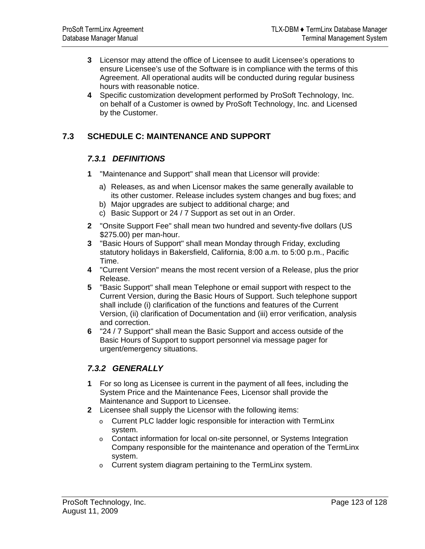- <span id="page-122-0"></span>**3** Licensor may attend the office of Licensee to audit Licensee's operations to ensure Licensee's use of the Software is in compliance with the terms of this Agreement. All operational audits will be conducted during regular business hours with reasonable notice.
- **4** Specific customization development performed by ProSoft Technology, Inc. on behalf of a Customer is owned by ProSoft Technology, Inc. and Licensed by the Customer.

### **7.3 SCHEDULE C: MAINTENANCE AND SUPPORT**

### *7.3.1 DEFINITIONS*

- **1** "Maintenance and Support" shall mean that Licensor will provide:
	- a) Releases, as and when Licensor makes the same generally available to its other customer. Release includes system changes and bug fixes; and
	- b) Major upgrades are subject to additional charge; and
	- c) Basic Support or 24 / 7 Support as set out in an Order.
- **2** "Onsite Support Fee" shall mean two hundred and seventy-five dollars (US \$275.00) per man-hour.
- **3** "Basic Hours of Support" shall mean Monday through Friday, excluding statutory holidays in Bakersfield, California, 8:00 a.m. to 5:00 p.m., Pacific Time.
- **4** "Current Version" means the most recent version of a Release, plus the prior Release.
- **5** "Basic Support" shall mean Telephone or email support with respect to the Current Version, during the Basic Hours of Support. Such telephone support shall include (i) clarification of the functions and features of the Current Version, (ii) clarification of Documentation and (iii) error verification, analysis and correction.
- **6** "24 / 7 Support" shall mean the Basic Support and access outside of the Basic Hours of Support to support personnel via message pager for urgent/emergency situations.

### *7.3.2 GENERALLY*

- **1** For so long as Licensee is current in the payment of all fees, including the System Price and the Maintenance Fees, Licensor shall provide the Maintenance and Support to Licensee.
- **2** Licensee shall supply the Licensor with the following items:
	- o Current PLC ladder logic responsible for interaction with TermLinx system.
	- o Contact information for local on-site personnel, or Systems Integration Company responsible for the maintenance and operation of the TermLinx system.
	- o Current system diagram pertaining to the TermLinx system.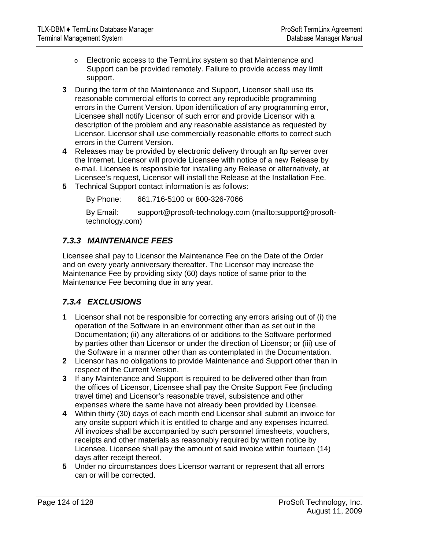- o Electronic access to the TermLinx system so that Maintenance and Support can be provided remotely. Failure to provide access may limit support.
- **3** During the term of the Maintenance and Support, Licensor shall use its reasonable commercial efforts to correct any reproducible programming errors in the Current Version. Upon identification of any programming error, Licensee shall notify Licensor of such error and provide Licensor with a description of the problem and any reasonable assistance as requested by Licensor. Licensor shall use commercially reasonable efforts to correct such errors in the Current Version.
- **4** Releases may be provided by electronic delivery through an ftp server over the Internet. Licensor will provide Licensee with notice of a new Release by e-mail. Licensee is responsible for installing any Release or alternatively, at Licensee's request, Licensor will install the Release at the Installation Fee.
- **5** Technical Support contact information is as follows:

By Phone: 661.716-5100 or 800-326-7066

By Email: support@prosoft-technology.com ([mailto:support@prosoft](mailto:support@prosoft-technology.com)[technology.com](mailto:support@prosoft-technology.com))

### *7.3.3 MAINTENANCE FEES*

Licensee shall pay to Licensor the Maintenance Fee on the Date of the Order and on every yearly anniversary thereafter. The Licensor may increase the Maintenance Fee by providing sixty (60) days notice of same prior to the Maintenance Fee becoming due in any year.

### *7.3.4 EXCLUSIONS*

- **1** Licensor shall not be responsible for correcting any errors arising out of (i) the operation of the Software in an environment other than as set out in the Documentation; (ii) any alterations of or additions to the Software performed by parties other than Licensor or under the direction of Licensor; or (iii) use of the Software in a manner other than as contemplated in the Documentation.
- **2** Licensor has no obligations to provide Maintenance and Support other than in respect of the Current Version.
- **3** If any Maintenance and Support is required to be delivered other than from the offices of Licensor, Licensee shall pay the Onsite Support Fee (including travel time) and Licensor's reasonable travel, subsistence and other expenses where the same have not already been provided by Licensee.
- **4** Within thirty (30) days of each month end Licensor shall submit an invoice for any onsite support which it is entitled to charge and any expenses incurred. All invoices shall be accompanied by such personnel timesheets, vouchers, receipts and other materials as reasonably required by written notice by Licensee. Licensee shall pay the amount of said invoice within fourteen (14) days after receipt thereof.
- **5** Under no circumstances does Licensor warrant or represent that all errors can or will be corrected.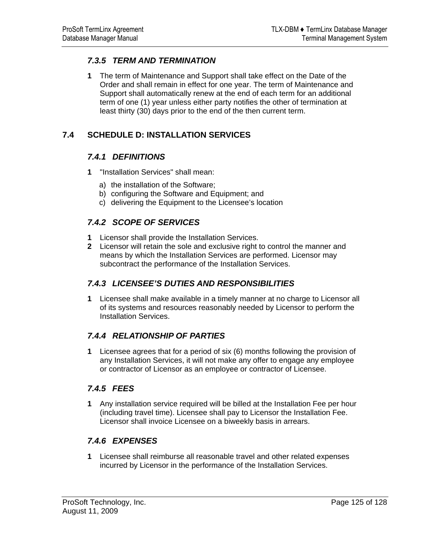### <span id="page-124-0"></span>*7.3.5 TERM AND TERMINATION*

**1** The term of Maintenance and Support shall take effect on the Date of the Order and shall remain in effect for one year. The term of Maintenance and Support shall automatically renew at the end of each term for an additional term of one (1) year unless either party notifies the other of termination at least thirty (30) days prior to the end of the then current term.

### **7.4 SCHEDULE D: INSTALLATION SERVICES**

### *7.4.1 DEFINITIONS*

- **1** "Installation Services" shall mean:
	- a) the installation of the Software;
	- b) configuring the Software and Equipment; and
	- c) delivering the Equipment to the Licensee's location

### *7.4.2 SCOPE OF SERVICES*

- **1** Licensor shall provide the Installation Services.
- **2** Licensor will retain the sole and exclusive right to control the manner and means by which the Installation Services are performed. Licensor may subcontract the performance of the Installation Services.

### *7.4.3 LICENSEE'S DUTIES AND RESPONSIBILITIES*

**1** Licensee shall make available in a timely manner at no charge to Licensor all of its systems and resources reasonably needed by Licensor to perform the Installation Services.

### *7.4.4 RELATIONSHIP OF PARTIES*

**1** Licensee agrees that for a period of six (6) months following the provision of any Installation Services, it will not make any offer to engage any employee or contractor of Licensor as an employee or contractor of Licensee.

### *7.4.5 FEES*

**1** Any installation service required will be billed at the Installation Fee per hour (including travel time). Licensee shall pay to Licensor the Installation Fee. Licensor shall invoice Licensee on a biweekly basis in arrears.

### *7.4.6 EXPENSES*

**1** Licensee shall reimburse all reasonable travel and other related expenses incurred by Licensor in the performance of the Installation Services.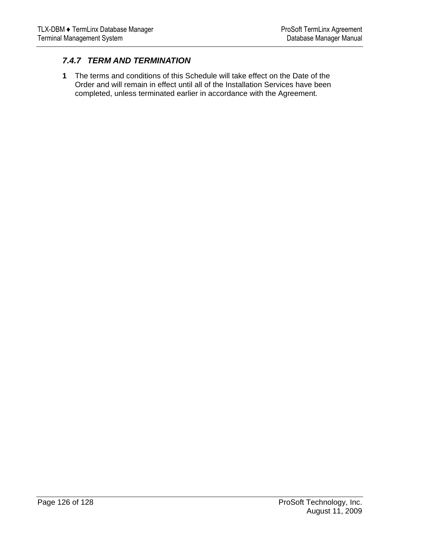### *7.4.7 TERM AND TERMINATION*

**1** The terms and conditions of this Schedule will take effect on the Date of the Order and will remain in effect until all of the Installation Services have been completed, unless terminated earlier in accordance with the Agreement.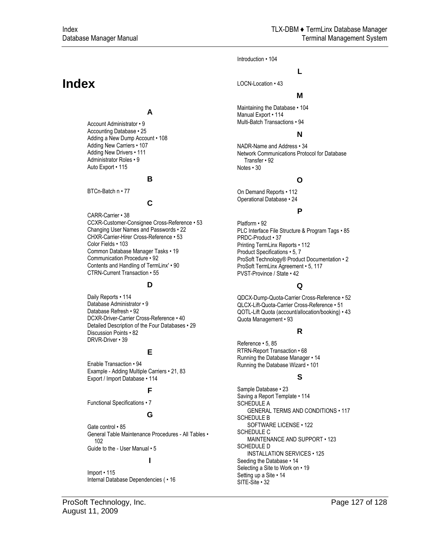Introduction • 104

LOCN-Location • 43

#### **M**

**L**

Maintaining the Database • 104 Manual Export • 114 Multi-Batch Transactions • 94

#### **N**

NADR-Name and Address • 34 Network Communications Protocol for Database Transfer • 92 Notes • 30

#### **O**

On Demand Reports • 112 Operational Database • 24

#### **P**

Platform • 92 PLC Interface File Structure & Program Tags • 85 PRDC-Product • 37 Printing TermLinx Reports • 112 Product Specifications • 5, 7 ProSoft Technology® Product Documentation • 2 ProSoft TermLinx Agreement • 5, 117 PVST-Province / State • 42

#### **Q**

QDCX-Dump-Quota-Carrier Cross-Reference • 52 QLCX-Lift-Quota-Carrier Cross-Reference • 51 QOTL-Lift Quota (account/allocation/booking) • 43 Quota Management • 93

#### **R**

Reference • 5, 85 RTRN-Report Transaction • 68 Running the Database Manager • 14 Running the Database Wizard • 101

#### **S**

Sample Database • 23 Saving a Report Template • 114 SCHEDULE A GENERAL TERMS AND CONDITIONS • 117 SCHEDULE B SOFTWARE LICENSE • 122 SCHEDULE C MAINTENANCE AND SUPPORT • 123 SCHEDULE D INSTALLATION SERVICES • 125 Seeding the Database • 14 Selecting a Site to Work on • 19 Setting up a Site • 14 SITE-Site • 32

# **Index**

#### **A**

Account Administrator • 9 Accounting Database • 25 Adding a New Dump Account • 108 Adding New Carriers • 107 Adding New Drivers • 111 Administrator Roles • 9 Auto Export • 115

#### **B**

BTCn-Batch n • 77

#### **C**

CARR-Carrier • 38 CCXR-Customer-Consignee Cross-Reference • 53 Changing User Names and Passwords • 22 CHXR-Carrier-Hirer Cross-Reference • 53 Color Fields • 103 Common Database Manager Tasks • 19 Communication Procedure • 92 Contents and Handling of TermLinx' • 90 CTRN-Current Transaction • 55

#### **D**

Daily Reports • 114 Database Administrator • 9 Database Refresh • 92 DCXR-Driver-Carrier Cross-Reference • 40 Detailed Description of the Four Databases • 29 Discussion Points • 82 DRVR-Driver • 39

#### **E**

Enable Transaction • 94 Example - Adding Multiple Carriers • 21, 83 Export / Import Database • 114

#### **F**

Functional Specifications • 7

#### **G**

Gate control • 85 General Table Maintenance Procedures - All Tables • 102 Guide to the - User Manual • 5

#### **I**

Import • 115 Internal Database Dependencies ( • 16